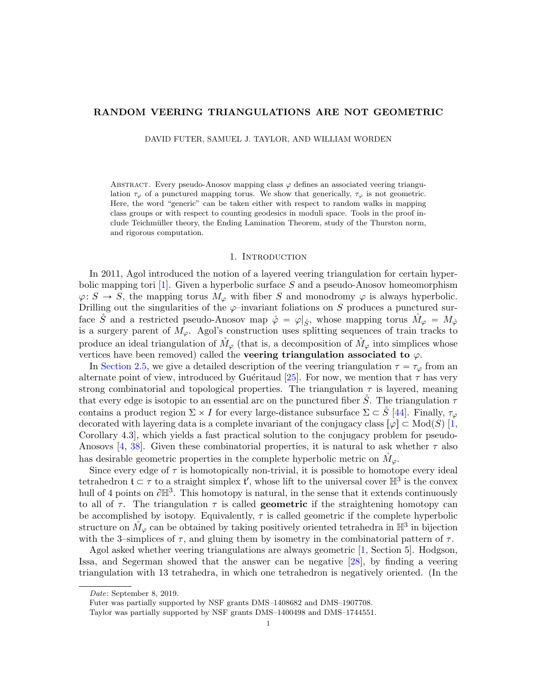# RANDOM VEERING TRIANGULATIONS ARE NOT GEOMETRIC

DAVID FUTER, SAMUEL J. TAYLOR, AND WILLIAM WORDEN

ABSTRACT. Every pseudo-Anosov mapping class  $\varphi$  defines an associated veering triangulation  $\tau_{\varphi}$  of a punctured mapping torus. We show that generically,  $\tau_{\varphi}$  is not geometric. Here, the word "generic" can be taken either with respect to random walks in mapping class groups or with respect to counting geodesics in moduli space. Tools in the proof include Teichmüller theory, the Ending Lamination Theorem, study of the Thurston norm, and rigorous computation.

#### 1. INTRODUCTION

In 2011, Agol introduced the notion of a layered veering triangulation for certain hyper-bolic mapping tori [\[1\]](#page-35-0). Given a hyperbolic surface S and a pseudo-Anosov homeomorphism  $\varphi: S \to S$ , the mapping torus  $M_{\varphi}$  with fiber S and monodromy  $\varphi$  is always hyperbolic. Drilling out the singularities of the  $\varphi$ -invariant foliations on S produces a punctured surface  $\check{S}$  and a restricted pseudo-Anosov map  $\check{\varphi} = \varphi|_{\check{S}}$ , whose mapping torus  $\check{M}_{\varphi} = M_{\check{\varphi}}$ is a surgery parent of  $M_{\varphi}$ . Agol's construction uses splitting sequences of train tracks to produce an ideal triangulation of  $M_{\varphi}$  (that is, a decomposition of  $M_{\varphi}$  into simplices whose vertices have been removed) called the **veering triangulation associated to**  $\varphi$ .

In [Section 2.5,](#page-7-0) we give a detailed description of the veering triangulation  $\tau = \tau_{\varphi}$  from an alternate point of view, introduced by Guéritaud [\[25\]](#page-36-0). For now, we mention that  $\tau$  has very strong combinatorial and topological properties. The triangulation  $\tau$  is layered, meaning that every edge is isotopic to an essential arc on the punctured fiber  $\tilde{S}$ . The triangulation  $\tau$ contains a product region  $\Sigma \times I$  for every large-distance subsurface  $\Sigma \subset \check{S}$  [\[44\]](#page-36-1). Finally,  $\tau_{\varphi}$ decorated with layering data is a complete invariant of the conjugacy class  $\lbrack \varphi \rbrack \subset \text{Mod}(S) \rbrack 1$ , Corollary 4.3], which yields a fast practical solution to the conjugacy problem for pseudo-Anosovs [\[4,](#page-35-1) [38\]](#page-36-2). Given these combinatorial properties, it is natural to ask whether  $\tau$  also has desirable geometric properties in the complete hyperbolic metric on  $\dot{M}_{\varphi}$ .

Since every edge of  $\tau$  is homotopically non-trivial, it is possible to homotope every ideal tetrahedron  $\mathfrak{t} \subset \tau$  to a straight simplex  $\mathfrak{t}'$ , whose lift to the universal cover  $\mathbb{H}^3$  is the convex hull of 4 points on  $\partial \mathbb{H}^3$ . This homotopy is natural, in the sense that it extends continuously to all of  $\tau$ . The triangulation  $\tau$  is called **geometric** if the straightening homotopy can be accomplished by isotopy. Equivalently,  $\tau$  is called geometric if the complete hyperbolic structure on  $\mathring{M}_{\varphi}$  can be obtained by taking positively oriented tetrahedra in  $\mathbb{H}^3$  in bijection with the 3–simplices of  $\tau$ , and gluing them by isometry in the combinatorial pattern of  $\tau$ .

Agol asked whether veering triangulations are always geometric [\[1,](#page-35-0) Section 5]. Hodgson, Issa, and Segerman showed that the answer can be negative [\[28\]](#page-36-3), by finding a veering triangulation with 13 tetrahedra, in which one tetrahedron is negatively oriented. (In the

Date: September 8, 2019.

Futer was partially supported by NSF grants DMS–1408682 and DMS–1907708.

Taylor was partially supported by NSF grants DMS–1400498 and DMS–1744551.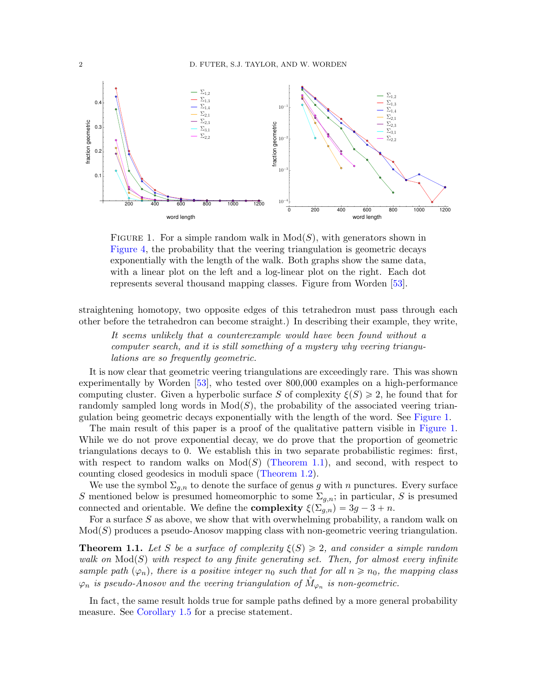<span id="page-1-0"></span>

FIGURE 1. For a simple random walk in  $Mod(S)$ , with generators shown in [Figure 4,](#page-23-0) the probability that the veering triangulation is geometric decays exponentially with the length of the walk. Both graphs show the same data, with a linear plot on the left and a log-linear plot on the right. Each dot represents several thousand mapping classes. Figure from Worden [\[53\]](#page-37-0).

straightening homotopy, two opposite edges of this tetrahedron must pass through each other before the tetrahedron can become straight.) In describing their example, they write,

It seems unlikely that a counterexample would have been found without a computer search, and it is still something of a mystery why veering triangulations are so frequently geometric.

It is now clear that geometric veering triangulations are exceedingly rare. This was shown experimentally by Worden [\[53\]](#page-37-0), who tested over 800,000 examples on a high-performance computing cluster. Given a hyperbolic surface S of complexity  $\xi(S) \geq 2$ , he found that for randomly sampled long words in  $Mod(S)$ , the probability of the associated veering triangulation being geometric decays exponentially with the length of the word. See [Figure 1.](#page-1-0)

The main result of this paper is a proof of the qualitative pattern visible in [Figure 1.](#page-1-0) While we do not prove exponential decay, we do prove that the proportion of geometric triangulations decays to 0. We establish this in two separate probabilistic regimes: first, with respect to random walks on  $Mod(S)$  [\(Theorem 1.1\)](#page-1-1), and second, with respect to counting closed geodesics in moduli space [\(Theorem 1.2\)](#page-2-0).

We use the symbol  $\Sigma_{g,n}$  to denote the surface of genus g with n punctures. Every surface S mentioned below is presumed homeomorphic to some  $\Sigma_{g,n}$ ; in particular, S is presumed connected and orientable. We define the **complexity**  $\xi(\Sigma_{q,n}) = 3g - 3 + n$ .

For a surface  $S$  as above, we show that with overwhelming probability, a random walk on  $Mod(S)$  produces a pseudo-Anosov mapping class with non-geometric veering triangulation.

<span id="page-1-1"></span>**Theorem 1.1.** Let S be a surface of complexity  $\xi(S) \geq 2$ , and consider a simple random walk on  $Mod(S)$  with respect to any finite generating set. Then, for almost every infinite sample path  $(\varphi_n)$ , there is a positive integer  $n_0$  such that for all  $n \geq n_0$ , the mapping class  $\varphi_n$  is pseudo-Anosov and the veering triangulation of  $\mathring{M}_{\varphi_n}$  is non-geometric.

In fact, the same result holds true for sample paths defined by a more general probability measure. See [Corollary 1.5](#page-4-0) for a precise statement.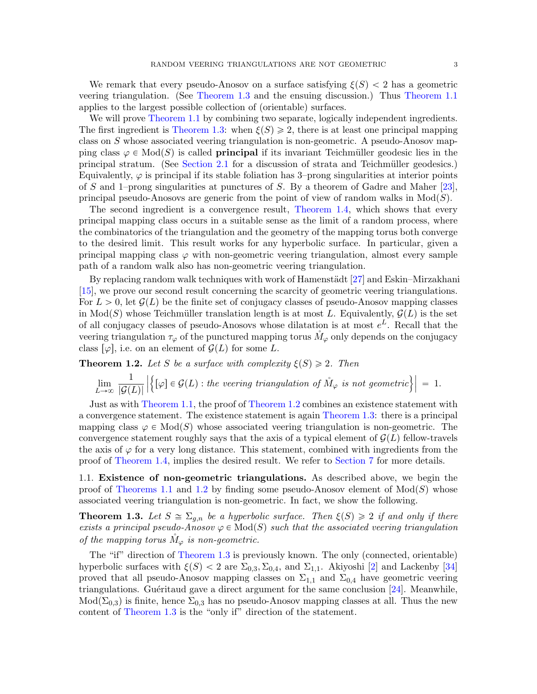We remark that every pseudo-Anosov on a surface satisfying  $\xi(S) < 2$  has a geometric veering triangulation. (See [Theorem 1.3](#page-2-1) and the ensuing discussion.) Thus [Theorem 1.1](#page-1-1) applies to the largest possible collection of (orientable) surfaces.

We will prove [Theorem 1.1](#page-1-1) by combining two separate, logically independent ingredients. The first ingredient is [Theorem 1.3:](#page-2-1) when  $\xi(S) \geq 2$ , there is at least one principal mapping class on S whose associated veering triangulation is non-geometric. A pseudo-Anosov mapping class  $\varphi \in Mod(S)$  is called **principal** if its invariant Teichmüller geodesic lies in the principal stratum. (See [Section 2.1](#page-5-0) for a discussion of strata and Teichm¨uller geodesics.) Equivalently,  $\varphi$  is principal if its stable foliation has 3–prong singularities at interior points of S and 1–prong singularities at punctures of S. By a theorem of Gadre and Maher [\[23\]](#page-36-4), principal pseudo-Anosovs are generic from the point of view of random walks in  $Mod(S)$ .

The second ingredient is a convergence result, [Theorem 1.4,](#page-3-0) which shows that every principal mapping class occurs in a suitable sense as the limit of a random process, where the combinatorics of the triangulation and the geometry of the mapping torus both converge to the desired limit. This result works for any hyperbolic surface. In particular, given a principal mapping class  $\varphi$  with non-geometric veering triangulation, almost every sample path of a random walk also has non-geometric veering triangulation.

By replacing random walk techniques with work of Hamenstädt  $[27]$  and Eskin–Mirzakhani [\[15\]](#page-35-2), we prove our second result concerning the scarcity of geometric veering triangulations. For  $L > 0$ , let  $\mathcal{G}(L)$  be the finite set of conjugacy classes of pseudo-Anosov mapping classes in  $Mod(S)$  whose Teichmüller translation length is at most L. Equivalently,  $\mathcal{G}(L)$  is the set of all conjugacy classes of pseudo-Anosovs whose dilatation is at most  $e^L$ . Recall that the veering triangulation  $\tau_{\varphi}$  of the punctured mapping torus  $M_{\varphi}$  only depends on the conjugacy class  $\lbrack \varphi \rbrack$ , i.e. on an element of  $\mathcal{G}(L)$  for some L.

<span id="page-2-0"></span>**Theorem 1.2.** Let S be a surface with complexity  $\xi(S) \geq 2$ . Then

$$
\lim_{L\to\infty}\frac{1}{|\mathcal{G}(L)|}\left|\left\{[\varphi]\in\mathcal{G}(L): the\text{ }veering\text{ }triangular\text{ }of\text{ } \mathring{M}_{\varphi}\text{ }is\text{ }not\text{ }geometric\right\}\right|=1.
$$

Just as with [Theorem 1.1,](#page-1-1) the proof of [Theorem 1.2](#page-2-0) combines an existence statement with a convergence statement. The existence statement is again [Theorem 1.3:](#page-2-1) there is a principal mapping class  $\varphi \in Mod(S)$  whose associated veering triangulation is non-geometric. The convergence statement roughly says that the axis of a typical element of  $\mathcal{G}(L)$  fellow-travels the axis of  $\varphi$  for a very long distance. This statement, combined with ingredients from the proof of [Theorem 1.4,](#page-3-0) implies the desired result. We refer to [Section 7](#page-20-0) for more details.

1.1. Existence of non-geometric triangulations. As described above, we begin the proof of [Theorems 1.1](#page-1-1) and [1.2](#page-2-0) by finding some pseudo-Anosov element of  $Mod(S)$  whose associated veering triangulation is non-geometric. In fact, we show the following.

<span id="page-2-1"></span>**Theorem 1.3.** Let  $S \cong \Sigma_{q,n}$  be a hyperbolic surface. Then  $\xi(S) \geq 2$  if and only if there exists a principal pseudo-Anosov  $\varphi \in Mod(S)$  such that the associated veering triangulation of the mapping torus  $\dot{M}_{\varphi}$  is non-geometric.

The "if" direction of [Theorem 1.3](#page-2-1) is previously known. The only (connected, orientable) hyperbolic surfaces with  $\xi(S) < 2$  are  $\Sigma_{0,3}$ ,  $\Sigma_{0,4}$ , and  $\Sigma_{1,1}$ . Akiyoshi [\[2\]](#page-35-3) and Lackenby [\[34\]](#page-36-6) proved that all pseudo-Anosov mapping classes on  $\Sigma_{1,1}$  and  $\Sigma_{0,4}$  have geometric veering triangulations. Guéritaud gave a direct argument for the same conclusion  $[24]$ . Meanwhile,  $Mod(\Sigma_{0,3})$  is finite, hence  $\Sigma_{0,3}$  has no pseudo-Anosov mapping classes at all. Thus the new content of [Theorem 1.3](#page-2-1) is the "only if" direction of the statement.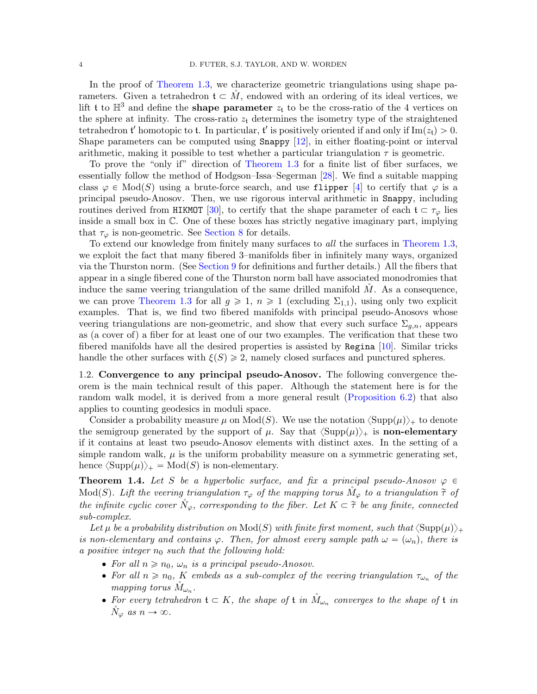In the proof of [Theorem 1.3,](#page-2-1) we characterize geometric triangulations using shape parameters. Given a tetrahedron  $\mathfrak{t} \subset M$ , endowed with an ordering of its ideal vertices, we lift t to  $\mathbb{H}^3$  and define the **shape parameter**  $z_t$  to be the cross-ratio of the 4 vertices on the sphere at infinity. The cross-ratio  $z_t$  determines the isometry type of the straightened tetrahedron t' homotopic to t. In particular, t' is positively oriented if and only if  $\text{Im}(z_t) > 0$ . Shape parameters can be computed using Snappy [\[12\]](#page-35-4), in either floating-point or interval arithmetic, making it possible to test whether a particular triangulation  $\tau$  is geometric.

To prove the "only if" direction of [Theorem 1.3](#page-2-1) for a finite list of fiber surfaces, we essentially follow the method of Hodgson–Issa–Segerman [\[28\]](#page-36-3). We find a suitable mapping class  $\varphi \in Mod(S)$  using a brute-force search, and use flipper [\[4\]](#page-35-1) to certify that  $\varphi$  is a principal pseudo-Anosov. Then, we use rigorous interval arithmetic in Snappy, including routines derived from HIKMOT [\[30\]](#page-36-8), to certify that the shape parameter of each  $\mathfrak{t} \subset \tau_{\varphi}$  lies inside a small box in C. One of these boxes has strictly negative imaginary part, implying that  $\tau_{\varphi}$  is non-geometric. See [Section 8](#page-23-1) for details.

To extend our knowledge from finitely many surfaces to all the surfaces in [Theorem 1.3,](#page-2-1) we exploit the fact that many fibered 3–manifolds fiber in infinitely many ways, organized via the Thurston norm. (See [Section 9](#page-26-0) for definitions and further details.) All the fibers that appear in a single fibered cone of the Thurston norm ball have associated monodromies that induce the same veering triangulation of the same drilled manifold  $M$ . As a consequence, we can prove [Theorem 1.3](#page-2-1) for all  $g \ge 1$ ,  $n \ge 1$  (excluding  $\Sigma_{1,1}$ ), using only two explicit examples. That is, we find two fibered manifolds with principal pseudo-Anosovs whose veering triangulations are non-geometric, and show that every such surface  $\Sigma_{g,n}$ , appears as (a cover of) a fiber for at least one of our two examples. The verification that these two fibered manifolds have all the desired properties is assisted by Regina [\[10\]](#page-35-5). Similar tricks handle the other surfaces with  $\xi(S) \geq 2$ , namely closed surfaces and punctured spheres.

1.2. Convergence to any principal pseudo-Anosov. The following convergence theorem is the main technical result of this paper. Although the statement here is for the random walk model, it is derived from a more general result [\(Proposition 6.2\)](#page-18-0) that also applies to counting geodesics in moduli space.

Consider a probability measure  $\mu$  on Mod(S). We use the notation  $\langle \text{Supp}(\mu) \rangle_+$  to denote the semigroup generated by the support of  $\mu$ . Say that  $\langle \text{Supp}(\mu) \rangle_+$  is **non-elementary** if it contains at least two pseudo-Anosov elements with distinct axes. In the setting of a simple random walk,  $\mu$  is the uniform probability measure on a symmetric generating set, hence  $\langle \text{Supp}(\mu) \rangle_+ = \text{Mod}(S)$  is non-elementary.

<span id="page-3-0"></span>**Theorem 1.4.** Let S be a hyperbolic surface, and fix a principal pseudo-Anosov  $\varphi \in$  $\text{Mod}(S)$ . Lift the veering triangulation  $\tau_{\varphi}$  of the mapping torus  $M_{\varphi}$  to a triangulation  $\tilde{\tau}$  of the infinite cyclic cover  $\tilde{N}_{\varphi}$ , corresponding to the fiber. Let  $K \subset \tilde{\tau}$  be any finite, connected sub-complex.

Let  $\mu$  be a probability distribution on  $\text{Mod}(S)$  with finite first moment, such that  $\langle \text{Supp}(\mu) \rangle_+$ is non-elementary and contains  $\varphi$ . Then, for almost every sample path  $\omega = (\omega_n)$ , there is a positive integer  $n_0$  such that the following hold:

- For all  $n \ge n_0$ ,  $\omega_n$  is a principal pseudo-Anosov.
- For all  $n \ge n_0$ , K embeds as a sub-complex of the veering triangulation  $\tau_{\omega_n}$  of the mapping torus  $\mathring{M}_{\omega_n}$ .
- For every tetrahedron  $\mathfrak{t} \subset K$ , the shape of  $\mathfrak{t}$  in  $\mathring{M}_{\omega_n}$  converges to the shape of  $\mathfrak{t}$  in  $\tilde{N}_{\varphi}$  as  $n \to \infty$ .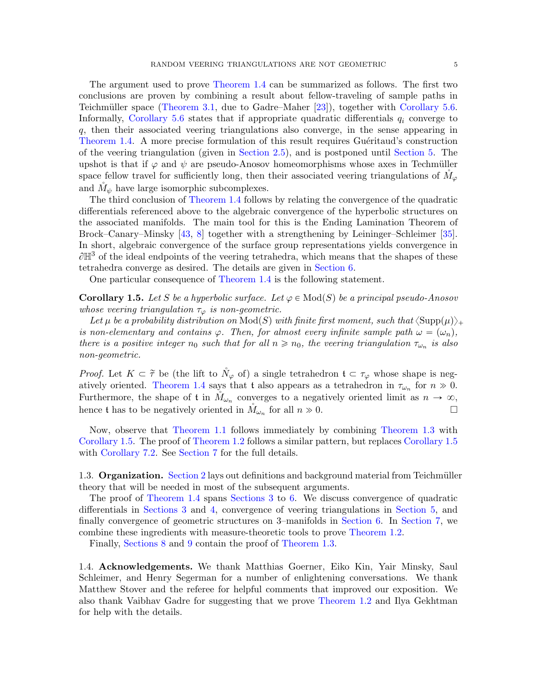The argument used to prove [Theorem 1.4](#page-3-0) can be summarized as follows. The first two conclusions are proven by combining a result about fellow-traveling of sample paths in Teichmüller space [\(Theorem 3.1,](#page-9-0) due to Gadre–Maher [\[23\]](#page-36-4)), together with [Corollary 5.6.](#page-17-0) Informally, [Corollary 5.6](#page-17-0) states that if appropriate quadratic differentials  $q_i$  converge to q, then their associated veering triangulations also converge, in the sense appearing in [Theorem 1.4.](#page-3-0) A more precise formulation of this result requires Guéritaud's construction of the veering triangulation (given in [Section 2.5\)](#page-7-0), and is postponed until [Section 5.](#page-14-0) The upshot is that if  $\varphi$  and  $\psi$  are pseudo-Anosov homeomorphisms whose axes in Techmüller space fellow travel for sufficiently long, then their associated veering triangulations of  $M_{\varphi}$ and  $\dot{M}_{\psi}$  have large isomorphic subcomplexes.

The third conclusion of [Theorem 1.4](#page-3-0) follows by relating the convergence of the quadratic differentials referenced above to the algebraic convergence of the hyperbolic structures on the associated manifolds. The main tool for this is the Ending Lamination Theorem of Brock–Canary–Minsky [\[43,](#page-36-9) [8\]](#page-35-6) together with a strengthening by Leininger–Schleimer [\[35\]](#page-36-10). In short, algebraic convergence of the surface group representations yields convergence in  $\partial \mathbb{H}^3$  of the ideal endpoints of the veering tetrahedra, which means that the shapes of these tetrahedra converge as desired. The details are given in [Section 6.](#page-17-1)

One particular consequence of [Theorem 1.4](#page-3-0) is the following statement.

<span id="page-4-0"></span>**Corollary 1.5.** Let S be a hyperbolic surface. Let  $\varphi \in Mod(S)$  be a principal pseudo-Anosov whose veering triangulation  $\tau_{\varphi}$  is non-geometric.

Let  $\mu$  be a probability distribution on  $\text{Mod}(S)$  with finite first moment, such that  $\langle \text{Supp}(\mu) \rangle_+$ is non-elementary and contains  $\varphi$ . Then, for almost every infinite sample path  $\omega = (\omega_n)$ , there is a positive integer  $n_0$  such that for all  $n \ge n_0$ , the veering triangulation  $\tau_{\omega_n}$  is also non-geometric.

*Proof.* Let  $K \subset \tilde{\tau}$  be (the lift to  $\tilde{N}_{\varphi}$  of) a single tetrahedron  $\mathfrak{t} \subset \tau_{\varphi}$  whose shape is neg-atively oriented. [Theorem 1.4](#page-3-0) says that t also appears as a tetrahedron in  $\tau_{\omega_n}$  for  $n \gg 0$ . Furthermore, the shape of t in  $\mathring{M}_{\omega_n}$  converges to a negatively oriented limit as  $n \to \infty$ , hence t has to be negatively oriented in  $\mathring{M}_{\omega_n}$  for all  $n \gg 0$ .

Now, observe that [Theorem 1.1](#page-1-1) follows immediately by combining [Theorem 1.3](#page-2-1) with [Corollary 1.5.](#page-4-0) The proof of [Theorem 1.2](#page-2-0) follows a similar pattern, but replaces [Corollary 1.5](#page-4-0) with [Corollary 7.2.](#page-21-0) See [Section 7](#page-20-0) for the full details.

1.3. **Organization.** [Section 2](#page-5-1) lays out definitions and background material from Teichmüller theory that will be needed in most of the subsequent arguments.

The proof of [Theorem 1.4](#page-3-0) spans [Sections 3](#page-9-1) to [6.](#page-17-1) We discuss convergence of quadratic differentials in [Sections 3](#page-9-1) and [4,](#page-13-0) convergence of veering triangulations in [Section 5,](#page-14-0) and finally convergence of geometric structures on 3–manifolds in [Section 6.](#page-17-1) In [Section 7,](#page-20-0) we combine these ingredients with measure-theoretic tools to prove [Theorem 1.2.](#page-2-0)

Finally, [Sections 8](#page-23-1) and [9](#page-26-0) contain the proof of [Theorem 1.3.](#page-2-1)

1.4. Acknowledgements. We thank Matthias Goerner, Eiko Kin, Yair Minsky, Saul Schleimer, and Henry Segerman for a number of enlightening conversations. We thank Matthew Stover and the referee for helpful comments that improved our exposition. We also thank Vaibhav Gadre for suggesting that we prove [Theorem 1.2](#page-2-0) and Ilya Gekhtman for help with the details.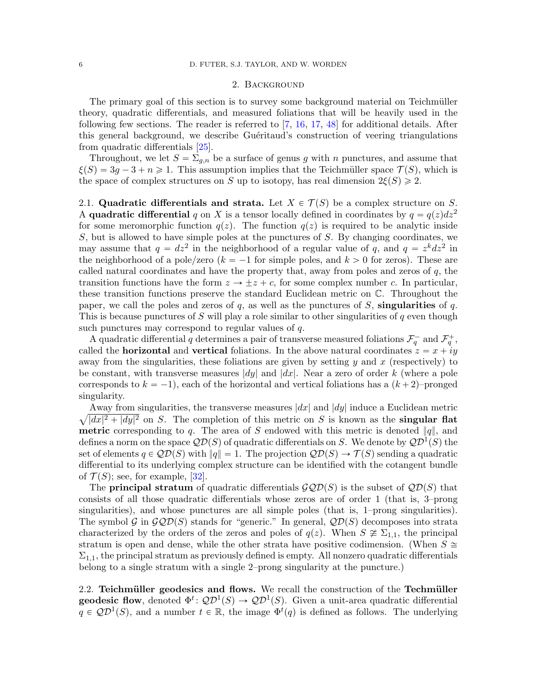## 2. Background

<span id="page-5-1"></span>The primary goal of this section is to survey some background material on Teichmüller theory, quadratic differentials, and measured foliations that will be heavily used in the following few sections. The reader is referred to [\[7,](#page-35-7) [16,](#page-35-8) [17,](#page-35-9) [48\]](#page-36-11) for additional details. After this general background, we describe Guéritaud's construction of veering triangulations from quadratic differentials [\[25\]](#page-36-0).

Throughout, we let  $S = \sum_{g,n}$  be a surface of genus g with n punctures, and assume that  $\xi(S) = 3g - 3 + n \geq 1$ . This assumption implies that the Teichmüller space  $\mathcal{T}(S)$ , which is the space of complex structures on S up to isotopy, has real dimension  $2\xi(S) \geq 2$ .

<span id="page-5-0"></span>2.1. Quadratic differentials and strata. Let  $X \in \mathcal{T}(S)$  be a complex structure on S. A quadratic differential q on X is a tensor locally defined in coordinates by  $q = q(z)dz^2$ for some meromorphic function  $q(z)$ . The function  $q(z)$  is required to be analytic inside  $S$ , but is allowed to have simple poles at the punctures of  $S$ . By changing coordinates, we may assume that  $q = dz^2$  in the neighborhood of a regular value of q, and  $q = z^k dz^2$  in the neighborhood of a pole/zero  $(k = -1$  for simple poles, and  $k > 0$  for zeros). These are called natural coordinates and have the property that, away from poles and zeros of  $q$ , the transition functions have the form  $z \to \pm z + c$ , for some complex number c. In particular, these transition functions preserve the standard Euclidean metric on C. Throughout the paper, we call the poles and zeros of  $q$ , as well as the punctures of S, singularities of  $q$ . This is because punctures of S will play a role similar to other singularities of  $q$  even though such punctures may correspond to regular values of q.

A quadratic differential q determines a pair of transverse measured foliations  $\mathcal{F}_q^-$  and  $\mathcal{F}_q^+$ , called the **horizontal** and **vertical** foliations. In the above natural coordinates  $z = x + iy$ away from the singularities, these foliations are given by setting  $y$  and  $x$  (respectively) to be constant, with transverse measures  $|dy|$  and  $|dx|$ . Near a zero of order k (where a pole corresponds to  $k = -1$ ), each of the horizontal and vertical foliations has a  $(k + 2)$ –pronged singularity.

a Away from singularities, the transverse measures  $|dx|$  and  $|dy|$  induce a Euclidean metric  $|dx|^2 + |dy|^2$  on S. The completion of this metric on S is known as the **singular flat metric** corresponding to q. The area of S endowed with this metric is denoted  $||q||$ , and defines a norm on the space  $\mathcal{QD}(S)$  of quadratic differentials on S. We denote by  $\mathcal{QD}^{1}(S)$  the set of elements  $q \in QD(S)$  with  $||q|| = 1$ . The projection  $QD(S) \rightarrow \mathcal{T}(S)$  sending a quadratic differential to its underlying complex structure can be identified with the cotangent bundle of  $\mathcal{T}(S)$ ; see, for example, [\[32\]](#page-36-12).

The **principal stratum** of quadratic differentials  $\mathcal{GQD}(S)$  is the subset of  $\mathcal{QD}(S)$  that consists of all those quadratic differentials whose zeros are of order 1 (that is, 3–prong singularities), and whose punctures are all simple poles (that is, 1–prong singularities). The symbol G in  $\mathcal{GQD}(S)$  stands for "generic." In general,  $\mathcal{QD}(S)$  decomposes into strata characterized by the orders of the zeros and poles of  $q(z)$ . When  $S \ncong \Sigma_{1,1}$ , the principal stratum is open and dense, while the other strata have positive codimension. (When  $S \cong$  $\Sigma_{1,1}$ , the principal stratum as previously defined is empty. All nonzero quadratic differentials belong to a single stratum with a single 2–prong singularity at the puncture.)

<span id="page-5-2"></span>2.2. Teichmüller geodesics and flows. We recall the construction of the Techmüller **geodesic flow**, denoted  $\Phi^t$ :  $\mathcal{QD}^1(S) \to \mathcal{QD}^1(S)$ . Given a unit-area quadratic differential  $q \in QD^1(S)$ , and a number  $t \in \mathbb{R}$ , the image  $\Phi^t(q)$  is defined as follows. The underlying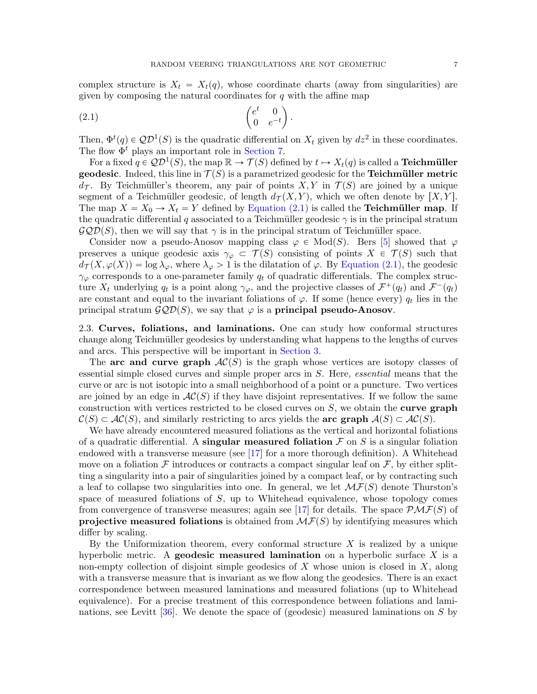complex structure is  $X_t = X_t(q)$ , whose coordinate charts (away from singularities) are

<span id="page-6-0"></span>given by composing the natural coordinates for q with the affine map  
\n(2.1) 
$$
\begin{pmatrix} e^t & 0 \ 0 & e^{-t} \end{pmatrix}.
$$

Then,  $\Phi^t(q) \in \mathcal{QD}^1(S)$  is the quadratic differential on  $X_t$  given by  $dz^2$  in these coordinates. The flow  $\Phi^t$  plays an important role in [Section 7.](#page-20-0)

For a fixed  $q\in \mathcal{QD}^1(S)$ , the map  $\mathbb{R}\to \mathcal{T}(S)$  defined by  $t\mapsto X_t(q)$  is called a **Teichmüller geodesic**. Indeed, this line in  $\mathcal{T}(S)$  is a parametrized geodesic for the Teichmüller metric  $d_{\mathcal{T}}$ . By Teichmüller's theorem, any pair of points X, Y in  $\mathcal{T}(S)$  are joined by a unique segment of a Teichmüller geodesic, of length  $d_{\mathcal{T}}(X, Y)$ , which we often denote by  $[X, Y]$ . The map  $X = X_0 \rightarrow X_t = Y$  defined by [Equation \(2.1\)](#page-6-0) is called the **Teichmüller map**. If the quadratic differential q associated to a Teichmüller geodesic  $\gamma$  is in the principal stratum  $\mathcal{GQD}(S)$ , then we will say that  $\gamma$  is in the principal stratum of Teichmüller space.

Consider now a pseudo-Anosov mapping class  $\varphi \in Mod(S)$ . Bers [\[5\]](#page-35-10) showed that  $\varphi$ preserves a unique geodesic axis  $\gamma_{\varphi} \subset \mathcal{T}(S)$  consisting of points  $X \in \mathcal{T}(S)$  such that  $d_{\mathcal{T}}(X, \varphi(X)) = \log \lambda_{\varphi}$ , where  $\lambda_{\varphi} > 1$  is the dilatation of  $\varphi$ . By [Equation \(2.1\),](#page-6-0) the geodesic  $\gamma_{\varphi}$  corresponds to a one-parameter family  $q_t$  of quadratic differentials. The complex structure  $X_t$  underlying  $q_t$  is a point along  $\gamma_\varphi$ , and the projective classes of  $\mathcal{F}^+(q_t)$  and  $\mathcal{F}^-(q_t)$ are constant and equal to the invariant foliations of  $\varphi$ . If some (hence every)  $q_t$  lies in the principal stratum  $\mathcal{GQD}(S)$ , we say that  $\varphi$  is a **principal pseudo-Anosov**.

<span id="page-6-1"></span>2.3. Curves, foliations, and laminations. One can study how conformal structures change along Teichm¨uller geodesics by understanding what happens to the lengths of curves and arcs. This perspective will be important in [Section 3.](#page-9-1)

The arc and curve graph  $AC(S)$  is the graph whose vertices are isotopy classes of essential simple closed curves and simple proper arcs in S. Here, essential means that the curve or arc is not isotopic into a small neighborhood of a point or a puncture. Two vertices are joined by an edge in  $AC(S)$  if they have disjoint representatives. If we follow the same construction with vertices restricted to be closed curves on  $S$ , we obtain the **curve graph**  $\mathcal{C}(S) \subset \mathcal{AC}(S)$ , and similarly restricting to arcs yields the **arc graph**  $\mathcal{A}(S) \subset \mathcal{AC}(S)$ .

We have already encountered measured foliations as the vertical and horizontal foliations of a quadratic differential. A singular measured foliation  $\mathcal F$  on  $S$  is a singular foliation endowed with a transverse measure (see  $\left[17\right]$  for a more thorough definition). A Whitehead move on a foliation F introduces or contracts a compact singular leaf on  $\mathcal F$ , by either splitting a singularity into a pair of singularities joined by a compact leaf, or by contracting such a leaf to collapse two singularities into one. In general, we let  $\mathcal{MF}(S)$  denote Thurston's space of measured foliations of  $S$ , up to Whitehead equivalence, whose topology comes from convergence of transverse measures; again see [\[17\]](#page-35-9) for details. The space  $\mathcal{PMF}(S)$  of projective measured foliations is obtained from  $\mathcal{MF}(S)$  by identifying measures which differ by scaling.

By the Uniformization theorem, every conformal structure  $X$  is realized by a unique hyperbolic metric. A **geodesic measured lamination** on a hyperbolic surface  $X$  is a non-empty collection of disjoint simple geodesics of  $X$  whose union is closed in  $X$ , along with a transverse measure that is invariant as we flow along the geodesics. There is an exact correspondence between measured laminations and measured foliations (up to Whitehead equivalence). For a precise treatment of this correspondence between foliations and laminations, see Levitt [\[36\]](#page-36-13). We denote the space of (geodesic) measured laminations on S by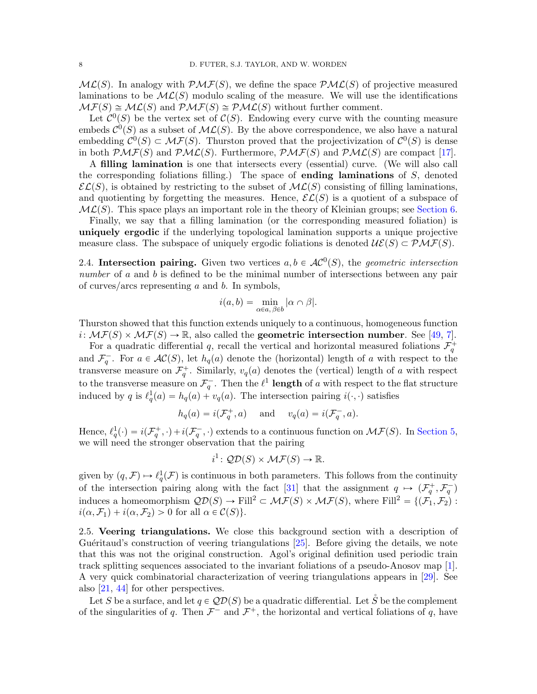$ML(S)$ . In analogy with  $\mathcal{PMF}(S)$ , we define the space  $\mathcal{PML}(S)$  of projective measured laminations to be  $ML(S)$  modulo scaling of the measure. We will use the identifications  $\mathcal{MF}(S) \cong \mathcal{ML}(S)$  and  $\mathcal{PMF}(S) \cong \mathcal{PML}(S)$  without further comment.

Let  $\mathcal{C}^0(S)$  be the vertex set of  $\mathcal{C}(S)$ . Endowing every curve with the counting measure embeds  $\mathcal{C}^0(S)$  as a subset of  $\mathcal{ML}(S)$ . By the above correspondence, we also have a natural embedding  $\mathcal{C}^0(S) \subset \mathcal{MF}(S)$ . Thurston proved that the projectivization of  $\mathcal{C}^0(S)$  is dense in both  $\mathcal{PMF}(S)$  and  $\mathcal{PML}(S)$ . Furthermore,  $\mathcal{PMF}(S)$  and  $\mathcal{PML}(S)$  are compact [\[17\]](#page-35-9).

A filling lamination is one that intersects every (essential) curve. (We will also call the corresponding foliations filling.) The space of **ending laminations** of  $S$ , denoted  $\mathcal{EL}(S)$ , is obtained by restricting to the subset of  $\mathcal{ML}(S)$  consisting of filling laminations, and quotienting by forgetting the measures. Hence,  $\mathcal{EL}(S)$  is a quotient of a subspace of  $ML(S)$ . This space plays an important role in the theory of Kleinian groups; see [Section 6.](#page-17-1)

Finally, we say that a filling lamination (or the corresponding measured foliation) is uniquely ergodic if the underlying topological lamination supports a unique projective measure class. The subspace of uniquely ergodic foliations is denoted  $\mathcal{UE}(S) \subset \mathcal{PMF}(S)$ .

<span id="page-7-1"></span>2.4. Intersection pairing. Given two vertices  $a, b \in AC^0(S)$ , the geometric intersection number of  $a$  and  $b$  is defined to be the minimal number of intersections between any pair of curves/arcs representing  $a$  and  $b$ . In symbols,

$$
i(a,b)=\min_{\alpha\in a,\, \beta\in b}|\alpha\cap\beta|.
$$

Thurston showed that this function extends uniquely to a continuous, homogeneous function  $i: \mathcal{MF}(S) \times \mathcal{MF}(S) \to \mathbb{R}$ , also called the **geometric intersection number**. See [\[49,](#page-37-1) [7\]](#page-35-7).

For a quadratic differential q, recall the vertical and horizontal measured foliations  $\mathcal{F}_q^+$ and  $\mathcal{F}_q^-$ . For  $a \in \mathcal{AC}(S)$ , let  $h_q(a)$  denote the (horizontal) length of a with respect to the transverse measure on  $\mathcal{F}_q^+$ . Similarly,  $v_q(a)$  denotes the (vertical) length of a with respect to the transverse measure on  $\mathcal{F}_q^-$ . Then the  $\ell^1$  **length** of a with respect to the flat structure induced by q is  $\ell_q^1(a) = h_q(a) + v_q(a)$ . The intersection pairing  $i(\cdot, \cdot)$  satisfies

$$
h_q(a) = i(\mathcal{F}_q^+, a) \quad \text{ and } \quad v_q(a) = i(\mathcal{F}_q^-, a).
$$

Hence,  $\ell_q^1(\cdot) = i(\mathcal{F}_q^+, \cdot) + i(\mathcal{F}_q^-, \cdot)$  extends to a continuous function on  $\mathcal{MF}(S)$ . In [Section 5,](#page-14-0) we will need the stronger observation that the pairing

$$
i^1\colon \mathcal{QD}(S) \times \mathcal{MF}(S) \to \mathbb{R}.
$$

given by  $(q, \mathcal{F}) \mapsto \ell_q^1(\mathcal{F})$  is continuous in both parameters. This follows from the continuity of the intersection pairing along with the fact [\[31\]](#page-36-14) that the assignment  $q \mapsto (\mathcal{F}_q^+, \mathcal{F}_q^-)$ induces a homeomorphism  $\mathcal{QD}(S) \to \text{Fill}^2 \subset \mathcal{MF}(S) \times \mathcal{MF}(S)$ , where Fill<sup>2</sup> = { $(\mathcal{F}_1, \mathcal{F}_2)$  :  $i(\alpha, \mathcal{F}_1) + i(\alpha, \mathcal{F}_2) > 0$  for all  $\alpha \in \mathcal{C}(S)$ .

<span id="page-7-0"></span>2.5. Veering triangulations. We close this background section with a description of Guéritaud's construction of veering triangulations  $[25]$ . Before giving the details, we note that this was not the original construction. Agol's original definition used periodic train track splitting sequences associated to the invariant foliations of a pseudo-Anosov map [\[1\]](#page-35-0). A very quick combinatorial characterization of veering triangulations appears in [\[29\]](#page-36-15). See also [\[21,](#page-36-16) [44\]](#page-36-1) for other perspectives.

Let S be a surface, and let  $q \in \mathcal{QD}(S)$  be a quadratic differential. Let  $\check{S}$  be the complement of the singularities of q. Then  $\mathcal{F}^-$  and  $\mathcal{F}^+$ , the horizontal and vertical foliations of q, have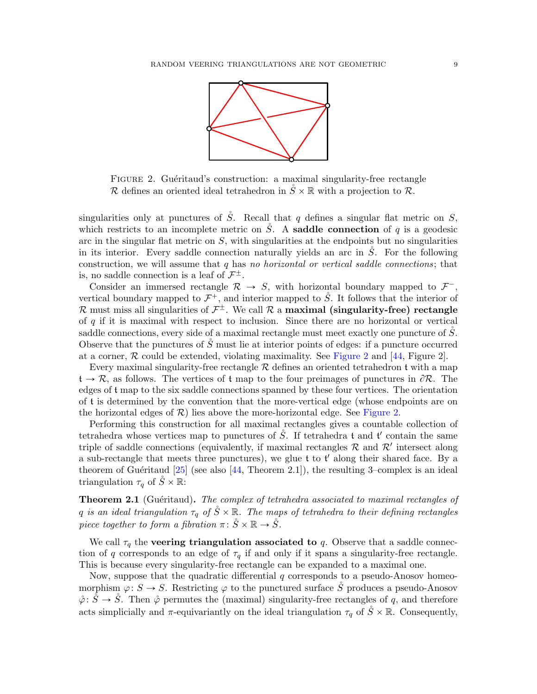

<span id="page-8-0"></span>FIGURE 2. Guéritaud's construction: a maximal singularity-free rectangle R defines an oriented ideal tetrahedron in  $\check{S} \times \mathbb{R}$  with a projection to R.

singularities only at punctures of  $\check{S}$ . Recall that q defines a singular flat metric on S, which restricts to an incomplete metric on S. A saddle connection of q is a geodesic arc in the singular flat metric on  $S$ , with singularities at the endpoints but no singularities in its interior. Every saddle connection naturally yields an arc in  $\tilde{S}$ . For the following construction, we will assume that q has no horizontal or vertical saddle connections; that is, no saddle connection is a leaf of  $\mathcal{F}^{\pm}$ .

Consider an immersed rectangle  $\mathcal{R} \to S$ , with horizontal boundary mapped to  $\mathcal{F}^-$ , vertical boundary mapped to  $\mathcal{F}^+$ , and interior mapped to  $\mathring{S}$ . It follows that the interior of  ${\cal R}$  must miss all singularities of  ${\cal F}^\pm$ . We call  ${\cal R}$  a **maximal (singularity-free) rectangle** of  $q$  if it is maximal with respect to inclusion. Since there are no horizontal or vertical saddle connections, every side of a maximal rectangle must meet exactly one puncture of  $\tilde{S}$ . Observe that the punctures of  $\tilde{S}$  must lie at interior points of edges: if a puncture occurred at a corner,  $\mathcal R$  could be extended, violating maximality. See [Figure 2](#page-8-0) and [\[44,](#page-36-1) Figure 2].

Every maximal singularity-free rectangle  $R$  defines an oriented tetrahedron t with a map  $t \to \mathcal{R}$ , as follows. The vertices of t map to the four preimages of punctures in  $\partial \mathcal{R}$ . The edges of t map to the six saddle connections spanned by these four vertices. The orientation of t is determined by the convention that the more-vertical edge (whose endpoints are on the horizontal edges of  $\mathcal{R}$ ) lies above the more-horizontal edge. See [Figure 2.](#page-8-0)

Performing this construction for all maximal rectangles gives a countable collection of tetrahedra whose vertices map to punctures of  $\mathring{S}$ . If tetrahedra t and t' contain the same triple of saddle connections (equivalently, if maximal rectangles  $R$  and  $R'$  intersect along a sub-rectangle that meets three punctures), we glue  $t$  to  $t'$  along their shared face. By a theorem of Guéritaud  $[25]$  (see also [\[44,](#page-36-1) Theorem 2.1]), the resulting 3–complex is an ideal triangulation  $\tau_q$  of  $\check{S} \times \mathbb{R}$ :

<span id="page-8-1"></span>**Theorem 2.1** (Guéritaud). The complex of tetrahedra associated to maximal rectangles of q is an ideal triangulation  $\tau_q$  of  $\check{S} \times \mathbb{R}$ . The maps of tetrahedra to their defining rectangles piece together to form a fibration  $\pi: \mathring{S} \times \mathbb{R} \to \mathring{S}$ .

We call  $\tau_q$  the **veering triangulation associated to** q. Observe that a saddle connection of q corresponds to an edge of  $\tau_q$  if and only if it spans a singularity-free rectangle. This is because every singularity-free rectangle can be expanded to a maximal one.

Now, suppose that the quadratic differential  $q$  corresponds to a pseudo-Anosov homeomorphism  $\varphi: S \to S$ . Restricting  $\varphi$  to the punctured surface  $\check{S}$  produces a pseudo-Anosov  $\phi: \mathring{S} \to \mathring{S}$ . Then  $\phi$  permutes the (maximal) singularity-free rectangles of q, and therefore acts simplicially and  $\pi$ -equivariantly on the ideal triangulation  $\tau_q$  of  $\check{S} \times \mathbb{R}$ . Consequently,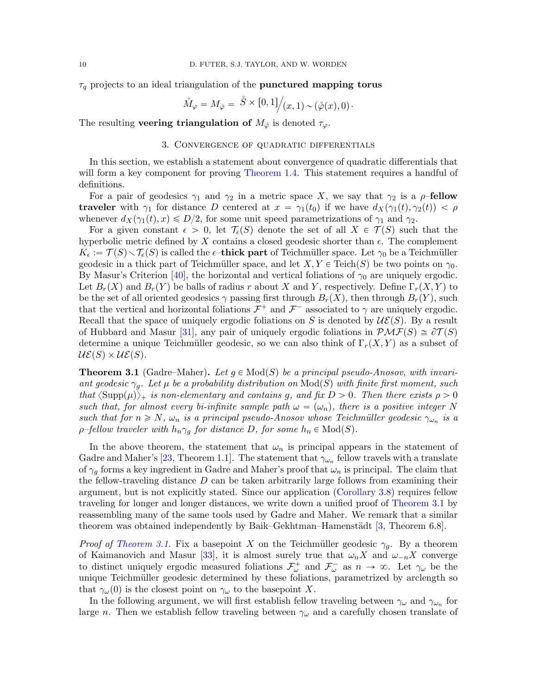$\tau_q$  projects to an ideal triangulation of the **punctured mapping torus** 

$$
\mathring{M}_{\varphi} = M_{\mathring{\varphi}} = \mathring{S} \times [0,1] \big/ (x,1) \sim (\mathring{\varphi}(x),0) \cdot
$$

The resulting **veering triangulation of**  $M_{\phi}$  is denoted  $\tau_{\varphi}$ .

### 3. Convergence of quadratic differentials

<span id="page-9-1"></span>In this section, we establish a statement about convergence of quadratic differentials that will form a key component for proving [Theorem 1.4.](#page-3-0) This statement requires a handful of definitions.

For a pair of geodesics  $\gamma_1$  and  $\gamma_2$  in a metric space X, we say that  $\gamma_2$  is a  $\rho$ -fellow **traveler** with  $\gamma_1$  for distance D centered at  $x = \gamma_1(t_0)$  if we have  $d_X(\gamma_1(t), \gamma_2(t)) < \rho$ whenever  $d_X(\gamma_1(t), x) \leq D/2$ , for some unit speed parametrizations of  $\gamma_1$  and  $\gamma_2$ .

For a given constant  $\epsilon > 0$ , let  $\mathcal{T}_{\epsilon}(S)$  denote the set of all  $X \in \mathcal{T}(S)$  such that the hyperbolic metric defined by X contains a closed geodesic shorter than  $\epsilon$ . The complement  $K_{\epsilon} := \mathcal{T}(S) \setminus \mathcal{T}_{\epsilon}(S)$  is called the  $\epsilon$ -thick part of Teichmüller space. Let  $\gamma_0$  be a Teichmüller geodesic in a thick part of Teichmüller space, and let  $X, Y \in \text{Teich}(S)$  be two points on  $\gamma_0$ . By Masur's Criterion [\[40\]](#page-36-17), the horizontal and vertical foliations of  $\gamma_0$  are uniquely ergodic. Let  $B_r(X)$  and  $B_r(Y)$  be balls of radius r about X and Y, respectively. Define  $\Gamma_r(X, Y)$  to be the set of all oriented geodesics  $\gamma$  passing first through  $B_r(X)$ , then through  $B_r(Y)$ , such that the vertical and horizontal foliations  $\mathcal{F}^+$  and  $\mathcal{F}^-$  associated to  $\gamma$  are uniquely ergodic. Recall that the space of uniquely ergodic foliations on S is denoted by  $\mathcal{UE}(S)$ . By a result of Hubbard and Masur [\[31\]](#page-36-14), any pair of uniquely ergodic foliations in  $\mathcal{PMF}(S) \cong \partial \mathcal{T}(S)$ determine a unique Teichmüller geodesic, so we can also think of  $\Gamma_r(X, Y)$  as a subset of  $U\mathcal{E}(S) \times U\mathcal{E}(S)$ .

<span id="page-9-0"></span>**Theorem 3.1** (Gadre–Maher). Let  $g \in Mod(S)$  be a principal pseudo-Anosov, with invariant geodesic  $\gamma_g$ . Let  $\mu$  be a probability distribution on  $Mod(S)$  with finite first moment, such that  $\langle \text{Supp}(\mu) \rangle_+$  is non-elementary and contains g, and fix  $D > 0$ . Then there exists  $\rho > 0$ such that, for almost every bi-infinite sample path  $\omega = (\omega_n)$ , there is a positive integer N such that for  $n \ge N$ ,  $\omega_n$  is a principal pseudo-Anosov whose Teichmüller geodesic  $\gamma_{\omega_n}$  is a  $\rho$ -fellow traveler with  $h_n \gamma_q$  for distance D, for some  $h_n \in Mod(S)$ .

In the above theorem, the statement that  $\omega_n$  is principal appears in the statement of Gadre and Maher's [\[23,](#page-36-4) Theorem 1.1]. The statement that  $\gamma_{\omega_n}$  fellow travels with a translate of  $\gamma_q$  forms a key ingredient in Gadre and Maher's proof that  $\omega_n$  is principal. The claim that the fellow-traveling distance  $D$  can be taken arbitrarily large follows from examining their argument, but is not explicitly stated. Since our application [\(Corollary 3.8\)](#page-12-0) requires fellow traveling for longer and longer distances, we write down a unified proof of [Theorem 3.1](#page-9-0) by reassembling many of the same tools used by Gadre and Maher. We remark that a similar theorem was obtained independently by Baik–Gekhtman–Hamenstädt  $[3,$  Theorem 6.8].

*Proof of [Theorem 3.1.](#page-9-0)* Fix a basepoint X on the Teichmüller geodesic  $\gamma_g$ . By a theorem of Kaimanovich and Masur [\[33\]](#page-36-18), it is almost surely true that  $\omega_n X$  and  $\omega_{-n} X$  converge to distinct uniquely ergodic measured foliations  $\mathcal{F}^+_\omega$  and  $\mathcal{F}^-_\omega$  as  $n \to \infty$ . Let  $\gamma_\omega$  be the unique Teichmüller geodesic determined by these foliations, parametrized by arclength so that  $\gamma_\omega(0)$  is the closest point on  $\gamma_\omega$  to the basepoint X.

In the following argument, we will first establish fellow traveling between  $\gamma_\omega$  and  $\gamma_{\omega_n}$  for large n. Then we establish fellow traveling between  $\gamma_\omega$  and a carefully chosen translate of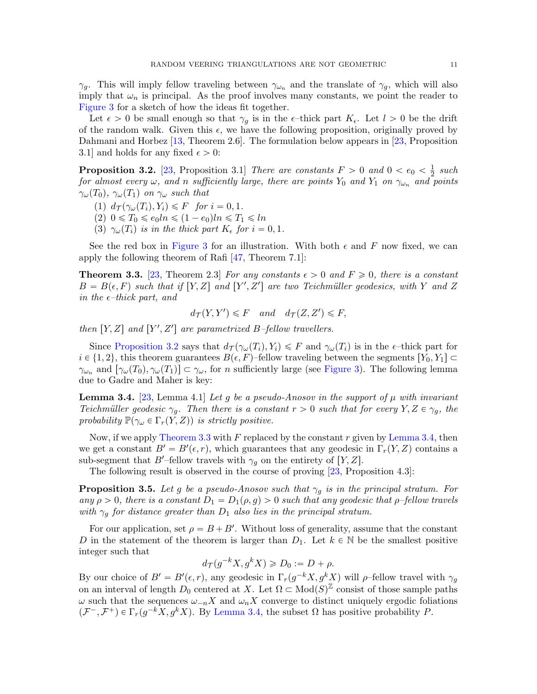$\gamma_g$ . This will imply fellow traveling between  $\gamma_{\omega_n}$  and the translate of  $\gamma_g$ , which will also imply that  $\omega_n$  is principal. As the proof involves many constants, we point the reader to [Figure 3](#page-11-0) for a sketch of how the ideas fit together.

Let  $\epsilon > 0$  be small enough so that  $\gamma_q$  is in the  $\epsilon$ -thick part  $K_{\epsilon}$ . Let  $l > 0$  be the drift of the random walk. Given this  $\epsilon$ , we have the following proposition, originally proved by Dahmani and Horbez [\[13,](#page-35-12) Theorem 2.6]. The formulation below appears in [\[23,](#page-36-4) Proposition 3.1] and holds for any fixed  $\epsilon > 0$ :

<span id="page-10-0"></span>**Proposition 3.2.** [\[23,](#page-36-4) Proposition 3.1] There are constants  $F > 0$  and  $0 < e_0 < \frac{1}{2}$  $rac{1}{2}$  such for almost every  $\omega$ , and n sufficiently large, there are points  $Y_0$  and  $Y_1$  on  $\gamma_{\omega_n}$  and points  $\gamma_\omega(T_0)$ ,  $\gamma_\omega(T_1)$  on  $\gamma_\omega$  such that

- (1)  $d_{\mathcal{T}}(\gamma_{\omega}(T_i), Y_i) \leq F$  for  $i = 0, 1$ .
- (2)  $0 \leq T_0 \leq e_0 \ln \leq (1 e_0) \ln \leq T_1 \leq \ln$
- (3)  $\gamma_{\omega}(T_i)$  is in the thick part  $K_{\epsilon}$  for  $i = 0, 1$ .

See the red box in [Figure 3](#page-11-0) for an illustration. With both  $\epsilon$  and F now fixed, we can apply the following theorem of Rafi [\[47,](#page-36-19) Theorem 7.1]:

<span id="page-10-1"></span>**Theorem 3.3.** [\[23,](#page-36-4) Theorem 2.3] For any constants  $\epsilon > 0$  and  $F \ge 0$ , there is a constant  $B = B(\epsilon, F)$  such that if  $[Y, Z]$  and  $[Y', Z']$  are two Teichmüller geodesics, with Y and Z in the  $\epsilon$ -thick part, and

$$
d_{\mathcal{T}}(Y, Y') \leq F
$$
 and  $d_{\mathcal{T}}(Z, Z') \leq F$ ,

then  $[Y, Z]$  and  $[Y', Z']$  are parametrized B-fellow travellers.

Since [Proposition 3.2](#page-10-0) says that  $d_{\mathcal{T}}(\gamma_{\omega}(T_i), Y_i) \leq F$  and  $\gamma_{\omega}(T_i)$  is in the  $\epsilon$ -thick part for  $i \in \{1, 2\}$ , this theorem guarantees  $B(\epsilon, F)$ –fellow traveling between the segments  $[Y_0, Y_1] \subset$  $\gamma_{\omega_n}$  and  $[\gamma_\omega(T_0), \gamma_\omega(T_1)] \subset \gamma_\omega$ , for n sufficiently large (see [Figure 3\)](#page-11-0). The following lemma due to Gadre and Maher is key:

<span id="page-10-2"></span>**Lemma 3.4.** [\[23,](#page-36-4) Lemma 4.1] Let g be a pseudo-Anosov in the support of  $\mu$  with invariant Teichmüller geodesic  $\gamma_q$ . Then there is a constant  $r > 0$  such that for every  $Y, Z \in \gamma_q$ , the probability  $\mathbb{P}(\gamma_{\omega} \in \Gamma_r(Y, Z))$  is strictly positive.

Now, if we apply [Theorem 3.3](#page-10-1) with  $F$  replaced by the constant  $r$  given by [Lemma 3.4,](#page-10-2) then we get a constant  $B' = B'(\epsilon, r)$ , which guarantees that any geodesic in  $\Gamma_r(Y, Z)$  contains a sub-segment that B'-fellow travels with  $\gamma_q$  on the entirety of [Y, Z].

The following result is observed in the course of proving [\[23,](#page-36-4) Proposition 4.3]:

<span id="page-10-3"></span>**Proposition 3.5.** Let g be a pseudo-Anosov such that  $\gamma_g$  is in the principal stratum. For any  $\rho > 0$ , there is a constant  $D_1 = D_1(\rho, g) > 0$  such that any geodesic that  $\rho$ -fellow travels with  $\gamma_q$  for distance greater than  $D_1$  also lies in the principal stratum.

For our application, set  $\rho = B + B'$ . Without loss of generality, assume that the constant D in the statement of the theorem is larger than  $D_1$ . Let  $k \in \mathbb{N}$  be the smallest positive integer such that

$$
d_{\mathcal{T}}(g^{-k}X, g^k X) \geq D_0 := D + \rho.
$$

By our choice of  $B' = B'(\epsilon, r)$ , any geodesic in  $\Gamma_r(g^{-k}X, g^kX)$  will  $\rho$ -fellow travel with  $\gamma_g$ on an interval of length  $D_0$  centered at X. Let  $\Omega \subset \text{Mod}(S)^{\mathbb{Z}}$  consist of those sample paths  $\omega$  such that the sequences  $\omega_{-n}X$  and  $\omega_nX$  converge to distinct uniquely ergodic foliations  $(\mathcal{F}^-, \mathcal{F}^+) \in \Gamma_r(g^{-k}X, g^kX)$ . By [Lemma 3.4,](#page-10-2) the subset  $\Omega$  has positive probability P.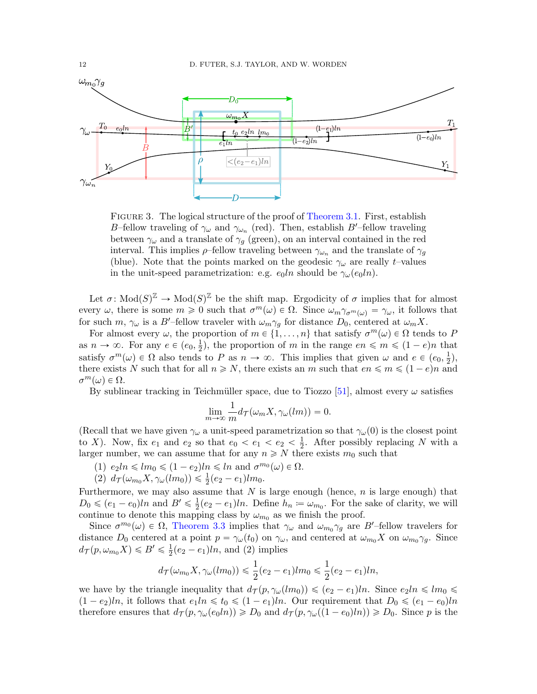<span id="page-11-0"></span>

FIGURE 3. The logical structure of the proof of [Theorem 3.1.](#page-9-0) First, establish B-fellow traveling of  $\gamma_\omega$  and  $\gamma_{\omega_n}$  (red). Then, establish B'-fellow traveling between  $\gamma_{\omega}$  and a translate of  $\gamma_{g}$  (green), on an interval contained in the red interval. This implies  $\rho$ -fellow traveling between  $\gamma_{\omega_n}$  and the translate of  $\gamma_q$ (blue). Note that the points marked on the geodesic  $\gamma_\omega$  are really t–values in the unit-speed parametrization: e.g.  $e_0\ln$  should be  $\gamma_\omega(e_0\ln)$ .

Let  $\sigma: Mod(S)^{\mathbb{Z}} \to Mod(S)^{\mathbb{Z}}$  be the shift map. Ergodicity of  $\sigma$  implies that for almost every  $\omega$ , there is some  $m \geq 0$  such that  $\sigma^m(\omega) \in \Omega$ . Since  $\omega_m \gamma_{\sigma^m(\omega)} = \gamma_{\omega}$ , it follows that for such m,  $\gamma_{\omega}$  is a B'-fellow traveler with  $\omega_m \gamma_g$  for distance  $D_0$ , centered at  $\omega_m X$ .

For almost every  $\omega$ , the proportion of  $m \in \{1, \ldots, n\}$  that satisfy  $\sigma^m(\omega) \in \Omega$  tends to P as  $n \to \infty$ . For any  $e \in (e_0, \frac{1}{2})$  $\frac{1}{2}$ , the proportion of m in the range  $en \leq m \leq (1-e)n$  that satisfy  $\sigma^m(\omega) \in \Omega$  also tends to P as  $n \to \infty$ . This implies that given  $\omega$  and  $e \in (e_0, \frac{1}{2})$  $(\frac{1}{2}),$ there exists N such that for all  $n \geq N$ , there exists an m such that  $en \leq m \leq (1 - e)n$  and  $\sigma^m(\omega) \in \Omega$ .

By sublinear tracking in Teichmüller space, due to Tiozzo [\[51\]](#page-37-2), almost every  $\omega$  satisfies

$$
\lim_{m \to \infty} \frac{1}{m} d\tau(\omega_m X, \gamma_\omega(lm)) = 0.
$$

(Recall that we have given  $\gamma_\omega$  a unit-speed parametrization so that  $\gamma_\omega(0)$  is the closest point to X). Now, fix  $e_1$  and  $e_2$  so that  $e_0 < e_1 < e_2 < \frac{1}{2}$  $\frac{1}{2}$ . After possibly replacing N with a larger number, we can assume that for any  $n \geq N$  there exists  $m_0$  such that

- (1)  $e_2 \ln \leq \ln_0 \leq (1 e_2) \ln \leq \ln \text{ and } \sigma^{m_0}(\omega) \in \Omega$ .
- (2)  $d_{\mathcal{T}}(\omega_{m_0} X, \gamma_\omega(lm_0)) \leq \frac{1}{2}(e_2 e_1)lm_0.$

Furthermore, we may also assume that  $N$  is large enough (hence,  $n$  is large enough) that  $D_0 \leqslant (e_1 - e_0)ln$  and  $B' \leqslant \frac{1}{2}$  $\frac{1}{2}(e_2 - e_1)ln$ . Define  $h_n = \omega_{m_0}$ . For the sake of clarity, we will continue to denote this mapping class by  $\omega_{m_0}$  as we finish the proof.

Since  $\sigma^{m_0}(\omega) \in \Omega$ , [Theorem 3.3](#page-10-1) implies that  $\gamma_\omega$  and  $\omega_{m_0} \gamma_g$  are B'-fellow travelers for distance  $D_0$  centered at a point  $p = \gamma_\omega(t_0)$  on  $\gamma_\omega$ , and centered at  $\omega_{m_0} X$  on  $\omega_{m_0} \gamma_g$ . Since  $d_{\mathcal{T}}(p, \omega_{m_0} X) \leq B' \leq \frac{1}{2}$  $\frac{1}{2}(e_2 - e_1)ln$ , and (2) implies

$$
d_{\mathcal{T}}(\omega_{m_0}X, \gamma_{\omega}(lm_0)) \leq \frac{1}{2}(e_2 - e_1)lm_0 \leq \frac{1}{2}(e_2 - e_1)ln,
$$

we have by the triangle inequality that  $d\tau (p, \gamma_\omega(lm_0)) \leqslant (e_2 - e_1)ln$ . Since  $e_2ln \leqslant lm_0 \leqslant$  $(1 - e_2)ln$ , it follows that  $e_1ln \le t_0 \le (1 - e_1)ln$ . Our requirement that  $D_0 \le (e_1 - e_0)ln$ therefore ensures that  $d_{\mathcal{T}}(p, \gamma_{\omega}(e_0 \ln)) \geq D_0$  and  $d_{\mathcal{T}}(p, \gamma_{\omega}((1 - e_0)\ln)) \geq D_0$ . Since p is the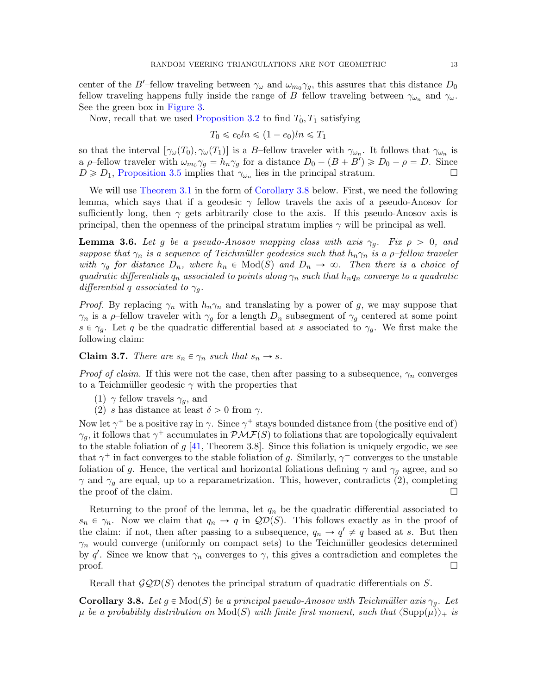center of the B'-fellow traveling between  $\gamma_\omega$  and  $\omega_{m_0} \gamma_g$ , this assures that this distance  $D_0$ fellow traveling happens fully inside the range of B–fellow traveling between  $\gamma_{\omega_n}$  and  $\gamma_{\omega}$ . See the green box in [Figure 3.](#page-11-0)

Now, recall that we used [Proposition 3.2](#page-10-0) to find  $T_0, T_1$  satisfying

$$
T_0 \leqslant e_0 \ln \leqslant (1 - e_0) \ln \leqslant T_1
$$

so that the interval  $[\gamma_\omega(T_0), \gamma_\omega(T_1)]$  is a B–fellow traveler with  $\gamma_{\omega_n}$ . It follows that  $\gamma_{\omega_n}$  is a  $\rho$ -fellow traveler with  $\omega_{m_0} \gamma_g = h_n \gamma_g$  for a distance  $D_0 - (B + B') \ge D_0 - \rho = D$ . Since  $D \ge D_1$ , [Proposition 3.5](#page-10-3) implies that  $\gamma_{\omega_n}$  lies in the principal stratum.

We will use [Theorem 3.1](#page-9-0) in the form of [Corollary 3.8](#page-12-0) below. First, we need the following lemma, which says that if a geodesic  $\gamma$  fellow travels the axis of a pseudo-Anosov for sufficiently long, then  $\gamma$  gets arbitrarily close to the axis. If this pseudo-Anosov axis is principal, then the openness of the principal stratum implies  $\gamma$  will be principal as well.

<span id="page-12-1"></span>**Lemma 3.6.** Let g be a pseudo-Anosov mapping class with axis  $\gamma_q$ . Fix  $\rho > 0$ , and suppose that  $\gamma_n$  is a sequence of Teichmüller geodesics such that  $h_n\gamma_n$  is a  $\rho$ -fellow traveler with  $\gamma_g$  for distance  $D_n$ , where  $h_n \in Mod(S)$  and  $D_n \to \infty$ . Then there is a choice of quadratic differentials  $q_n$  associated to points along  $\gamma_n$  such that  $h_nq_n$  converge to a quadratic differential q associated to  $\gamma_q$ .

*Proof.* By replacing  $\gamma_n$  with  $h_n\gamma_n$  and translating by a power of g, we may suppose that  $\gamma_n$  is a  $\rho$ -fellow traveler with  $\gamma_g$  for a length  $D_n$  subsegment of  $\gamma_g$  centered at some point  $s \in \gamma_q$ . Let q be the quadratic differential based at s associated to  $\gamma_q$ . We first make the following claim:

**Claim 3.7.** There are  $s_n \in \gamma_n$  such that  $s_n \to s$ .

*Proof of claim.* If this were not the case, then after passing to a subsequence,  $\gamma_n$  converges to a Teichmüller geodesic  $\gamma$  with the properties that

- (1)  $\gamma$  fellow travels  $\gamma_q$ , and
- (2) s has distance at least  $\delta > 0$  from  $\gamma$ .

Now let  $\gamma^+$  be a positive ray in  $\gamma$ . Since  $\gamma^+$  stays bounded distance from (the positive end of)  $\gamma_g$ , it follows that  $\gamma^+$  accumulates in  $\mathcal{PMF}(S)$  to foliations that are topologically equivalent to the stable foliation of  $g$  [\[41,](#page-36-20) Theorem 3.8]. Since this foliation is uniquely ergodic, we see that  $\gamma^+$  in fact converges to the stable foliation of g. Similarly,  $\gamma^-$  converges to the unstable foliation of g. Hence, the vertical and horizontal foliations defining  $\gamma$  and  $\gamma_q$  agree, and so  $\gamma$  and  $\gamma_g$  are equal, up to a reparametrization. This, however, contradicts (2), completing the proof of the claim.

Returning to the proof of the lemma, let  $q_n$  be the quadratic differential associated to  $s_n \in \gamma_n$ . Now we claim that  $q_n \to q$  in  $\mathcal{QD}(S)$ . This follows exactly as in the proof of the claim: if not, then after passing to a subsequence,  $q_n \to q' \neq q$  based at s. But then  $\gamma_n$  would converge (uniformly on compact sets) to the Teichmüller geodesics determined by q'. Since we know that  $\gamma_n$  converges to  $\gamma$ , this gives a contradiction and completes the  $\Box$ 

Recall that  $\mathcal{GQD}(S)$  denotes the principal stratum of quadratic differentials on S.

<span id="page-12-0"></span>**Corollary 3.8.** Let  $g \in Mod(S)$  be a principal pseudo-Anosov with Teichmüller axis  $\gamma_q$ . Let  $\mu$  be a probability distribution on  $\text{Mod}(S)$  with finite first moment, such that  $\langle \text{Supp}(\mu) \rangle_+$  is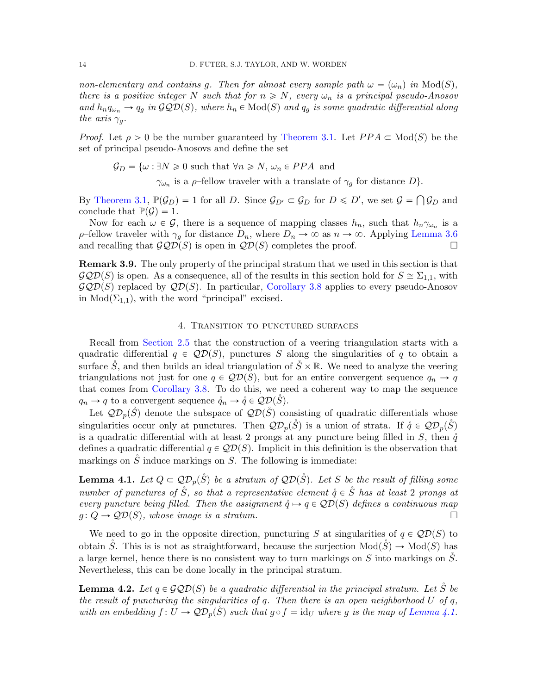non-elementary and contains q. Then for almost every sample path  $\omega = (\omega_n)$  in  $Mod(S)$ , there is a positive integer N such that for  $n \geq N$ , every  $\omega_n$  is a principal pseudo-Anosov and  $h_n q_{\omega_n} \to q_g$  in  $\mathcal{GQD}(S)$ , where  $h_n \in Mod(S)$  and  $q_g$  is some quadratic differential along the axis  $\gamma_a$ .

*Proof.* Let  $\rho > 0$  be the number guaranteed by [Theorem 3.1.](#page-9-0) Let  $PPA \subset Mod(S)$  be the set of principal pseudo-Anosovs and define the set

 $\mathcal{G}_D = \{\omega : \exists N \geq 0 \text{ such that } \forall n \geq N, \omega_n \in PPA \text{ and } \Omega \}$ 

 $\gamma_{\omega_n}$  is a  $\rho$ -fellow traveler with a translate of  $\gamma_g$  for distance  $D$ .

By [Theorem 3.1,](#page-9-0)  $\mathbb{P}(\mathcal{G}_D) = 1$  for all D. Since  $\mathcal{G}_{D'} \subset \mathcal{G}_D$  for  $D \le D'$ , we set  $\mathcal{G} =$ Ş  $\mathcal{G}_D$  and conclude that  $\mathbb{P}(\mathcal{G}) = 1$ .

Now for each  $\omega \in \mathcal{G}$ , there is a sequence of mapping classes  $h_n$ , such that  $h_n\gamma_{\omega_n}$  is a ρ–fellow traveler with  $\gamma_q$  for distance  $D_n$ , where  $D_n \to \infty$  as  $n \to \infty$ . Applying [Lemma 3.6](#page-12-1) and recalling that  $\mathcal{GQD}(S)$  is open in  $\mathcal{QD}(S)$  completes the proof.

<span id="page-13-3"></span>Remark 3.9. The only property of the principal stratum that we used in this section is that  $\mathcal{GQD}(S)$  is open. As a consequence, all of the results in this section hold for  $S \cong \Sigma_{1,1}$ , with  $\mathcal{GQD}(S)$  replaced by  $\mathcal{QD}(S)$ . In particular, [Corollary 3.8](#page-12-0) applies to every pseudo-Anosov in  $Mod(\Sigma_{1,1})$ , with the word "principal" excised.

### 4. Transition to punctured surfaces

<span id="page-13-0"></span>Recall from [Section 2.5](#page-7-0) that the construction of a veering triangulation starts with a quadratic differential  $q \in \mathcal{QD}(S)$ , punctures S along the singularities of q to obtain a surface  $\check{S}$ , and then builds an ideal triangulation of  $\check{S} \times \mathbb{R}$ . We need to analyze the veering triangulations not just for one  $q \in QD(S)$ , but for an entire convergent sequence  $q_n \to q$ that comes from [Corollary 3.8.](#page-12-0) To do this, we need a coherent way to map the sequence  $q_n \to q$  to a convergent sequence  $\mathring{q}_n \to \mathring{q} \in \mathcal{QD}(\check{S})$ .

Let  $\mathcal{QD}_p(\check{S})$  denote the subspace of  $\mathcal{QD}(\check{S})$  consisting of quadratic differentials whose singularities occur only at punctures. Then  $\mathcal{QD}_p(\check{S})$  is a union of strata. If  $\mathring{q} \in \mathcal{QD}_p(\check{S})$ is a quadratic differential with at least 2 prongs at any puncture being filled in S, then  $\mathring{q}$ defines a quadratic differential  $q \in \mathcal{QD}(S)$ . Implicit in this definition is the observation that markings on  $\tilde{S}$  induce markings on  $S$ . The following is immediate:

<span id="page-13-1"></span>**Lemma 4.1.** Let  $Q \subset Q\mathcal{D}_p(\overset{\circ}{S})$  be a stratum of  $Q\mathcal{D}(\overset{\circ}{S})$ . Let S be the result of filling some number of punctures of  $\hat{S}$ , so that a representative element  $\hat{q} \in \hat{S}$  has at least 2 prongs at every puncture being filled. Then the assignment  $\mathring{q} \mapsto q \in \mathcal{QD}(S)$  defines a continuous map  $g: Q \to Q\mathcal{D}(S)$ , whose image is a stratum.

We need to go in the opposite direction, puncturing S at singularities of  $q \in \mathcal{QD}(S)$  to obtain S<sup> $\tilde{S}$ </sup>. This is is not as straightforward, because the surjection  $Mod(\tilde{S}) \rightarrow Mod(S)$  has a large kernel, hence there is no consistent way to turn markings on S into markings on  $\tilde{S}$ . Nevertheless, this can be done locally in the principal stratum.

<span id="page-13-2"></span>**Lemma 4.2.** Let  $q \in \mathcal{GQD}(S)$  be a quadratic differential in the principal stratum. Let  $\check{S}$  be the result of puncturing the singularities of q. Then there is an open neighborhood  $U$  of  $q$ , with an embedding  $f: U \to \mathcal{QD}_p(\check{S})$  such that  $g \circ f = id_U$  where g is the map of [Lemma 4.1.](#page-13-1)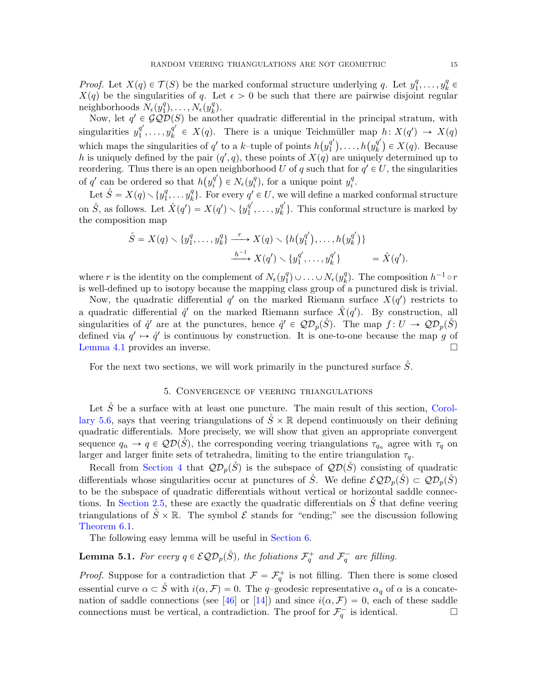*Proof.* Let  $X(q) \in \mathcal{T}(S)$  be the marked conformal structure underlying q. Let  $y_1^q$  $y_1^q, \ldots, y_k^q$  $k^q$   $\in$  $X(q)$  be the singularities of q. Let  $\epsilon > 0$  be such that there are pairwise disjoint regular neighborhoods  $N_{\epsilon}(y_1^q)$  $\tilde{N}_1^{(q)},\ldots,\tilde{N_\epsilon}(y^q_k)$  $\binom{q}{k}$ .

Now, let  $q' \in \mathcal{GQD}(S)$  be another quadratic differential in the principal stratum, with singularities  $y_1^{q'}$  $y_1^{q'}, \ldots, y_k^{q'}$  $K_{k}^{q'} \in X(q)$ . There is a unique Teichmüller map  $h: X(q') \to X(q)$ which maps the singularities of  $q'$  to a k-tuple of points  $h(y_1^{q'}$ muner map<br>  $\binom{q'}{1},\ldots,h\big(y_k^{q'}\big)$  ${k \choose k} \in X(q)$ . Because h is uniquely defined by the pair  $(q', q)$ , these points of  $X(q)$  are uniquely determined up to reordering. Thus there is an open neighborhood U of q such that for  $q' \in U$ , the singularities of q' can be ordered so that  $h(y_i^{q'})$  $\binom{q'}{i} \in N_{\epsilon}(y_i^q)$  $y_i^q$ , for a unique point  $y_i^q$  $\frac{q}{i}$ .

Let  $\mathring{S} = X(q) \diagdown \{y_1^q\}$  $y_1^q, \ldots y_k^q$  $\binom{q}{k}$ . For every  $q' \in U$ , we will define a marked conformal structure on  $\mathring{S}$ , as follows. Let  $\mathring{X}(q') = X(q') \setminus \{y_1^{q'}\}$  $y_1^{q'}, \ldots, y_k^{q'}$  $\{ \}_{k}^{q}$ . This conformal structure is marked by the composition map

$$
\hat{S} = X(q) \setminus \{y_1^q, \dots, y_k^q\} \xrightarrow{r} X(q) \setminus \{h(y_1^{q'}), \dots, h(y_k^{q'})\} \xrightarrow{h^{-1}} X(q') \setminus \{y_1^{q'}, \dots, y_k^{q'}\} = \mathring{X}(q').
$$

where r is the identity on the complement of  $N_{\epsilon}(y_1^q)$  $_1^q) \cup \ldots \cup N_{\epsilon}(y_k^q)$  $_{k}^{q}$ ). The composition  $h^{-1} \circ r$ is well-defined up to isotopy because the mapping class group of a punctured disk is trivial.

Now, the quadratic differential  $q'$  on the marked Riemann surface  $X(q')$  restricts to a quadratic differential  $\mathring{q}'$  on the marked Riemann surface  $\mathring{X}(q')$ . By construction, all singularities of  $\hat{q}'$  are at the punctures, hence  $\hat{q}' \in Q\mathcal{D}_p(\mathring{S})$ . The map  $f: U \to Q\mathcal{D}_p(\mathring{S})$ defined via  $q' \mapsto \hat{q}'$  is continuous by construction. It is one-to-one because the map g of [Lemma 4.1](#page-13-1) provides an inverse.

For the next two sections, we will work primarily in the punctured surface  $\ddot{S}$ .

# 5. Convergence of veering triangulations

<span id="page-14-0"></span>Let  $\mathring{S}$  be a surface with at least one puncture. The main result of this section, [Corol](#page-17-0)[lary 5.6,](#page-17-0) says that veering triangulations of  $\tilde{S} \times \mathbb{R}$  depend continuously on their defining quadratic differentials. More precisely, we will show that given an appropriate convergent sequence  $q_n \to q \in \mathcal{QD}(\check{S})$ , the corresponding veering triangulations  $\tau_{q_n}$  agree with  $\tau_q$  on larger and larger finite sets of tetrahedra, limiting to the entire triangulation  $\tau_q$ .

Recall from [Section 4](#page-13-0) that  $\mathcal{QD}_p(\check{S})$  is the subspace of  $\mathcal{QD}(\check{S})$  consisting of quadratic differentials whose singularities occur at punctures of  $\ddot{S}$ . We define  $\mathcal{EQD}_p(\ddot{S}) \subset \mathcal{QD}_p(\ddot{S})$ to be the subspace of quadratic differentials without vertical or horizontal saddle connec-tions. In [Section 2.5,](#page-7-0) these are exactly the quadratic differentials on  $\tilde{S}$  that define veering triangulations of  $\check{S} \times \mathbb{R}$ . The symbol  $\mathcal E$  stands for "ending;" see the discussion following [Theorem 6.1.](#page-18-1)

The following easy lemma will be useful in [Section 6.](#page-17-1)

<span id="page-14-1"></span>**Lemma 5.1.** For every  $q \in \mathcal{EQD}_p(\overset{\circ}{S})$ , the foliations  $\mathcal{F}_q^+$  and  $\mathcal{F}_q^-$  are filling.

*Proof.* Suppose for a contradiction that  $\mathcal{F} = \mathcal{F}_q^+$  is not filling. Then there is some closed essential curve  $\alpha \subset \mathring{S}$  with  $i(\alpha, \mathcal{F})=0$ . The q-geodesic representative  $\alpha_{\alpha}$  of  $\alpha$  is a concate-nation of saddle connections (see [\[46\]](#page-36-21) or [\[14\]](#page-35-13)) and since  $i(\alpha, \mathcal{F}) = 0$ , each of these saddle connections must be vertical, a contradiction. The proof for  $\mathcal{F}_q^-$  is identical.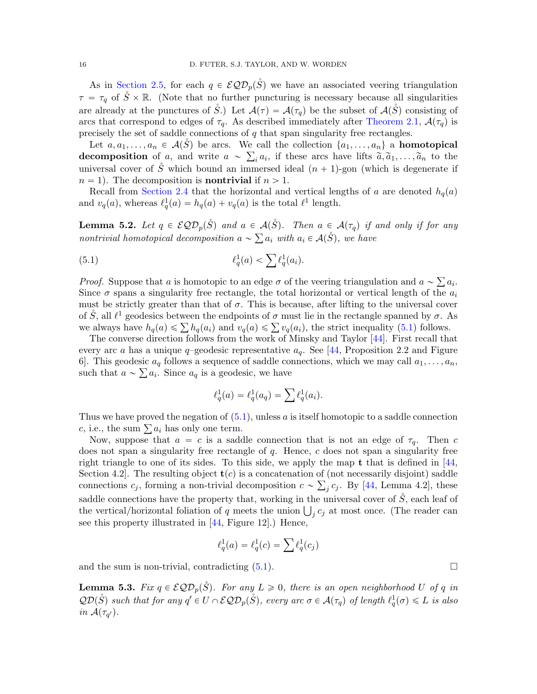As in [Section 2.5,](#page-7-0) for each  $q \in \mathcal{EQD}_p(\overset{\circ}{S})$  we have an associated veering triangulation  $\tau = \tau_q$  of  $\check{S} \times \mathbb{R}$ . (Note that no further puncturing is necessary because all singularities are already at the punctures of  $\check{S}$ .) Let  $\mathcal{A}(\tau) = \mathcal{A}(\tau_q)$  be the subset of  $\mathcal{A}(\check{S})$  consisting of arcs that correspond to edges of  $\tau_q$ . As described immediately after [Theorem 2.1,](#page-8-1)  $\mathcal{A}(\tau_q)$  is precisely the set of saddle connections of q that span singularity free rectangles.

Let  $a, a_1, \ldots, a_n \in \mathcal{A}(\mathring{S})$  be arcs. We call the collection  $\{a_1, \ldots, a_n\}$  a **homotopical** decomposition of a, and write  $a \sim \sum_i a_i$ , if these arcs have lifts  $\tilde{a}, \tilde{a}_1, \ldots, \tilde{a}_n$  to the universal cover of  $\check{S}$  which bound an immersed ideal  $(n + 1)$ -gon (which is degenerate if  $n = 1$ ). The decomposition is **nontrivial** if  $n > 1$ .

Recall from [Section 2.4](#page-7-1) that the horizontal and vertical lengths of a are denoted  $h_q(a)$ and  $v_q(a)$ , whereas  $\ell_q^1(a) = h_q(a) + v_q(a)$  is the total  $\ell^1$  length.

<span id="page-15-1"></span>**Lemma 5.2.** Let  $q \in \mathcal{EQD}_p(\overset{\circ}{S})$  and  $a \in \mathcal{A}(\overset{\circ}{S})$ . Then  $a \in \mathcal{A}(\tau_q)$  if and only if for any nontrivial homotopical decomposition  $a \sim \sum a_i$  with  $a_i \in \mathcal{A}(\mathring{S})$ , we have

(5.1) 
$$
\ell_q^1(a) < \sum \ell_q^1(a_i).
$$

*Proof.* Suppose that a is homotopic to an edge  $\sigma$  of the veering triangulation and  $a \sim \sum a_i$ . Since  $\sigma$  spans a singularity free rectangle, the total horizontal or vertical length of the  $a_i$ must be strictly greater than that of  $\sigma$ . This is because, after lifting to the universal cover of  $\dot{S}$ , all  $\ell^1$  geodesics between the endpoints of  $\sigma$  must lie in the rectangle spanned by  $\sigma$ . As of S, all  $l^1$  geodesics between the endpoints of  $\sigma$  must lie in the rectangle spanned by  $\sigma$ .  $R$  we always have  $h_q(a) \leq \sum h_q(a_i)$  and  $v_q(a) \leq \sum v_q(a_i)$ , the strict inequality [\(5.1\)](#page-15-0) follows.

The converse direction follows from the work of Minsky and Taylor [\[44\]](#page-36-1). First recall that every arc a has a unique  $q$ –geodesic representative  $a_q$ . See [\[44,](#page-36-1) Proposition 2.2 and Figure 6. This geodesic  $a_q$  follows a sequence of saddle connections, which we may call  $a_1, \ldots, a_n$ , such that  $a \sim \sum a_i$ . Since  $a_q$  is a geodesic, we have

<span id="page-15-0"></span>
$$
\ell_q^1(a) = \ell_q^1(a_q) = \sum \ell_q^1(a_i).
$$

Thus we have proved the negation of  $(5.1)$ , unless a is itself homotopic to a saddle connection Thus we have proved the negation of  $(5.$ <br>c, i.e., the sum  $\sum a_i$  has only one term.

Now, suppose that  $a = c$  is a saddle connection that is not an edge of  $\tau_q$ . Then c does not span a singularity free rectangle of  $q$ . Hence,  $c$  does not span a singularity free right triangle to one of its sides. To this side, we apply the map  $t$  that is defined in [\[44,](#page-36-1)] Section 4.2. The resulting object  $\mathbf{t}(c)$  is a concatenation of (not necessarily disjoint) saddle connections  $c_j$ , forming a non-trivial decomposition  $c \sim \sum_j c_j$ . By [\[44,](#page-36-1) Lemma 4.2], these saddle connections have the property that, working in the universal cover of  $\check{S}$ , each leaf of saddle connections have the property that, working in the universal cover of S, each leaf of the vertical/horizontal foliation of q meets the union  $\bigcup_j c_j$  at most once. (The reader can see this property illustrated in [\[44,](#page-36-1) Figure 12].) Hence,

$$
\ell_q^1(a) = \ell_q^1(c) = \sum \ell_q^1(c_j)
$$

and the sum is non-trivial, contradicting  $(5.1)$ .

<span id="page-15-2"></span>**Lemma 5.3.** Fix  $q \in \mathcal{EQD}_p(\check{S})$ . For any  $L \geq 0$ , there is an open neighborhood U of q in  $\mathcal{QD}(\mathring{S})$  such that for any  $q' \in U \cap \mathcal{EQD}_p(\mathring{S})$ , every arc  $\sigma \in \mathcal{A}(\tau_q)$  of length  $\ell_q^1(\sigma) \leq L$  is also in  $\mathcal{A}(\tau_{q}).$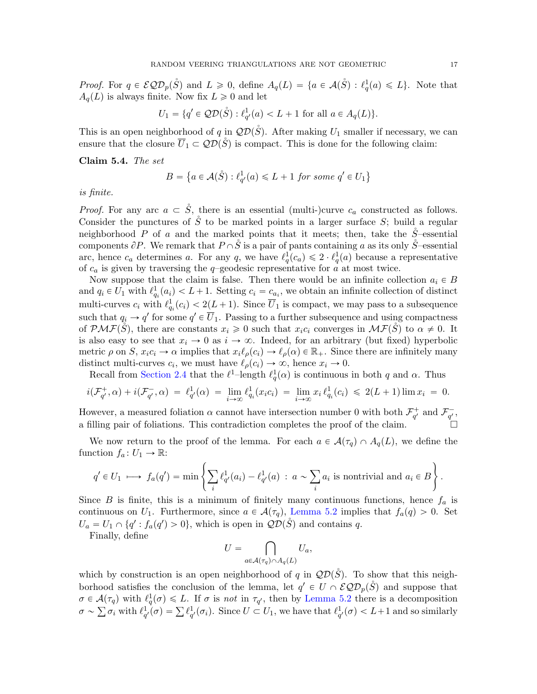*Proof.* For  $q \in \mathcal{EQD}_p(\mathring{S})$  and  $L \geq 0$ , define  $A_q(L) = \{a \in \mathcal{A}(\mathring{S}) : \ell_q^1(a) \leq L\}$ . Note that  $A_q(L)$  is always finite. Now fix  $L \geq 0$  and let

$$
U_1 = \{q' \in \mathcal{QD}(\mathring{S}) : \ell_{q'}^1(a) < L + 1 \text{ for all } a \in A_q(L)\}.
$$

This is an open neighborhood of q in  $\mathcal{QD}(\check{S})$ . After making  $U_1$  smaller if necessary, we can ensure that the closure  $\overline{U}_1 \subset \mathcal{QD}(\check{S})$  is compact. This is done for the following claim:

<span id="page-16-0"></span>Claim 5.4. The set

$$
B = \left\{ a \in \mathcal{A}(\mathring{S}) : \ell_{q'}^1(a) \leq L + 1 \text{ for some } q' \in U_1 \right\}
$$

is finite.

*Proof.* For any arc  $a \subset \dot{S}$ , there is an essential (multi-)curve  $c_a$  constructed as follows. Consider the punctures of  $\check{S}$  to be marked points in a larger surface  $S$ ; build a regular neighborhood P of a and the marked points that it meets; then, take the  $\check{S}$ –essential components  $\partial P$ . We remark that  $P \cap \dot{S}$  is a pair of pants containing a as its only  $\dot{S}$ –essential arc, hence  $c_a$  determines a. For any q, we have  $\ell_q^1(c_a) \leq 2 \cdot \ell_q^1(a)$  because a representative of  $c_a$  is given by traversing the q-geodesic representative for  $a$  at most twice.

Now suppose that the claim is false. Then there would be an infinite collection  $a_i \in B$ and  $q_i \in U_1$  with  $\ell^1_{q_i}(a_i) < L+1$ . Setting  $c_i = c_{a_i}$ , we obtain an infinite collection of distinct multi-curves  $c_i$  with  $\ell_{q_i}^1(c_i) < 2(L+1)$ . Since  $\overline{U}_1$  is compact, we may pass to a subsequence such that  $q_i \to q'$  for some  $q' \in \overline{U}_1$ . Passing to a further subsequence and using compactness of  $\mathcal{PMF}(\check{S})$ , there are constants  $x_i \geq 0$  such that  $x_i c_i$  converges in  $\mathcal{MF}(\check{S})$  to  $\alpha \neq 0$ . It is also easy to see that  $x_i \to 0$  as  $i \to \infty$ . Indeed, for an arbitrary (but fixed) hyperbolic metric  $\rho$  on S,  $x_i c_i \to \alpha$  implies that  $x_i \ell_\rho(c_i) \to \ell_\rho(\alpha) \in \mathbb{R}_+$ . Since there are infinitely many distinct multi-curves  $c_i$ , we must have  $\ell_\rho(c_i) \to \infty$ , hence  $x_i \to 0$ .

Recall from [Section 2.4](#page-7-1) that the  $\ell^1$ -length  $\ell_q^1(\alpha)$  is continuous in both q and  $\alpha$ . Thus

$$
i(\mathcal{F}_{q'}^+, \alpha) + i(\mathcal{F}_{q'}^-, \alpha) = \ell_{q'}^1(\alpha) = \lim_{i \to \infty} \ell_{q_i}^1(x_i c_i) = \lim_{i \to \infty} x_i \ell_{q_i}^1(c_i) \leq 2(L+1)\lim x_i = 0.
$$

However, a measured foliation  $\alpha$  cannot have intersection number 0 with both  $\mathcal{F}_{q'}^+$  and  $\mathcal{F}_{q'}^-$ , a filling pair of foliations. This contradiction completes the proof of the claim.

We now return to the proof of the lemma. For each  $a \in \mathcal{A}(\tau_q) \cap A_q(L)$ , we define the function  $f_a: U_1 \to \mathbb{R}$ :  $\mathbf{r}$ 

$$
q' \in U_1 \longrightarrow f_a(q') = \min \left\{ \sum_i \ell_{q'}^1(a_i) - \ell_{q'}^1(a) \; : \; a \sim \sum_i a_i \text{ is nontrivial and } a_i \in B \right\}.
$$

Since B is finite, this is a minimum of finitely many continuous functions, hence  $f_a$  is continuous on  $U_1$ . Furthermore, since  $a \in \mathcal{A}(\tau_q)$ , [Lemma 5.2](#page-15-1) implies that  $f_a(q) > 0$ . Set  $U_a = U_1 \cap \{q' : f_a(q') > 0\}$ , which is open in  $\mathcal{QD}(\mathring{S})$  and contains q.

Finally, define

$$
U = \bigcap_{a \in \mathcal{A}(\tau_q) \cap A_q(L)} U_a,
$$

č

which by construction is an open neighborhood of q in  $\mathcal{QD}(\check{S})$ . To show that this neighborhood satisfies the conclusion of the lemma, let  $q' \in U \cap \mathcal{EQD}_p(\overset{\circ}{S})$  and suppose that  $\sigma \in \mathcal{A}(\tau_q)$  with  $\ell_q^1(\sigma) \leq L$ . If  $\sigma$  is not in  $\tau_{q'}$ , then by [Lemma 5.2](#page-15-1) there is a decomposition  $\sigma \in \mathcal{A}(\tau_q)$  with  $\ell_q^1(\sigma) \leq L$ . If  $\sigma$  is not in  $\tau_{q'}$ , then by Lemma 5.2 there is a decomposition  $\sigma \sim \sum \sigma_i$  with  $\ell_{q'}^1(\sigma) = \sum \ell_{q'}^1(\sigma_i)$ . Since  $U \subset U_1$ , we have that  $\ell_{q'}^1(\sigma) < L+1$  and so similarly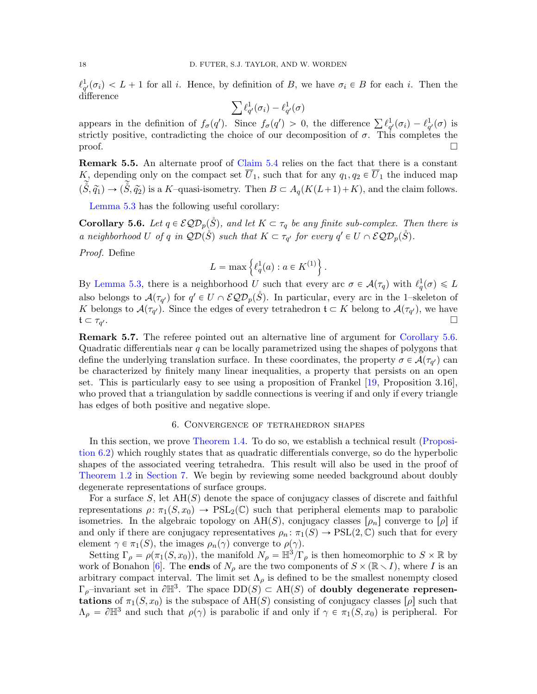$\ell_{q'}^1(\sigma_i) < L + 1$  for all i. Hence, by definition of B, we have  $\sigma_i \in B$  for each i. Then the difference

$$
\sum \ell_{q'}^1(\sigma_i) - \ell_{q'}^1(\sigma)
$$

appears in the definition of  $f_{\sigma}(q')$ . Since  $f_{\sigma}(q') > 0$ , the difference  $\sum \ell_{q'}^1(\sigma_i) - \ell_{q'}^1(\sigma)$  is strictly positive, contradicting the choice of our decomposition of  $\sigma$ . This completes the  $\Box$ 

Remark 5.5. An alternate proof of [Claim 5.4](#page-16-0) relies on the fact that there is a constant K, depending only on the compact set  $\overline{U}_1$ , such that for any  $q_1, q_2 \in \overline{U}_1$  the induced map  $(\tilde{\check{S}}, \tilde{q}_1) \rightarrow (\tilde{\check{S}}, \tilde{q}_2)$  is a K–quasi-isometry. Then  $B \subset A_q(K(L+1)+K)$ , and the claim follows.

[Lemma 5.3](#page-15-2) has the following useful corollary:

<span id="page-17-0"></span>**Corollary 5.6.** Let  $q \in \mathcal{EQD}_p(\check{S})$ , and let  $K \subset \tau_q$  be any finite sub-complex. Then there is a neighborhood U of q in  $\mathcal{QD}(\dot{S})$  such that  $K \subset \tau_{q'}$  for every  $q' \in U \cap \mathcal{EQD}_p(\dot{S})$ .

Proof. Define

$$
L = \max \left\{ \ell_q^1(a) : a \in K^{(1)} \right\}.
$$

By [Lemma 5.3,](#page-15-2) there is a neighborhood U such that every arc  $\sigma \in \mathcal{A}(\tau_q)$  with  $\ell_q^1(\sigma) \leq L$ also belongs to  $\mathcal{A}(\tau_{q'})$  for  $q' \in U \cap \mathcal{EQD}_p(\overset{\circ}{S})$ . In particular, every arc in the 1–skeleton of K belongs to  $\mathcal{A}(\tau_{q'})$ . Since the edges of every tetrahedron  $\mathfrak{t} \subset K$  belong to  $\mathcal{A}(\tau_{q'})$ , we have  $\mathfrak{t}\subset \tau_{q'}.$  $\frac{1}{2}$ .

**Remark 5.7.** The referee pointed out an alternative line of argument for [Corollary 5.6.](#page-17-0) Quadratic differentials near  $q$  can be locally parametrized using the shapes of polygons that define the underlying translation surface. In these coordinates, the property  $\sigma \in \mathcal{A}(\tau_{q'})$  can be characterized by finitely many linear inequalities, a property that persists on an open set. This is particularly easy to see using a proposition of Frankel [\[19,](#page-36-22) Proposition 3.16], who proved that a triangulation by saddle connections is veering if and only if every triangle has edges of both positive and negative slope.

### 6. Convergence of tetrahedron shapes

<span id="page-17-1"></span>In this section, we prove [Theorem 1.4.](#page-3-0) To do so, we establish a technical result [\(Proposi](#page-18-0)[tion 6.2\)](#page-18-0) which roughly states that as quadratic differentials converge, so do the hyperbolic shapes of the associated veering tetrahedra. This result will also be used in the proof of [Theorem 1.2](#page-2-0) in [Section 7.](#page-20-0) We begin by reviewing some needed background about doubly degenerate representations of surface groups.

For a surface S, let  $AH(S)$  denote the space of conjugacy classes of discrete and faithful representations  $\rho: \pi_1(S, x_0) \to \text{PSL}_2(\mathbb{C})$  such that peripheral elements map to parabolic isometries. In the algebraic topology on  $AH(S)$ , conjugacy classes  $[\rho_n]$  converge to  $[\rho]$  if and only if there are conjugacy representatives  $\rho_n: \pi_1(S) \to \text{PSL}(2, \mathbb{C})$  such that for every element  $\gamma \in \pi_1(S)$ , the images  $\rho_n(\gamma)$  converge to  $\rho(\gamma)$ .

Setting  $\Gamma_{\rho} = \rho(\pi_1(S, x_0))$ , the manifold  $N_{\rho} = \mathbb{H}^3/\Gamma_{\rho}$  is then homeomorphic to  $S \times \mathbb{R}$  by work of Bonahon [\[6\]](#page-35-14). The ends of  $N_\rho$  are the two components of  $S \times (\mathbb{R} \setminus I)$ , where I is an arbitrary compact interval. The limit set  $\Lambda_{\rho}$  is defined to be the smallest nonempty closed  $\Gamma_{\rho}$ -invariant set in  $\partial \mathbb{H}^3$ . The space  $DD(S) \subset AH(S)$  of **doubly degenerate represen**tations of  $\pi_1(S, x_0)$  is the subspace of  $AH(S)$  consisting of conjugacy classes  $[\rho]$  such that  $\Lambda_{\rho} = \partial \mathbb{H}^3$  and such that  $\rho(\gamma)$  is parabolic if and only if  $\gamma \in \pi_1(S, x_0)$  is peripheral. For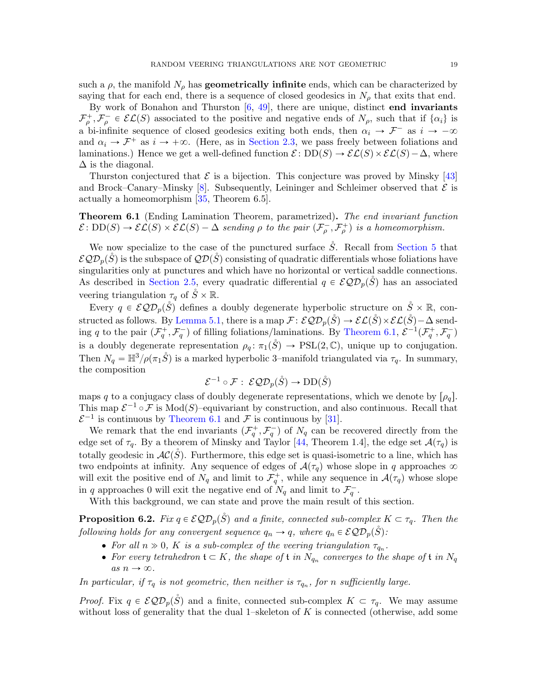such a  $\rho$ , the manifold  $N_{\rho}$  has **geometrically infinite** ends, which can be characterized by saying that for each end, there is a sequence of closed geodesics in  $N_{\rho}$  that exits that end.

By work of Bonahon and Thurston  $[6, 49]$  $[6, 49]$ , there are unique, distinct **end invariants**  $\mathcal{F}^+_{\rho}, \mathcal{F}^-_{\rho} \in \mathcal{EL}(S)$  associated to the positive and negative ends of  $N_{\rho}$ , such that if  $\{\alpha_i\}$  is a bi-infinite sequence of closed geodesics exiting both ends, then  $\alpha_i \to \mathcal{F}^-$  as  $i \to -\infty$ and  $\alpha_i \to \mathcal{F}^+$  as  $i \to +\infty$ . (Here, as in [Section 2.3,](#page-6-1) we pass freely between foliations and laminations.) Hence we get a well-defined function  $\mathcal{E}: DD(S) \to \mathcal{EL}(S) \times \mathcal{EL}(S) - \Delta$ , where  $\Delta$  is the diagonal.

Thurston conjectured that  $\mathcal E$  is a bijection. This conjecture was proved by Minsky [\[43\]](#page-36-9) and Brock–Canary–Minsky [\[8\]](#page-35-6). Subsequently, Leininger and Schleimer observed that  $\mathcal E$  is actually a homeomorphism [\[35,](#page-36-10) Theorem 6.5].

<span id="page-18-1"></span>Theorem 6.1 (Ending Lamination Theorem, parametrized). The end invariant function  $\mathcal{E}: DD(S) \to \mathcal{EL}(S) \times \mathcal{EL}(S) - \Delta$  sending  $\rho$  to the pair  $(\mathcal{F}_{\rho}^{-}, \mathcal{F}_{\rho}^{+})$  is a homeomorphism.

We now specialize to the case of the punctured surface  $\check{S}$ . Recall from [Section 5](#page-14-0) that  $\mathcal{EQD}_p(\tilde{S})$  is the subspace of  $\mathcal{QD}(\tilde{S})$  consisting of quadratic differentials whose foliations have singularities only at punctures and which have no horizontal or vertical saddle connections. As described in [Section 2.5,](#page-7-0) every quadratic differential  $q \in \mathcal{EQD}_p(\tilde{S})$  has an associated veering triangulation  $\tau_q$  of  $\ddot{S} \times \mathbb{R}$ .

Every  $q \in \mathcal{EQD}_p(\overset{\circ}{S})$  defines a doubly degenerate hyperbolic structure on  $\overset{\circ}{S} \times \mathbb{R}$ , con-structed as follows. By [Lemma 5.1,](#page-14-1) there is a map  $\mathcal{F} : \mathcal{EQD}_n(\check{S}) \to \mathcal{EL}(\check{S}) \times \mathcal{EL}(\check{S}) - \Delta$  sending q to the pair  $(\mathcal{F}_q^+, \mathcal{F}_q^-)$  of filling foliations/laminations. By [Theorem 6.1,](#page-18-1)  $\mathcal{E}^{-1}(\mathcal{F}_q^+, \mathcal{F}_q^-)$ is a doubly degenerate representation  $\rho_q: \pi_1(S) \to \text{PSL}(2, \mathbb{C})$ , unique up to conjugation. Then  $N_q = \mathbb{H}^3/\rho(\pi_1 \mathring{S})$  is a marked hyperbolic 3–manifold triangulated via  $\tau_q$ . In summary, the composition

$$
\mathcal{E}^{-1} \circ \mathcal{F} : \ \mathcal{EQD}_p(\overset{\circ}{S}) \to \mathrm{DD}(\overset{\circ}{S})
$$

maps q to a conjugacy class of doubly degenerate representations, which we denote by  $[\rho_q]$ . This map  $\mathcal{E}^{-1} \circ \mathcal{F}$  is Mod(S)-equivariant by construction, and also continuous. Recall that  $\mathcal{E}^{-1}$  is continuous by [Theorem 6.1](#page-18-1) and F is continuous by [\[31\]](#page-36-14).

We remark that the end invariants  $(\mathcal{F}_q^+, \mathcal{F}_q^-)$  of  $N_q$  can be recovered directly from the edge set of  $\tau_q$ . By a theorem of Minsky and Taylor [\[44,](#page-36-1) Theorem 1.4], the edge set  $\mathcal{A}(\tau_q)$  is totally geodesic in  $AC(S)$ . Furthermore, this edge set is quasi-isometric to a line, which has two endpoints at infinity. Any sequence of edges of  $\mathcal{A}(\tau_q)$  whose slope in q approaches  $\infty$ will exit the positive end of  $N_q$  and limit to  $\mathcal{F}_q^+$ , while any sequence in  $\mathcal{A}(\tau_q)$  whose slope in q approaches 0 will exit the negative end of  $N_q$  and limit to  $\mathcal{F}_q^-$ .

With this background, we can state and prove the main result of this section.

<span id="page-18-0"></span>**Proposition 6.2.** Fix  $q \in \mathcal{EQD}_p(\check{S})$  and a finite, connected sub-complex  $K \subset \tau_q$ . Then the following holds for any convergent sequence  $q_n \to q$ , where  $q_n \in \mathcal{EQD}_p(\check{S})$ :

- For all  $n \gg 0$ , K is a sub-complex of the veering triangulation  $\tau_{q_n}$ .
- For every tetrahedron  $\mathfrak{t} \subset K$ , the shape of  $\mathfrak{t}$  in  $N_{q_n}$  converges to the shape of  $\mathfrak{t}$  in  $N_q$ as  $n \to \infty$ .

In particular, if  $\tau_q$  is not geometric, then neither is  $\tau_{q_n}$ , for n sufficiently large.

*Proof.* Fix  $q \in \mathcal{EQD}_p(\mathring{S})$  and a finite, connected sub-complex  $K \subset \tau_q$ . We may assume without loss of generality that the dual 1–skeleton of  $K$  is connected (otherwise, add some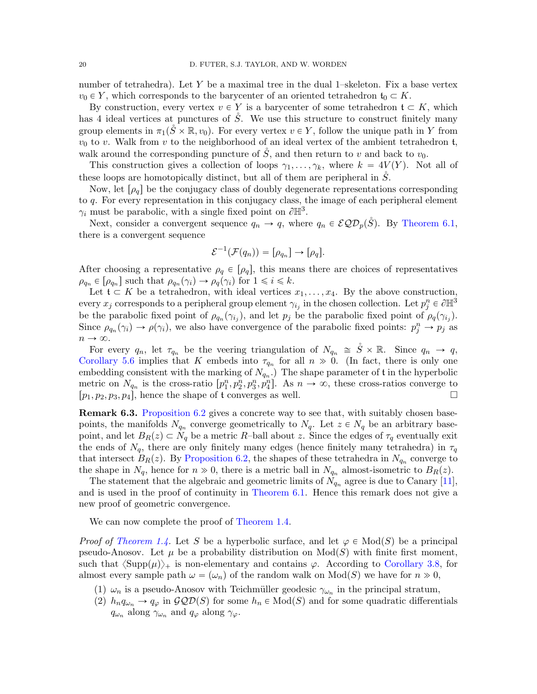number of tetrahedra). Let Y be a maximal tree in the dual 1–skeleton. Fix a base vertex  $v_0 \in Y$ , which corresponds to the barycenter of an oriented tetrahedron  $\mathfrak{t}_0 \subset K$ .

By construction, every vertex  $v \in Y$  is a barycenter of some tetrahedron  $\mathfrak{t} \subset K$ , which has 4 ideal vertices at punctures of  $S$ . We use this structure to construct finitely many group elements in  $\pi_1(\check{S} \times \mathbb{R}, v_0)$ . For every vertex  $v \in Y$ , follow the unique path in Y from  $v_0$  to v. Walk from v to the neighborhood of an ideal vertex of the ambient tetrahedron t, walk around the corresponding puncture of  $\check{S}$ , and then return to v and back to  $v_0$ .

This construction gives a collection of loops  $\gamma_1, \ldots, \gamma_k$ , where  $k = 4V(Y)$ . Not all of these loops are homotopically distinct, but all of them are peripheral in  $\tilde{S}$ .

Now, let  $\lceil \rho_q \rceil$  be the conjugacy class of doubly degenerate representations corresponding to q. For every representation in this conjugacy class, the image of each peripheral element  $\gamma_i$  must be parabolic, with a single fixed point on  $\partial \mathbb{H}^3$ .

Next, consider a convergent sequence  $q_n \to q$ , where  $q_n \in \mathcal{EQD}_p(\check{S})$ . By [Theorem 6.1,](#page-18-1) there is a convergent sequence

$$
\mathcal{E}^{-1}(\mathcal{F}(q_n)) = [\rho_{q_n}] \to [\rho_q].
$$

After choosing a representative  $\rho_q \in [\rho_q]$ , this means there are choices of representatives  $\rho_{q_n} \in [\rho_{q_n}]$  such that  $\rho_{q_n}(\gamma_i) \to \rho_q(\gamma_i)$  for  $1 \leq i \leq k$ .

Let  $\mathfrak{t} \subset K$  be a tetrahedron, with ideal vertices  $x_1, \ldots, x_4$ . By the above construction, every  $x_j$  corresponds to a peripheral group element  $\gamma_{i_j}$  in the chosen collection. Let  $p_j^n \in \partial \mathbb{H}^3$ be the parabolic fixed point of  $\rho_{q_n}(\gamma_{i_j})$ , and let  $p_j$  be the parabolic fixed point of  $\rho_q(\gamma_{i_j})$ . Since  $\rho_{q_n}(\gamma_i) \to \rho(\gamma_i)$ , we also have convergence of the parabolic fixed points:  $p_j^n \to p_j$  as  $n \to \infty$ .

For every  $q_n$ , let  $\tau_{q_n}$  be the veering triangulation of  $N_{q_n} \cong S \times \mathbb{R}$ . Since  $q_n \to q$ , [Corollary 5.6](#page-17-0) implies that K embeds into  $\tau_{q_n}$  for all  $n \gg 0$ . (In fact, there is only one embedding consistent with the marking of  $N_{q_n}$ .) The shape parameter of t in the hyperbolic metric on  $N_{q_n}$  is the cross-ratio  $[p_1^n, p_2^n, p_3^n, p_4^n]$ . As  $n \to \infty$ , these cross-ratios converge to  $[p_1, p_2, p_3, p_4]$ , hence the shape of t converges as well.

**Remark 6.3.** [Proposition 6.2](#page-18-0) gives a concrete way to see that, with suitably chosen basepoints, the manifolds  $N_{q_n}$  converge geometrically to  $N_q$ . Let  $z \in N_q$  be an arbitrary basepoint, and let  $B_R(z) \subset N_q$  be a metric R–ball about z. Since the edges of  $\tau_q$  eventually exit the ends of  $N_q$ , there are only finitely many edges (hence finitely many tetrahedra) in  $\tau_q$ that intersect  $B_R(z)$ . By [Proposition 6.2,](#page-18-0) the shapes of these tetrahedra in  $N_{q_n}$  converge to the shape in  $N_q$ , hence for  $n \gg 0$ , there is a metric ball in  $N_{q_n}$  almost-isometric to  $B_R(z)$ .

The statement that the algebraic and geometric limits of  $N_{q_n}$  agree is due to Canary [\[11\]](#page-35-15), and is used in the proof of continuity in [Theorem 6.1.](#page-18-1) Hence this remark does not give a new proof of geometric convergence.

We can now complete the proof of [Theorem 1.4.](#page-3-0)

*Proof of [Theorem 1.4.](#page-3-0)* Let S be a hyperbolic surface, and let  $\varphi \in Mod(S)$  be a principal pseudo-Anosov. Let  $\mu$  be a probability distribution on  $Mod(S)$  with finite first moment, such that  $\langle \text{Supp}(\mu) \rangle_+$  is non-elementary and contains  $\varphi$ . According to [Corollary 3.8,](#page-12-0) for almost every sample path  $\omega = (\omega_n)$  of the random walk on  $Mod(S)$  we have for  $n \gg 0$ ,

- (1)  $\omega_n$  is a pseudo-Anosov with Teichmüller geodesic  $\gamma_{\omega_n}$  in the principal stratum,
- (2)  $h_n q_{\omega_n} \to q_\varphi$  in  $\mathcal{GQD}(S)$  for some  $h_n \in Mod(S)$  and for some quadratic differentials  $q_{\omega_n}$  along  $\gamma_{\omega_n}$  and  $q_{\varphi}$  along  $\gamma_{\varphi}$ .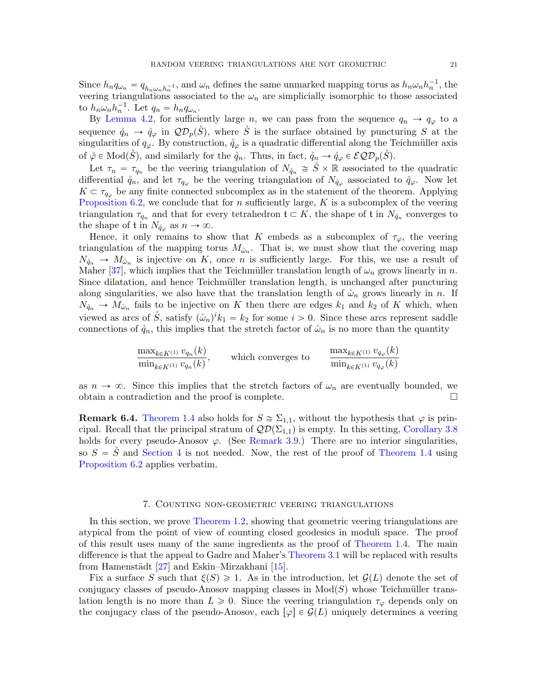Since  $h_n q_{\omega_n} = q_{h_n \omega_n h_n^{-1}}$ , and  $\omega_n$  defines the same unmarked mapping torus as  $h_n \omega_n h_n^{-1}$ , the veering triangulations associated to the  $\omega_n$  are simplicially isomorphic to those associated to  $h_n \omega_n h_n^{-1}$ . Let  $q_n = h_n q_{\omega_n}$ .

By [Lemma 4.2,](#page-13-2) for sufficiently large n, we can pass from the sequence  $q_n \to q_\varphi$  to a sequence  $\phi_n \to \phi_\varphi$  in  $\mathcal{QD}_p(\check{S})$ , where  $\check{S}$  is the surface obtained by puncturing S at the singularities of  $q_{\varphi}$ . By construction,  $\mathring{q}_{\varphi}$  is a quadratic differential along the Teichmüller axis of  $\phi \in Mod(S)$ , and similarly for the  $\mathring{q}_n$ . Thus, in fact,  $\mathring{q}_n \to \mathring{q}_\varphi \in \mathcal{EQD}_p(S)$ .

Let  $\tau_n = \tau_{q_n}$  be the veering triangulation of  $N_{\hat{q}_n} \cong \overset{\circ}{S} \times \mathbb{R}$  associated to the quadratic differential  $\phi_n$ , and let  $\tau_{q_\varphi}$  be the veering triangulation of  $N_{\phi_\varphi}$  associated to  $\phi_\varphi$ . Now let  $K \subset \tau_{q_{\varphi}}$  be any finite connected subcomplex as in the statement of the theorem. Applying [Proposition 6.2,](#page-18-0) we conclude that for n sufficiently large,  $K$  is a subcomplex of the veering triangulation  $\tau_{q_n}$  and that for every tetrahedron  $\mathfrak{t} \subset K$ , the shape of  $\mathfrak{t}$  in  $N_{\mathring{q}_n}$  converges to the shape of  $t$  in  $N_{\mathring{q}_{\varphi}}$  as  $n \to \infty$ .

Hence, it only remains to show that K embeds as a subcomplex of  $\tau_{\varphi}$ , the veering triangulation of the mapping torus  $M_{\mathring{\omega}_n}$ . That is, we must show that the covering map  $N_{\phi_n} \to M_{\phi_n}$  is injective on K, once n is sufficiently large. For this, we use a result of Maher [\[37\]](#page-36-23), which implies that the Teichmüller translation length of  $\omega_n$  grows linearly in n. Since dilatation, and hence Teichmüller translation length, is unchanged after puncturing along singularities, we also have that the translation length of  $\mathring{\omega}_n$  grows linearly in n. If  $N_{\phi_n} \to M_{\phi_n}$  fails to be injective on K then there are edges  $k_1$  and  $k_2$  of K which, when viewed as arcs of  $\mathring{S}$ , satisfy  $(\mathring{\omega}_n)^i k_1 = k_2$  for some  $i > 0$ . Since these arcs represent saddle connections of  $\mathring{q}_n$ , this implies that the stretch factor of  $\mathring{\omega}_n$  is no more than the quantity

$$
\frac{\max_{k \in K^{(1)}} v_{q_n}(k)}{\min_{k \in K^{(1)}} v_{q_n}(k)}, \quad \text{which converges to} \quad \frac{\max_{k \in K^{(1)}} v_{q_\varphi}(k)}{\min_{k \in K^{(1)}} v_{q_\varphi}(k)}
$$

as  $n \to \infty$ . Since this implies that the stretch factors of  $\omega_n$  are eventually bounded, we obtain a contradiction and the proof is complete.

**Remark 6.4.** [Theorem 1.4](#page-3-0) also holds for  $S \cong \Sigma_{1,1}$ , without the hypothesis that  $\varphi$  is principal. Recall that the principal stratum of  $\mathcal{QD}(\Sigma_{1,1})$  is empty. In this setting, [Corollary 3.8](#page-12-0) holds for every pseudo-Anosov  $\varphi$ . (See [Remark 3.9.](#page-13-3)) There are no interior singularities, so  $S = \mathring{S}$  and [Section 4](#page-13-0) is not needed. Now, the rest of the proof of [Theorem 1.4](#page-3-0) using [Proposition 6.2](#page-18-0) applies verbatim.

## 7. Counting non-geometric veering triangulations

<span id="page-20-0"></span>In this section, we prove [Theorem 1.2,](#page-2-0) showing that geometric veering triangulations are atypical from the point of view of counting closed geodesics in moduli space. The proof of this result uses many of the same ingredients as the proof of [Theorem 1.4.](#page-3-0) The main difference is that the appeal to Gadre and Maher's [Theorem 3.1](#page-9-0) will be replaced with results from Hamenstädt  $[27]$  and Eskin–Mirzakhani  $[15]$ .

Fix a surface S such that  $\xi(S) \geq 1$ . As in the introduction, let  $\mathcal{G}(L)$  denote the set of conjugacy classes of pseudo-Anosov mapping classes in  $Mod(S)$  whose Teichmüller translation length is no more than  $L \geq 0$ . Since the veering triangulation  $\tau_{\varphi}$  depends only on the conjugacy class of the pseudo-Anosov, each  $[\varphi] \in \mathcal{G}(L)$  uniquely determines a veering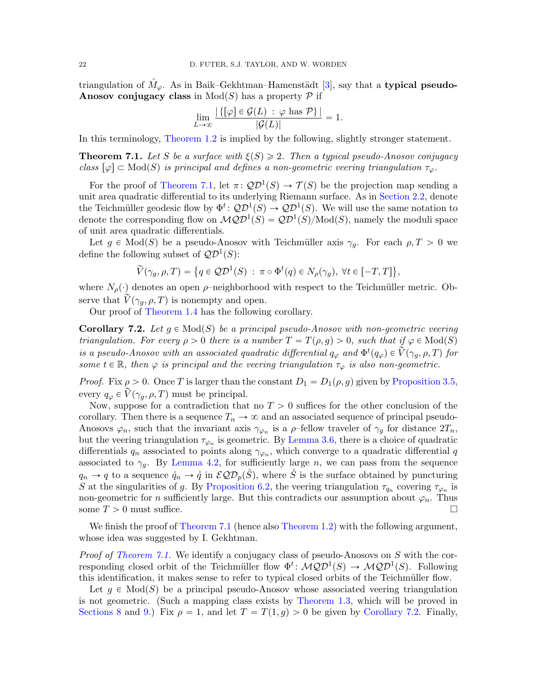triangulation of  $M_{\varphi}$ . As in Baik–Gekhtman–Hamenstädt [\[3\]](#page-35-11), say that a typical pseudo-Anosov conjugacy class in  $Mod(S)$  has a property P if

$$
\lim_{L\to\infty}\frac{|\{[\varphi]\in\mathcal{G}(L) : \varphi \text{ has } \mathcal{P}\}|}{|\mathcal{G}(L)|}=1.
$$

In this terminology, [Theorem 1.2](#page-2-0) is implied by the following, slightly stronger statement.

<span id="page-21-1"></span>**Theorem 7.1.** Let S be a surface with  $\xi(S) \geq 2$ . Then a typical pseudo-Anosov conjugacy class  $\lbrack \varphi \rbrack \subset \text{Mod}(S)$  is principal and defines a non-geometric veering triangulation  $\tau_{\varphi}$ .

For the proof of [Theorem 7.1,](#page-21-1) let  $\pi: \mathcal{QD}^1(S) \to \mathcal{T}(S)$  be the projection map sending a unit area quadratic differential to its underlying Riemann surface. As in [Section 2.2,](#page-5-2) denote the Teichmüller geodesic flow by  $\Phi^t \colon QD^1(S) \to QD^1(S)$ . We will use the same notation to denote the corresponding flow on  $\mathcal{MQD}^1(S) = \mathcal{QD}^1(S)/\text{Mod}(S)$ , namely the moduli space of unit area quadratic differentials.

Let  $g \in Mod(S)$  be a pseudo-Anosov with Teichmüller axis  $\gamma_g$ . For each  $\rho, T > 0$  we define the following subset of  $\mathcal{QD}^1(S)$ : (

$$
\widetilde{V}(\gamma_g, \rho, T) = \{q \in \mathcal{QD}^1(S) : \pi \circ \Phi^t(q) \in N_\rho(\gamma_g), \ \forall t \in [-T, T] \},
$$

where  $N_{\rho}(\cdot)$  denotes an open  $\rho$ -neighborhood with respect to the Teichmüller metric. Observe that  $\tilde{V}(\gamma_q, \rho, T)$  is nonempty and open.

Our proof of [Theorem 1.4](#page-3-0) has the following corollary.

<span id="page-21-0"></span>**Corollary 7.2.** Let  $q \in Mod(S)$  be a principal pseudo-Anosov with non-geometric veering triangulation. For every  $\rho > 0$  there is a number  $T = T(\rho, g) > 0$ , such that if  $\varphi \in Mod(S)$ is a pseudo-Anosov with an associated quadratic differential  $q_{\varphi}$  and  $\Phi^t(q_{\varphi}) \in \tilde{\check{V}}(\gamma_g, \rho, T)$  for some  $t \in \mathbb{R}$ , then  $\varphi$  is principal and the veering triangulation  $\tau_{\varphi}$  is also non-geometric.

*Proof.* Fix  $\rho > 0$ . Once T is larger than the constant  $D_1 = D_1(\rho, g)$  given by [Proposition 3.5,](#page-10-3) every  $q_{\varphi} \in V(\gamma_g, \rho, T)$  must be principal.

Now, suppose for a contradiction that no  $T > 0$  suffices for the other conclusion of the corollary. Then there is a sequence  $T_n \to \infty$  and an associated sequence of principal pseudo-Anosovs  $\varphi_n$ , such that the invariant axis  $\gamma_{\varphi_n}$  is a  $\rho$ -fellow traveler of  $\gamma_g$  for distance  $2T_n$ , but the veering triangulation  $\tau_{\varphi_n}$  is geometric. By [Lemma 3.6,](#page-12-1) there is a choice of quadratic differentials  $q_n$  associated to points along  $\gamma_{\varphi_n}$ , which converge to a quadratic differential q associated to  $\gamma_q$ . By [Lemma 4.2,](#page-13-2) for sufficiently large n, we can pass from the sequence  $q_n \to q$  to a sequence  $\mathring{q}_n \to \mathring{q}$  in  $\mathcal{EQD}_p(\check{S})$ , where  $\check{S}$  is the surface obtained by puncturing S at the singularities of g. By [Proposition 6.2,](#page-18-0) the veering triangulation  $\tau_{q_n}$  covering  $\tau_{\varphi_n}$  is non-geometric for n sufficiently large. But this contradicts our assumption about  $\varphi_n$ . Thus some  $T > 0$  must suffice.

We finish the proof of [Theorem 7.1](#page-21-1) (hence also [Theorem 1.2\)](#page-2-0) with the following argument, whose idea was suggested by I. Gekhtman.

*Proof of [Theorem 7.1.](#page-21-1)* We identify a conjugacy class of pseudo-Anosovs on S with the corresponding closed orbit of the Teichmüller flow  $\Phi^t \colon \mathcal{MQD}^1(S) \to \mathcal{MQD}^1(S)$ . Following this identification, it makes sense to refer to typical closed orbits of the Teichmüller flow.

Let  $q \in Mod(S)$  be a principal pseudo-Anosov whose associated veering triangulation is not geometric. (Such a mapping class exists by [Theorem 1.3,](#page-2-1) which will be proved in [Sections 8](#page-23-1) and [9.](#page-26-0)) Fix  $\rho = 1$ , and let  $T = T(1, g) > 0$  be given by [Corollary 7.2.](#page-21-0) Finally,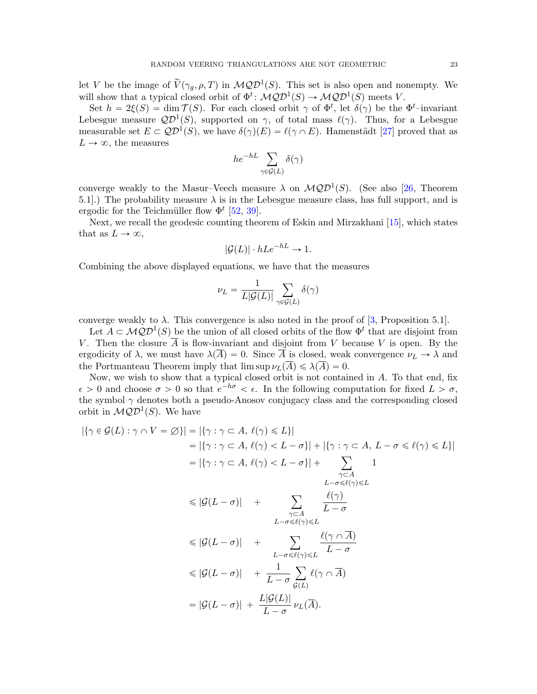let V be the image of  $\widetilde{V}(\gamma_g, \rho, T)$  in  $\mathcal{MQD}^1(S)$ . This set is also open and nonempty. We will show that a typical closed orbit of  $\Phi^t \colon \mathcal{MQD}^1(S) \to \mathcal{MQD}^1(S)$  meets V.

Set  $h = 2\xi(S) = \dim \mathcal{T}(S)$ . For each closed orbit  $\gamma$  of  $\Phi^t$ , let  $\delta(\gamma)$  be the  $\Phi^t$ -invariant Lebesgue measure  $\mathcal{QD}^1(S)$ , supported on  $\gamma$ , of total mass  $\ell(\gamma)$ . Thus, for a Lebesgue measurable set  $E \subset \mathcal{QD}^1(S)$ , we have  $\delta(\gamma)(E) = \ell(\gamma \cap E)$ . Hamenstädt [\[27\]](#page-36-5) proved that as  $L \rightarrow \infty$ , the measures

$$
he^{-hL} \sum_{\gamma \in \mathcal{G}(L)} \delta(\gamma)
$$

converge weakly to the Masur–Veech measure  $\lambda$  on  $\mathcal{MQD}^1(S)$ . (See also [\[26,](#page-36-24) Theorem 5.1.) The probability measure  $\lambda$  is in the Lebesgue measure class, has full support, and is ergodic for the Teichmüller flow  $\Phi^t$  [\[52,](#page-37-3) [39\]](#page-36-25).

Next, we recall the geodesic counting theorem of Eskin and Mirzakhani [\[15\]](#page-35-2), which states that as  $L \to \infty$ ,

$$
|\mathcal{G}(L)| \cdot hLe^{-hL} \to 1.
$$

Combining the above displayed equations, we have that the measures

$$
\nu_L = \frac{1}{L|\mathcal{G}(L)|} \sum_{\gamma \in \mathcal{G}(L)} \delta(\gamma)
$$

converge weakly to  $\lambda$ . This convergence is also noted in the proof of [\[3,](#page-35-11) Proposition 5.1].

Let  $A \subset \mathcal{MQD}^1(S)$  be the union of all closed orbits of the flow  $\Phi^t$  that are disjoint from V. Then the closure  $\overline{A}$  is flow-invariant and disjoint from V because V is open. By the ergodicity of  $\lambda$ , we must have  $\lambda(\overline{A})=0$ . Since  $\overline{A}$  is closed, weak convergence  $\nu_L \rightarrow \lambda$  and the Portmanteau Theorem imply that  $\limsup \nu_L(\overline{A}) \leq \lambda(\overline{A}) = 0$ .

Now, we wish to show that a typical closed orbit is not contained in A. To that end, fix  $\epsilon > 0$  and choose  $\sigma > 0$  so that  $e^{-h\sigma} < \epsilon$ . In the following computation for fixed  $L > \sigma$ , the symbol  $\gamma$  denotes both a pseudo-Anosov conjugacy class and the corresponding closed orbit in  $\mathcal{MQD}^1(S)$ . We have

$$
|\{\gamma \in \mathcal{G}(L) : \gamma \cap V = \emptyset\}| = |\{\gamma : \gamma \subset A, \ell(\gamma) \le L\}|
$$
  
\n
$$
= |\{\gamma : \gamma \subset A, \ell(\gamma) < L - \sigma\}| + |\{\gamma : \gamma \subset A, L - \sigma \le \ell(\gamma) \le L\}|
$$
  
\n
$$
= |\{\gamma : \gamma \subset A, \ell(\gamma) < L - \sigma\}| + \sum_{\substack{\gamma \subset A \\ L - \sigma \le \ell(\gamma) \le L}} 1
$$
  
\n
$$
\le |\mathcal{G}(L - \sigma)| + \sum_{\substack{\gamma \subset A \\ L - \sigma \le \ell(\gamma) \le L}} \frac{\ell(\gamma)}{L - \sigma}
$$
  
\n
$$
\le |\mathcal{G}(L - \sigma)| + \sum_{\substack{L - \sigma \le \ell(\gamma) \le L \\ L - \sigma}} \frac{\ell(\gamma \cap \overline{A})}{L - \sigma}
$$
  
\n
$$
\le |\mathcal{G}(L - \sigma)| + \frac{1}{L - \sigma} \sum_{\mathcal{G}(L)} \ell(\gamma \cap \overline{A})
$$
  
\n
$$
= |\mathcal{G}(L - \sigma)| + \frac{L|\mathcal{G}(L)|}{L - \sigma} \nu_L(\overline{A}).
$$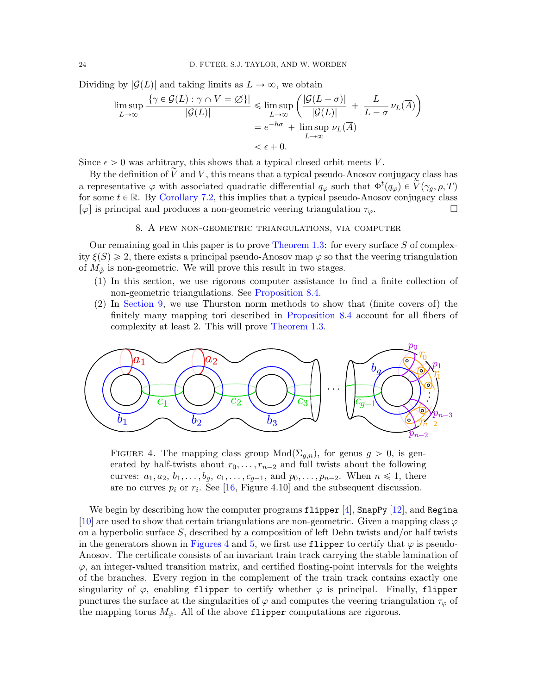Dividing by  $|\mathcal{G}(L)|$  and taking limits as  $L \to \infty$ , we obtain

$$
\limsup_{L \to \infty} \frac{|\{\gamma \in \mathcal{G}(L) : \gamma \cap V = \varnothing\}|}{|\mathcal{G}(L)|} \le \limsup_{L \to \infty} \left(\frac{|\mathcal{G}(L - \sigma)|}{|\mathcal{G}(L)|} + \frac{L}{L - \sigma} \nu_L(\overline{A})\right)
$$

$$
= e^{-h\sigma} + \limsup_{L \to \infty} \nu_L(\overline{A})
$$

$$
< \epsilon + 0.
$$

Since  $\epsilon > 0$  was arbitrary, this shows that a typical closed orbit meets V.

By the definition of  $\tilde{V}$  and V, this means that a typical pseudo-Anosov conjugacy class has a representative  $\varphi$  with associated quadratic differential  $q_\varphi$  such that  $\Phi^t(q_\varphi) \in \widetilde{V}(\gamma_g, \rho, T)$ for some  $t \in \mathbb{R}$ . By [Corollary 7.2,](#page-21-0) this implies that a typical pseudo-Anosov conjugacy class  $\lbrack \varphi \rbrack$  is principal and produces a non-geometric veering triangulation  $\tau_{\varphi}$ .

### 8. A few non-geometric triangulations, via computer

<span id="page-23-1"></span>Our remaining goal in this paper is to prove [Theorem 1.3:](#page-2-1) for every surface  $S$  of complexity  $\xi(S) \geq 2$ , there exists a principal pseudo-Anosov map  $\varphi$  so that the veering triangulation of  $M_{\phi}$  is non-geometric. We will prove this result in two stages.

- (1) In this section, we use rigorous computer assistance to find a finite collection of non-geometric triangulations. See [Proposition 8.4.](#page-26-1)
- (2) In [Section 9,](#page-26-0) we use Thurston norm methods to show that (finite covers of) the finitely many mapping tori described in [Proposition 8.4](#page-26-1) account for all fibers of complexity at least 2. This will prove [Theorem 1.3.](#page-2-1)

<span id="page-23-0"></span>

FIGURE 4. The mapping class group  $Mod(\Sigma_{g,n})$ , for genus  $g > 0$ , is generated by half-twists about  $r_0, \ldots, r_{n-2}$  and full twists about the following curves:  $a_1, a_2, b_1, \ldots, b_g, c_1, \ldots, c_{g-1}$ , and  $p_0, \ldots, p_{n-2}$ . When  $n \leq 1$ , there are no curves  $p_i$  or  $r_i$ . See [\[16,](#page-35-8) Figure 4.10] and the subsequent discussion.

We begin by describing how the computer programs  $f1$ ipper [\[4\]](#page-35-1), SnapPy [\[12\]](#page-35-4), and Regina [\[10\]](#page-35-5) are used to show that certain triangulations are non-geometric. Given a mapping class  $\varphi$ on a hyperbolic surface  $S$ , described by a composition of left Dehn twists and/or half twists in the generators shown in [Figures 4](#page-23-0) and [5,](#page-24-0) we first use flipper to certify that  $\varphi$  is pseudo-Anosov. The certificate consists of an invariant train track carrying the stable lamination of  $\varphi$ , an integer-valued transition matrix, and certified floating-point intervals for the weights of the branches. Every region in the complement of the train track contains exactly one singularity of  $\varphi$ , enabling flipper to certify whether  $\varphi$  is principal. Finally, flipper punctures the surface at the singularities of  $\varphi$  and computes the veering triangulation  $\tau_{\varphi}$  of the mapping torus  $M_{\phi}$ . All of the above flipper computations are rigorous.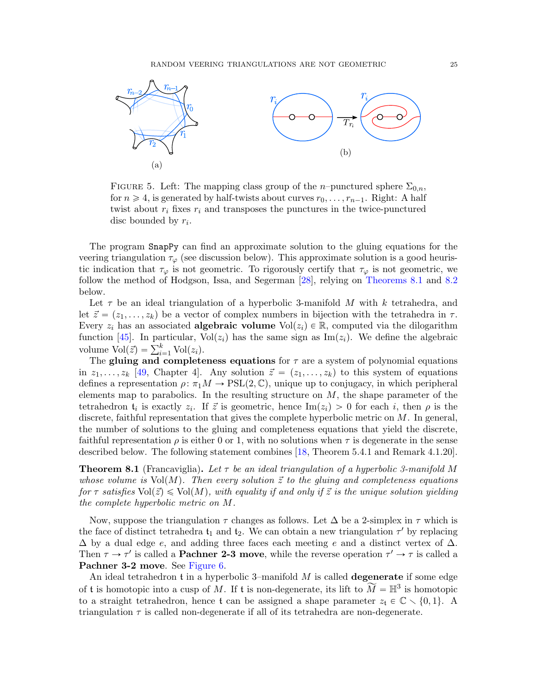<span id="page-24-0"></span>

FIGURE 5. Left: The mapping class group of the *n*–punctured sphere  $\Sigma_{0,n}$ , for  $n \geq 4$ , is generated by half-twists about curves  $r_0, \ldots, r_{n-1}$ . Right: A half twist about  $r_i$  fixes  $r_i$  and transposes the punctures in the twice-punctured disc bounded by  $r_i$ .

The program SnapPy can find an approximate solution to the gluing equations for the veering triangulation  $\tau_{\varphi}$  (see discussion below). This approximate solution is a good heuristic indication that  $\tau_{\varphi}$  is not geometric. To rigorously certify that  $\tau_{\varphi}$  is not geometric, we follow the method of Hodgson, Issa, and Segerman [\[28\]](#page-36-3), relying on [Theorems 8.1](#page-24-1) and [8.2](#page-25-0) below.

Let  $\tau$  be an ideal triangulation of a hyperbolic 3-manifold M with k tetrahedra, and let  $\vec{z} = (z_1, \ldots, z_k)$  be a vector of complex numbers in bijection with the tetrahedra in  $\tau$ . Every  $z_i$  has an associated **algebraic volume** Vol $(z_i) \in \mathbb{R}$ , computed via the dilogarithm function [\[45\]](#page-36-26). In particular,  $Vol(z_i)$  has the same sign as Im $(z_i)$ . We define the algebraic runction [45]. In particular, v<br>volume  $Vol(\vec{z}) = \sum_{i=1}^{k} Vol(z_i)$ .

The gluing and completeness equations for  $\tau$  are a system of polynomial equations in  $z_1, \ldots, z_k$  [\[49,](#page-37-1) Chapter 4]. Any solution  $\vec{z} = (z_1, \ldots, z_k)$  to this system of equations defines a representation  $\rho: \pi_1 M \to \text{PSL}(2, \mathbb{C})$ , unique up to conjugacy, in which peripheral elements map to parabolics. In the resulting structure on  $M$ , the shape parameter of the tetrahedron  $t_i$  is exactly  $z_i$ . If  $\vec{z}$  is geometric, hence Im $(z_i) > 0$  for each i, then  $\rho$  is the discrete, faithful representation that gives the complete hyperbolic metric on  $M$ . In general, the number of solutions to the gluing and completeness equations that yield the discrete, faithful representation  $\rho$  is either 0 or 1, with no solutions when  $\tau$  is degenerate in the sense described below. The following statement combines [\[18,](#page-35-16) Theorem 5.4.1 and Remark 4.1.20].

<span id="page-24-1"></span>**Theorem 8.1** (Francaviglia). Let  $\tau$  be an ideal triangulation of a hyperbolic 3-manifold M whose volume is  $Vol(M)$ . Then every solution  $\vec{z}$  to the gluing and completeness equations for  $\tau$  satisfies  $Vol(\vec{z}) \leq Vol(M)$ , with equality if and only if  $\vec{z}$  is the unique solution yielding the complete hyperbolic metric on M.

Now, suppose the triangulation  $\tau$  changes as follows. Let  $\Delta$  be a 2-simplex in  $\tau$  which is the face of distinct tetrahedra  $t_1$  and  $t_2$ . We can obtain a new triangulation  $\tau'$  by replacing  $\Delta$  by a dual edge e, and adding three faces each meeting e and a distinct vertex of  $\Delta$ . Then  $\tau \to \tau'$  is called a **Pachner 2-3 move**, while the reverse operation  $\tau' \to \tau$  is called a Pachner 3-2 move. See [Figure 6.](#page-25-1)

An ideal tetrahedron  $t$  in a hyperbolic 3–manifold  $M$  is called **degenerate** if some edge of t is homotopic into a cusp of M. If t is non-degenerate, its lift to  $\widetilde{M} = \mathbb{H}^3$  is homotopic to a straight tetrahedron, hence t can be assigned a shape parameter  $z_t \in \mathbb{C} \setminus \{0, 1\}$ . A triangulation  $\tau$  is called non-degenerate if all of its tetrahedra are non-degenerate.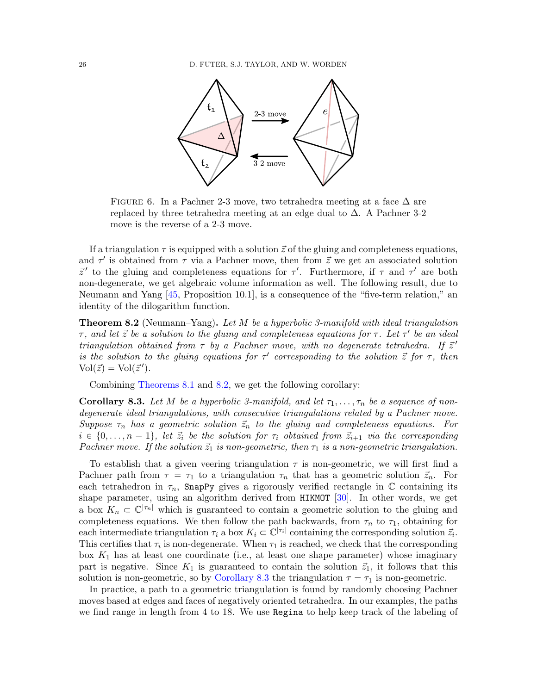<span id="page-25-1"></span>

FIGURE 6. In a Pachner 2-3 move, two tetrahedra meeting at a face  $\Delta$  are replaced by three tetrahedra meeting at an edge dual to ∆. A Pachner 3-2 move is the reverse of a 2-3 move.

If a triangulation  $\tau$  is equipped with a solution  $\vec{z}$  of the gluing and completeness equations, and  $\tau'$  is obtained from  $\tau$  via a Pachner move, then from  $\vec{z}$  we get an associated solution  $\vec{z}'$  to the gluing and completeness equations for  $\tau'$ . Furthermore, if  $\tau$  and  $\tau'$  are both non-degenerate, we get algebraic volume information as well. The following result, due to Neumann and Yang  $[45,$  Proposition 10.1, is a consequence of the "five-term relation," an identity of the dilogarithm function.

<span id="page-25-0"></span>**Theorem 8.2** (Neumann–Yang). Let  $M$  be a hyperbolic 3-manifold with ideal triangulation  $\tau$ , and let  $\vec{z}$  be a solution to the gluing and completeness equations for  $\tau$ . Let  $\tau'$  be an ideal triangulation obtained from  $\tau$  by a Pachner move, with no degenerate tetrahedra. If  $\vec{z}$ ' is the solution to the gluing equations for  $\tau'$  corresponding to the solution  $\vec{z}$  for  $\tau$ , then  $Vol(\vec{z}) = Vol(\vec{z}')$ .

Combining [Theorems 8.1](#page-24-1) and [8.2,](#page-25-0) we get the following corollary:

<span id="page-25-2"></span>**Corollary 8.3.** Let M be a hyperbolic 3-manifold, and let  $\tau_1, \ldots, \tau_n$  be a sequence of nondegenerate ideal triangulations, with consecutive triangulations related by a Pachner move. Suppose  $\tau_n$  has a geometric solution  $\vec{z}_n$  to the gluing and completeness equations. For  $i \in \{0, \ldots, n-1\}$ , let  $\vec{z}_i$  be the solution for  $\tau_i$  obtained from  $\vec{z}_{i+1}$  via the corresponding Pachner move. If the solution  $\vec{z}_1$  is non-geometric, then  $\tau_1$  is a non-geometric triangulation.

To establish that a given veering triangulation  $\tau$  is non-geometric, we will first find a Pachner path from  $\tau = \tau_1$  to a triangulation  $\tau_n$  that has a geometric solution  $\vec{z}_n$ . For each tetrahedron in  $\tau_n$ , SnapPy gives a rigorously verified rectangle in  $\mathbb C$  containing its shape parameter, using an algorithm derived from HIKMOT [\[30\]](#page-36-8). In other words, we get a box  $K_n \subset \mathbb{C}^{|\tau_n|}$  which is guaranteed to contain a geometric solution to the gluing and completeness equations. We then follow the path backwards, from  $\tau_n$  to  $\tau_1$ , obtaining for each intermediate triangulation  $\tau_i$  a box  $K_i \subset \mathbb{C}^{|\tau_i|}$  containing the corresponding solution  $\vec{z}_i$ . This certifies that  $\tau_i$  is non-degenerate. When  $\tau_1$  is reached, we check that the corresponding box  $K_1$  has at least one coordinate (i.e., at least one shape parameter) whose imaginary part is negative. Since  $K_1$  is guaranteed to contain the solution  $\vec{z}_1$ , it follows that this solution is non-geometric, so by [Corollary 8.3](#page-25-2) the triangulation  $\tau = \tau_1$  is non-geometric.

In practice, a path to a geometric triangulation is found by randomly choosing Pachner moves based at edges and faces of negatively oriented tetrahedra. In our examples, the paths we find range in length from 4 to 18. We use Regina to help keep track of the labeling of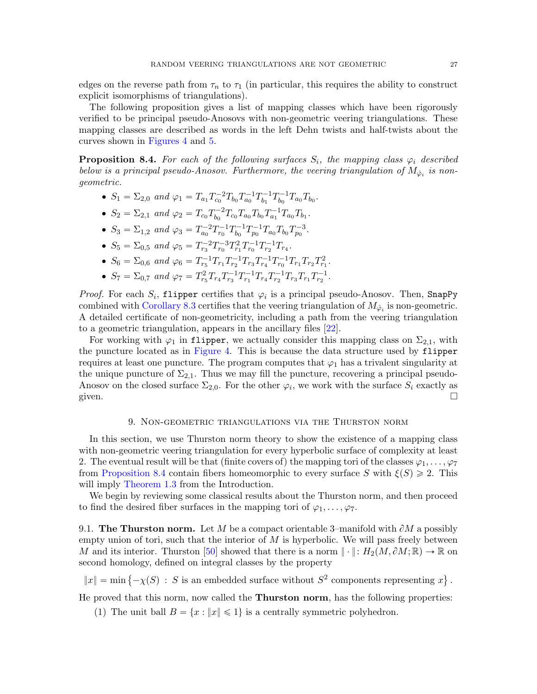edges on the reverse path from  $\tau_n$  to  $\tau_1$  (in particular, this requires the ability to construct explicit isomorphisms of triangulations).

The following proposition gives a list of mapping classes which have been rigorously verified to be principal pseudo-Anosovs with non-geometric veering triangulations. These mapping classes are described as words in the left Dehn twists and half-twists about the curves shown in [Figures 4](#page-23-0) and [5.](#page-24-0)

<span id="page-26-1"></span>**Proposition 8.4.** For each of the following surfaces  $S_i$ , the mapping class  $\varphi_i$  described below is a principal pseudo-Anosov. Furthermore, the veering triangulation of  $M_{\phi_i}$  is nongeometric.

- $S_1 = \Sigma_{2,0}$  and  $\varphi_1 = T_{a_1} T_{c_0}^{-2} T_{b_0} T_{a_0}^{-1} T_{b_1}^{-1}$  $t_{b_1}^{-1}T_{b_0}^{-1}$  $b_0^{-1}T_{a_0}T_{b_0}.$
- $S_2 = \Sigma_{2,1}$  and  $\varphi_2 = T_{c_0} T_{b_0}^{-2} T_{c_0} T_{a_0} T_{b_0} T_{a_1}^{-1} T_{a_0} T_{b_1}$ .  $b_0$
- $S_3 = \Sigma_{1,2}$  and  $\varphi_3 = T_{a_0}^{-2} T_{r_0}^{-1} T_{b_0}^{-1}$  $T_{b_0}^{-1}T_{p_0}^{-1}T_{a_0}T_{b_0}T_{p_0}^{-3}.$
- $S_5 = \sum_{0,5}$  and  $\varphi_5 = T_{r_3}^{-2} T_{r_0}^{-3} T_{r_1}^2 T_{r_0}^{-1} T_{r_2}^{-1} T_{r_4}$ .
- $S_6 = \Sigma_{0,6}$  and  $\varphi_6 = T_{r_5}^{-1} T_{r_1} T_{r_2}^{-1} T_{r_3} T_{r_4}^{-1} T_{r_0}^{-1} T_{r_1} T_{r_2} T_{r_1}^2$ .
- $S_7 = \Sigma_{0,7}$  and  $\varphi_7 = T_{r_5}^2 T_{r_4} T_{r_3}^{-1} T_{r_1}^{-1} T_{r_4} T_{r_2}^{-1} T_{r_3} T_{r_1} T_{r_2}^{-1}$ .

*Proof.* For each  $S_i$ , flipper certifies that  $\varphi_i$  is a principal pseudo-Anosov. Then, SnapPy combined with [Corollary 8.3](#page-25-2) certifies that the veering triangulation of  $M_{\phi_i}$  is non-geometric. A detailed certificate of non-geometricity, including a path from the veering triangulation to a geometric triangulation, appears in the ancillary files [\[22\]](#page-36-27).

For working with  $\varphi_1$  in flipper, we actually consider this mapping class on  $\Sigma_{2,1}$ , with the puncture located as in [Figure 4.](#page-23-0) This is because the data structure used by flipper requires at least one puncture. The program computes that  $\varphi_1$  has a trivalent singularity at the unique puncture of  $\Sigma_{2,1}$ . Thus we may fill the puncture, recovering a principal pseudo-Anosov on the closed surface  $\Sigma_{2,0}$ . For the other  $\varphi_i$ , we work with the surface  $S_i$  exactly as given.  $\Box$ 

### 9. Non-geometric triangulations via the Thurston norm

<span id="page-26-0"></span>In this section, we use Thurston norm theory to show the existence of a mapping class with non-geometric veering triangulation for every hyperbolic surface of complexity at least 2. The eventual result will be that (finite covers of) the mapping tori of the classes  $\varphi_1, \ldots, \varphi_7$ from [Proposition 8.4](#page-26-1) contain fibers homeomorphic to every surface S with  $\xi(S) \geq 2$ . This will imply [Theorem 1.3](#page-2-1) from the Introduction.

We begin by reviewing some classical results about the Thurston norm, and then proceed to find the desired fiber surfaces in the mapping tori of  $\varphi_1, \ldots, \varphi_7$ .

9.1. The Thurston norm. Let M be a compact orientable 3-manifold with  $\partial M$  a possibly empty union of tori, such that the interior of  $M$  is hyperbolic. We will pass freely between M and its interior. Thurston [\[50\]](#page-37-4) showed that there is a norm  $\|\cdot\|$ :  $H_2(M, \partial M; \mathbb{R}) \to \mathbb{R}$  on second homology, defined on integral classes by the property (

 $||x|| = \min \{-\chi(S) : S \text{ is an embedded surface without } S^2 \text{ components representing } x\}$ .

He proved that this norm, now called the Thurston norm, has the following properties:

(1) The unit ball  $B = \{x : ||x|| \le 1\}$  is a centrally symmetric polyhedron.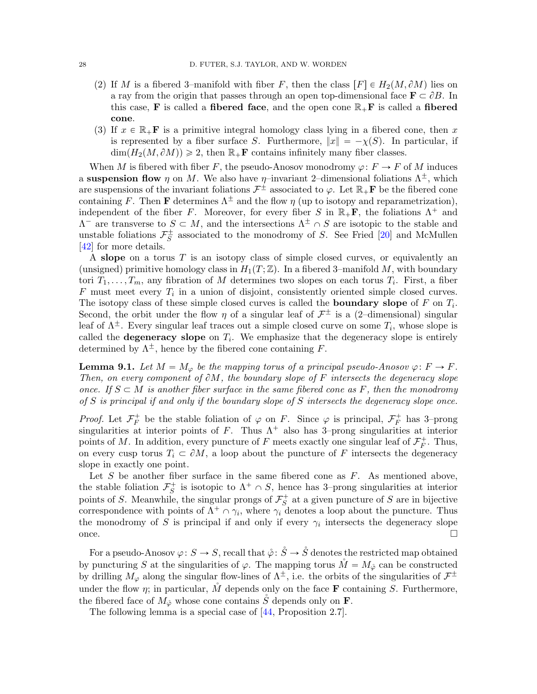- (2) If M is a fibered 3–manifold with fiber F, then the class  $[F] \in H_2(M, \partial M)$  lies on a ray from the origin that passes through an open top-dimensional face  $\mathbf{F} \subset \partial B$ . In this case, **F** is called a **fibered face**, and the open cone  $\mathbb{R}_+$ **F** is called a **fibered** cone.
- (3) If  $x \in \mathbb{R}_+$ **F** is a primitive integral homology class lying in a fibered cone, then x is represented by a fiber surface S. Furthermore,  $||x|| = -\chi(S)$ . In particular, if  $\dim(H_2(M, \partial M)) \geq 2$ , then  $\mathbb{R}_+$ **F** contains infinitely many fiber classes.

When M is fibered with fiber F, the pseudo-Anosov monodromy  $\varphi: F \to F$  of M induces a suspension flow  $\eta$  on M. We also have  $\eta$ –invariant 2–dimensional foliations  $\Lambda^{\pm}$ , which are suspensions of the invariant foliations  $\mathcal{F}^{\pm}$  associated to  $\varphi$ . Let  $\mathbb{R}_{+}F$  be the fibered cone containing F. Then **F** determines  $\Lambda^{\pm}$  and the flow  $\eta$  (up to isotopy and reparametrization), independent of the fiber F. Moreover, for every fiber S in  $\mathbb{R}_+$ **F**, the foliations  $\Lambda^+$  and  $\Lambda$ <sup>-</sup> are transverse to  $S \subset M$ , and the intersections  $\Lambda^{\pm} \cap S$  are isotopic to the stable and unstable foliations  $\mathcal{F}_{S}^{\pm}$  associated to the monodromy of S. See Fried [\[20\]](#page-36-28) and McMullen [\[42\]](#page-36-29) for more details.

A slope on a torus  $T$  is an isotopy class of simple closed curves, or equivalently an (unsigned) primitive homology class in  $H_1(T; \mathbb{Z})$ . In a fibered 3–manifold M, with boundary tori  $T_1, \ldots, T_m$ , any fibration of M determines two slopes on each torus  $T_i$ . First, a fiber  $F$  must meet every  $T_i$  in a union of disjoint, consistently oriented simple closed curves. The isotopy class of these simple closed curves is called the **boundary slope** of  $F$  on  $T_i$ . Second, the orbit under the flow  $\eta$  of a singular leaf of  $\mathcal{F}^{\pm}$  is a (2-dimensional) singular leaf of  $\Lambda^{\pm}$ . Every singular leaf traces out a simple closed curve on some  $T_i$ , whose slope is called the **degeneracy** slope on  $T_i$ . We emphasize that the degeneracy slope is entirely determined by  $\Lambda^{\pm}$ , hence by the fibered cone containing F.

<span id="page-27-0"></span>**Lemma 9.1.** Let  $M = M_{\varphi}$  be the mapping torus of a principal pseudo-Anosov  $\varphi \colon F \to F$ . Then, on every component of  $\partial M$ , the boundary slope of F intersects the degeneracy slope once. If  $S \subset M$  is another fiber surface in the same fibered cone as F, then the monodromy of S is principal if and only if the boundary slope of S intersects the degeneracy slope once.

*Proof.* Let  $\mathcal{F}_F^+$  be the stable foliation of  $\varphi$  on F. Since  $\varphi$  is principal,  $\mathcal{F}_F^+$  has 3-prong singularities at interior points of F. Thus  $\Lambda^+$  also has 3–prong singularities at interior points of M. In addition, every puncture of F meets exactly one singular leaf of  $\mathcal{F}_{F}^+$ . Thus, on every cusp torus  $T_i \subset \partial M$ , a loop about the puncture of F intersects the degeneracy slope in exactly one point.

Let  $S$  be another fiber surface in the same fibered cone as  $F$ . As mentioned above, the stable foliation  $\mathcal{F}_S^+$  is isotopic to  $\Lambda^+ \cap S$ , hence has 3-prong singularities at interior points of S. Meanwhile, the singular prongs of  $\mathcal{F}_{S}^{+}$  at a given puncture of S are in bijective correspondence with points of  $\Lambda^+ \cap \gamma_i$ , where  $\gamma_i$  denotes a loop about the puncture. Thus the monodromy of S is principal if and only if every  $\gamma_i$  intersects the degeneracy slope once.  $\Box$ 

For a pseudo-Anosov  $\varphi: S \to S$ , recall that  $\hat{\varphi}: \hat{S} \to \hat{S}$  denotes the restricted map obtained by puncturing S at the singularities of  $\varphi$ . The mapping torus  $\mathring{M} = M_{\phi}$  can be constructed by drilling  $M_{\varphi}$  along the singular flow-lines of  $\Lambda^{\pm}$ , i.e. the orbits of the singularities of  $\mathcal{F}^{\pm}$ under the flow  $\eta$ ; in particular, M depends only on the face **F** containing S. Furthermore, the fibered face of  $M_{\phi}$  whose cone contains S depends only on **F**.

<span id="page-27-1"></span>The following lemma is a special case of [\[44,](#page-36-1) Proposition 2.7].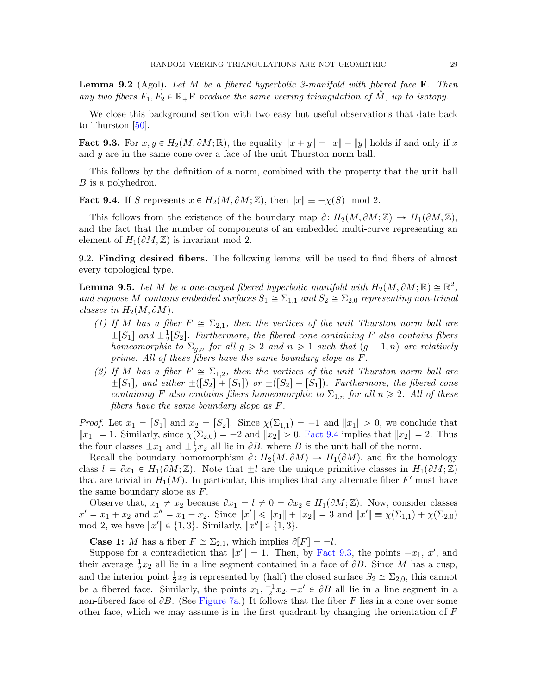**Lemma 9.2** (Agol). Let M be a fibered hyperbolic 3-manifold with fibered face  $\mathbf{F}$ . Then any two fibers  $F_1, F_2 \in \mathbb{R}_+$ **F** produce the same veering triangulation of M, up to isotopy.

We close this background section with two easy but useful observations that date back to Thurston  $[50]$ .

<span id="page-28-1"></span>**Fact 9.3.** For  $x, y \in H_2(M, \partial M; \mathbb{R})$ , the equality  $||x + y|| = ||x|| + ||y||$  holds if and only if x and  $y$  are in the same cone over a face of the unit Thurston norm ball.

This follows by the definition of a norm, combined with the property that the unit ball B is a polyhedron.

<span id="page-28-0"></span>**Fact 9.4.** If S represents  $x \in H_2(M, \partial M; \mathbb{Z})$ , then  $||x|| = -\chi(S) \mod 2$ .

This follows from the existence of the boundary map  $\partial: H_2(M, \partial M; \mathbb{Z}) \to H_1(\partial M, \mathbb{Z}),$ and the fact that the number of components of an embedded multi-curve representing an element of  $H_1(\partial M, \mathbb{Z})$  is invariant mod 2.

9.2. Finding desired fibers. The following lemma will be used to find fibers of almost every topological type.

<span id="page-28-2"></span>**Lemma 9.5.** Let M be a one-cusped fibered hyperbolic manifold with  $H_2(M, \partial M; \mathbb{R}) \cong \mathbb{R}^2$ , and suppose M contains embedded surfaces  $S_1 \cong \Sigma_{1,1}$  and  $S_2 \cong \Sigma_{2,0}$  representing non-trivial classes in  $H_2(M, \partial M)$ .

- (1) If M has a fiber  $F \cong \Sigma_{2,1}$ , then the vertices of the unit Thurston norm ball are  $\pm [S_1]$  and  $\pm \frac{1}{2}$  $\frac{1}{2}[S_2]$ . Furthermore, the fibered cone containing F also contains fibers homeomorphic to  $\Sigma_{q,n}$  for all  $q \geq 2$  and  $n \geq 1$  such that  $(q-1, n)$  are relatively prime. All of these fibers have the same boundary slope as F.
- (2) If M has a fiber  $F \cong \Sigma_{1,2}$ , then the vertices of the unit Thurston norm ball are  $\pm [S_1]$ , and either  $\pm ([S_2] + [S_1])$  or  $\pm ([S_2] - [S_1])$ . Furthermore, the fibered cone containing F also contains fibers homeomorphic to  $\Sigma_{1,n}$  for all  $n \geq 2$ . All of these fibers have the same boundary slope as F.

*Proof.* Let  $x_1 = [S_1]$  and  $x_2 = [S_2]$ . Since  $\chi(\Sigma_{1,1}) = -1$  and  $||x_1|| > 0$ , we conclude that  $||x_1|| = 1$ . Similarly, since  $\chi(\Sigma_{2,0}) = -2$  and  $||x_2|| > 0$ , [Fact 9.4](#page-28-0) implies that  $||x_2|| = 2$ . Thus the four classes  $\pm x_1$  and  $\pm \frac{1}{2}$  $\frac{1}{2}x_2$  all lie in  $\partial B$ , where B is the unit ball of the norm.

Recall the boundary homomorphism  $\partial: H_2(M, \partial M) \to H_1(\partial M)$ , and fix the homology class  $l = \partial x_1 \in H_1(\partial M; \mathbb{Z})$ . Note that  $\pm l$  are the unique primitive classes in  $H_1(\partial M; \mathbb{Z})$ that are trivial in  $H_1(M)$ . In particular, this implies that any alternate fiber  $F'$  must have the same boundary slope as  $F$ .

Observe that,  $x_1 \neq x_2$  because  $\partial x_1 = l \neq 0 = \partial x_2 \in H_1(\partial M; \mathbb{Z})$ . Now, consider classes  $x' = x_1 + x_2$  and  $x'' = x_1 - x_2$ . Since  $||x'|| \le ||x_1|| + ||x_2|| = 3$  and  $||x'|| \equiv \chi(\Sigma_{1,1}) + \chi(\Sigma_{2,0})$ mod 2, we have  $||x'|| \in \{1, 3\}$ . Similarly,  $||x''|| \in \{1, 3\}$ .

**Case 1:** M has a fiber  $F \cong \Sigma_{2,1}$ , which implies  $\partial [F] = \pm l$ .

Suppose for a contradiction that  $||x'|| = 1$ . Then, by [Fact 9.3,](#page-28-1) the points  $-x_1, x'$ , and their average  $\frac{1}{2}x_2$  all lie in a line segment contained in a face of  $\partial B$ . Since M has a cusp, and the interior point  $\frac{1}{2}x_2$  is represented by (half) the closed surface  $S_2 \cong \Sigma_{2,0}$ , this cannot be a fibered face. Similarly, the points  $x_1, \frac{-1}{2}x_2, -x' \in \partial B$  all lie in a line segment in a non-fibered face of  $\partial B$ . (See [Figure 7a.](#page-29-0)) It follows that the fiber F lies in a cone over some other face, which we may assume is in the first quadrant by changing the orientation of  $F$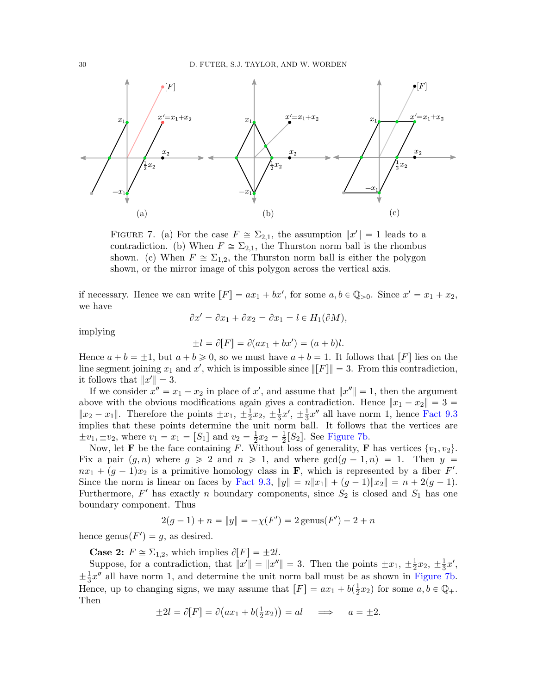<span id="page-29-0"></span>

FIGURE 7. (a) For the case  $F \cong \Sigma_{2,1}$ , the assumption  $||x'|| = 1$  leads to a contradiction. (b) When  $F \cong \Sigma_{2,1}$ , the Thurston norm ball is the rhombus shown. (c) When  $F \cong \Sigma_{1,2}$ , the Thurston norm ball is either the polygon shown, or the mirror image of this polygon across the vertical axis.

if necessary. Hence we can write  $[F] = ax_1 + bx'$ , for some  $a, b \in \mathbb{Q}_{>0}$ . Since  $x' = x_1 + x_2$ , we have

$$
\partial x' = \partial x_1 + \partial x_2 = \partial x_1 = l \in H_1(\partial M),
$$

implying

$$
\pm l = \partial[F] = \partial(ax_1 + bx') = (a + b)l.
$$

Hence  $a + b = \pm 1$ , but  $a + b \ge 0$ , so we must have  $a + b = 1$ . It follows that [F] lies on the line segment joining  $x_1$  and  $x'$ , which is impossible since  $\Vert F \Vert = 3$ . From this contradiction, it follows that  $||x'|| = 3$ .

If we consider  $x'' = x_1 - x_2$  in place of  $x'$ , and assume that  $||x''|| = 1$ , then the argument above with the obvious modifications again gives a contradiction. Hence  $||x_1 - x_2|| = 3 =$  $||x_2 - x_1||$ . Therefore the points  $\pm x_1, \pm \frac{1}{2}$  $\frac{1}{2}x_2, \pm \frac{1}{3}$  $\frac{1}{3}x', \pm \frac{1}{3}$  $\frac{1}{3}x''$  all have norm 1, hence [Fact 9.3](#page-28-1) implies that these points determine the unit norm ball. It follows that the vertices are  $\pm v_1, \pm v_2$ , where  $v_1 = x_1 = [S_1]$  and  $v_2 = \frac{1}{2}$  $\frac{1}{2}x_2 = \frac{1}{2}$  $\frac{1}{2}[S_2]$ . See [Figure 7b.](#page-29-0)

Now, let **F** be the face containing F. Without loss of generality, **F** has vertices  $\{v_1, v_2\}$ . Fix a pair  $(g, n)$  where  $g \geqslant 2$  and  $n \geqslant 1$ , and where  $\gcd(g - 1, n) = 1$ . Then y =  $nx_1 + (g-1)x_2$  is a primitive homology class in **F**, which is represented by a fiber F'. Since the norm is linear on faces by [Fact 9.3,](#page-28-1)  $||y|| = n||x_1|| + (g-1)||x_2|| = n + 2(g-1)$ . Furthermore,  $F'$  has exactly n boundary components, since  $S_2$  is closed and  $S_1$  has one boundary component. Thus

$$
2(g-1) + n = ||y|| = -\chi(F') = 2 \text{ genus}(F') - 2 + n
$$

hence genus $(F') = g$ , as desired.

**Case 2:**  $F \cong \Sigma_{1,2}$ , which implies  $\partial[F] = \pm 2l$ .

Suppose, for a contradiction, that  $||x'|| = ||x''|| = 3$ . Then the points  $\pm x_1, \pm \frac{1}{2}$  $\frac{1}{2}x_2, \pm \frac{1}{3}$  $rac{1}{3}x'$ ,  $\pm \frac{1}{3}$  $\frac{1}{3}x''$  all have norm 1, and determine the unit norm ball must be as shown in [Figure 7b.](#page-29-0) Hence, up to changing signs, we may assume that  $[F] = ax_1 + b(\frac{1}{2})$  $(\frac{1}{2}x_2)$  for some  $a, b \in \mathbb{Q}_+$ . Then

$$
\pm 2l = \partial[F] = \partial(ax_1 + b(\frac{1}{2}x_2)) = al \implies a = \pm 2.
$$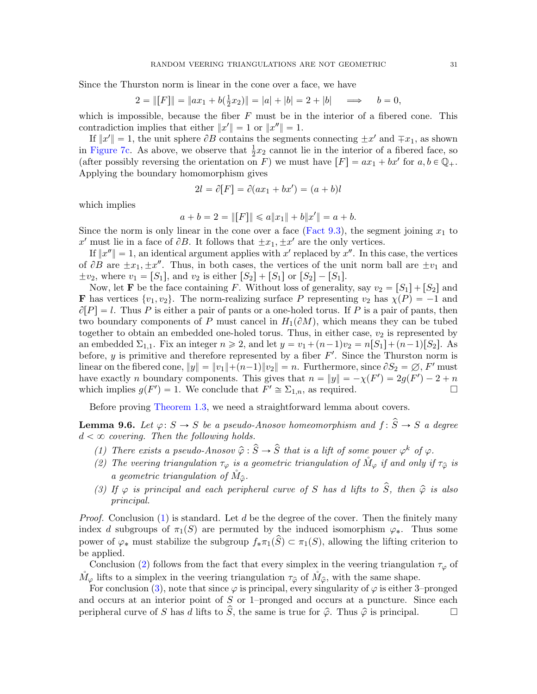Since the Thurston norm is linear in the cone over a face, we have

$$
2 = ||[F]|| = ||ax_1 + b(\frac{1}{2}x_2)|| = |a| + |b| = 2 + |b| \implies b = 0,
$$

which is impossible, because the fiber  $F$  must be in the interior of a fibered cone. This contradiction implies that either  $||x'|| = 1$  or  $||x''|| = 1$ .

If  $||x'|| = 1$ , the unit sphere  $\partial B$  contains the segments connecting  $\pm x'$  and  $\mp x_1$ , as shown in [Figure 7c.](#page-29-0) As above, we observe that  $\frac{1}{2}x_2$  cannot lie in the interior of a fibered face, so (after possibly reversing the orientation on F) we must have  $[F] = ax_1 + bx'$  for  $a, b \in \mathbb{Q}_+$ . Applying the boundary homomorphism gives

$$
2l = \partial[F] = \partial(ax_1 + bx') = (a + b)l
$$

which implies

$$
a + b = 2 = ||[F]|| \le a||x_1|| + b||x'|| = a + b.
$$

Since the norm is only linear in the cone over a face [\(Fact 9.3\)](#page-28-1), the segment joining  $x_1$  to x' must lie in a face of  $\partial B$ . It follows that  $\pm x_1, \pm x'$  are the only vertices.

If  $||x''|| = 1$ , an identical argument applies with x' replaced by x''. In this case, the vertices of  $\partial B$  are  $\pm x_1, \pm x''$ . Thus, in both cases, the vertices of the unit norm ball are  $\pm v_1$  and  $\pm v_2$ , where  $v_1 = [S_1]$ , and  $v_2$  is either  $[S_2] + [S_1]$  or  $[S_2] - [S_1]$ .

Now, let **F** be the face containing F. Without loss of generality, say  $v_2 = \lfloor S_1 \rfloor + \lfloor S_2 \rfloor$  and **F** has vertices  $\{v_1, v_2\}$ . The norm-realizing surface P representing  $v_2$  has  $\chi(P) = -1$  and  $\partial[P] = l$ . Thus P is either a pair of pants or a one-holed torus. If P is a pair of pants, then two boundary components of P must cancel in  $H_1(\partial M)$ , which means they can be tubed together to obtain an embedded one-holed torus. Thus, in either case,  $v_2$  is represented by an embedded  $\Sigma_{1,1}$ . Fix an integer  $n \ge 2$ , and let  $y = v_1 + (n-1)v_2 = n[S_1] + (n-1)[S_2]$ . As before, y is primitive and therefore represented by a fiber  $F'$ . Since the Thurston norm is linear on the fibered cone,  $||y|| = ||v_1|| + (n-1)||v_2|| = n$ . Furthermore, since  $\partial S_2 = \emptyset$ , F' must have exactly n boundary components. This gives that  $n = ||y|| = -\chi(F') = 2g(F') - 2 + n$ which implies  $g(F') = 1$ . We conclude that  $F' \cong \Sigma_{1,n}$ , as required.

Before proving [Theorem 1.3,](#page-2-1) we need a straightforward lemma about covers.

<span id="page-30-3"></span>**Lemma 9.6.** Let  $\varphi: S \to S$  be a pseudo-Anosov homeomorphism and  $f: \hat{S} \to S$  a degree  $d < \infty$  covering. Then the following holds.

- <span id="page-30-0"></span>(1) There exists a pseudo-Anosov  $\hat{\varphi}$ :  $\hat{S} \to \hat{S}$  that is a lift of some power  $\varphi^k$  of  $\varphi$ .
- <span id="page-30-1"></span>(2) The veering triangulation  $\tau_{\varphi}$  is a geometric triangulation of  $\mathring{M}_{\varphi}$  if and only if  $\tau_{\hat{\varphi}}$  is a geometric triangulation of  $\dot{M}_{\hat{\varphi}}$ .
- <span id="page-30-2"></span>(3) If  $\varphi$  is principal and each peripheral curve of S has d lifts to  $\hat{S}$ , then  $\hat{\varphi}$  is also principal.

*Proof.* Conclusion [\(1\)](#page-30-0) is standard. Let d be the degree of the cover. Then the finitely many index d subgroups of  $\pi_1(S)$  are permuted by the induced isomorphism  $\varphi_*$ . Thus some power of  $\varphi_*$  must stabilize the subgroup  $f_*\pi_1(\widehat{S}) \subset \pi_1(S)$ , allowing the lifting criterion to be applied.

Conclusion [\(2\)](#page-30-1) follows from the fact that every simplex in the veering triangulation  $\tau_{\varphi}$  of  $\tilde{M}_{\varphi}$  lifts to a simplex in the veering triangulation  $\tau_{\hat{\varphi}}$  of  $\tilde{M}_{\hat{\varphi}}$ , with the same shape.

For conclusion [\(3\)](#page-30-2), note that since  $\varphi$  is principal, every singularity of  $\varphi$  is either 3–pronged and occurs at an interior point of S or 1–pronged and occurs at a puncture. Since each peripheral curve of S has d lifts to  $\hat{S}$ , the same is true for  $\hat{\varphi}$ . Thus  $\hat{\varphi}$  is principal.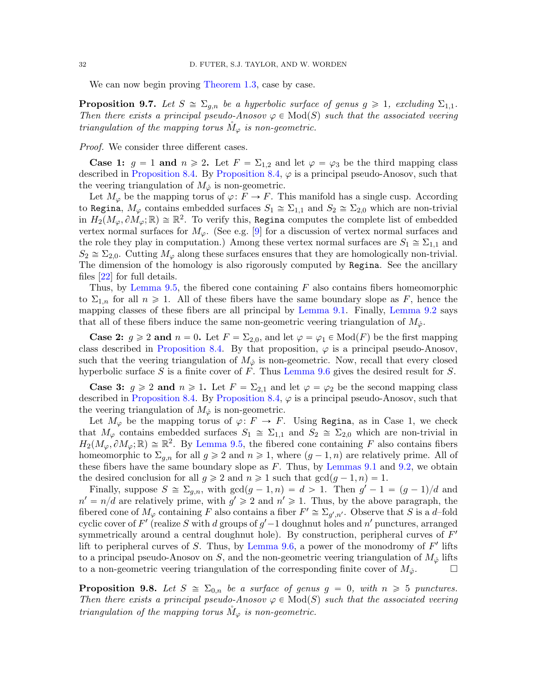We can now begin proving [Theorem 1.3,](#page-2-1) case by case.

<span id="page-31-0"></span>**Proposition 9.7.** Let  $S \cong \Sigma_{g,n}$  be a hyperbolic surface of genus  $g \geq 1$ , excluding  $\Sigma_{1,1}$ . Then there exists a principal pseudo-Anosov  $\varphi \in Mod(S)$  such that the associated veering triangulation of the mapping torus  $M_{\varphi}$  is non-geometric.

#### Proof. We consider three different cases.

**Case 1:**  $g = 1$  and  $n \ge 2$ . Let  $F = \Sigma_{1,2}$  and let  $\varphi = \varphi_3$  be the third mapping class described in [Proposition 8.4.](#page-26-1) By [Proposition 8.4,](#page-26-1)  $\varphi$  is a principal pseudo-Anosov, such that the veering triangulation of  $M_{\phi}$  is non-geometric.

Let  $M_{\varphi}$  be the mapping torus of  $\varphi: F \to F$ . This manifold has a single cusp. According to Regina,  $M_{\varphi}$  contains embedded surfaces  $S_1 \cong \Sigma_{1,1}$  and  $S_2 \cong \Sigma_{2,0}$  which are non-trivial in  $H_2(M_\varphi, \partial M_\varphi; \mathbb{R}) \cong \mathbb{R}^2$ . To verify this, Regina computes the complete list of embedded vertex normal surfaces for  $M_{\varphi}$ . (See e.g. [\[9\]](#page-35-17) for a discussion of vertex normal surfaces and the role they play in computation.) Among these vertex normal surfaces are  $S_1 \cong \Sigma_{1,1}$  and  $S_2 \cong \Sigma_{2,0}$ . Cutting  $M_{\varphi}$  along these surfaces ensures that they are homologically non-trivial. The dimension of the homology is also rigorously computed by Regina. See the ancillary files [\[22\]](#page-36-27) for full details.

Thus, by [Lemma 9.5,](#page-28-2) the fibered cone containing  $F$  also contains fibers homeomorphic to  $\Sigma_{1,n}$  for all  $n \geq 1$ . All of these fibers have the same boundary slope as F, hence the mapping classes of these fibers are all principal by [Lemma 9.1.](#page-27-0) Finally, [Lemma 9.2](#page-27-1) says that all of these fibers induce the same non-geometric veering triangulation of  $M_{\phi}$ .

**Case 2:**  $g \ge 2$  and  $n = 0$ . Let  $F = \Sigma_{2,0}$ , and let  $\varphi = \varphi_1 \in Mod(F)$  be the first mapping class described in [Proposition 8.4.](#page-26-1) By that proposition,  $\varphi$  is a principal pseudo-Anosov, such that the veering triangulation of  $M_{\phi}$  is non-geometric. Now, recall that every closed hyperbolic surface  $S$  is a finite cover of  $F$ . Thus [Lemma 9.6](#page-30-3) gives the desired result for  $S$ .

**Case 3:**  $g \ge 2$  and  $n \ge 1$ . Let  $F = \Sigma_{2,1}$  and let  $\varphi = \varphi_2$  be the second mapping class described in [Proposition 8.4.](#page-26-1) By [Proposition 8.4,](#page-26-1)  $\varphi$  is a principal pseudo-Anosov, such that the veering triangulation of  $M_{\phi}$  is non-geometric.

Let  $M_{\varphi}$  be the mapping torus of  $\varphi: F \to F$ . Using Regina, as in Case 1, we check that  $M_{\varphi}$  contains embedded surfaces  $S_1 \cong \Sigma_{1,1}$  and  $S_2 \cong \Sigma_{2,0}$  which are non-trivial in  $H_2(M_\varphi, \partial M_\varphi; \mathbb{R}) \cong \mathbb{R}^2$ . By [Lemma 9.5,](#page-28-2) the fibered cone containing F also contains fibers homeomorphic to  $\Sigma_{q,n}$  for all  $q \geq 2$  and  $n \geq 1$ , where  $(q-1,n)$  are relatively prime. All of these fibers have the same boundary slope as  $F$ . Thus, by [Lemmas 9.1](#page-27-0) and [9.2,](#page-27-1) we obtain the desired conclusion for all  $q \geq 2$  and  $n \geq 1$  such that  $gcd(q - 1, n) = 1$ .

Finally, suppose  $S \cong \sum_{g,n}$ , with  $gcd(g-1,n) = d > 1$ . Then  $g' - 1 = (g-1)/d$  and  $n' = n/d$  are relatively prime, with  $g' \geq 2$  and  $n' \geq 1$ . Thus, by the above paragraph, the fibered cone of  $M_{\varphi}$  containing F also contains a fiber  $F' \cong \Sigma_{g',n'}$ . Observe that S is a d-fold cyclic cover of F' (realize S with d groups of  $g'-1$  doughnut holes and n' punctures, arranged symmetrically around a central doughnut hole). By construction, peripheral curves of  $F'$ lift to peripheral curves of  $S$ . Thus, by [Lemma 9.6,](#page-30-3) a power of the monodromy of  $F'$  lifts to a principal pseudo-Anosov on S, and the non-geometric veering triangulation of  $M_{\phi}$  lifts to a non-geometric veering triangulation of the corresponding finite cover of  $M_{\phi}$ .

<span id="page-31-1"></span>**Proposition 9.8.** Let  $S \cong \Sigma_{0,n}$  be a surface of genus  $g = 0$ , with  $n \geq 5$  punctures. Then there exists a principal pseudo-Anosov  $\varphi \in Mod(S)$  such that the associated veering triangulation of the mapping torus  $M_{\varphi}$  is non-geometric.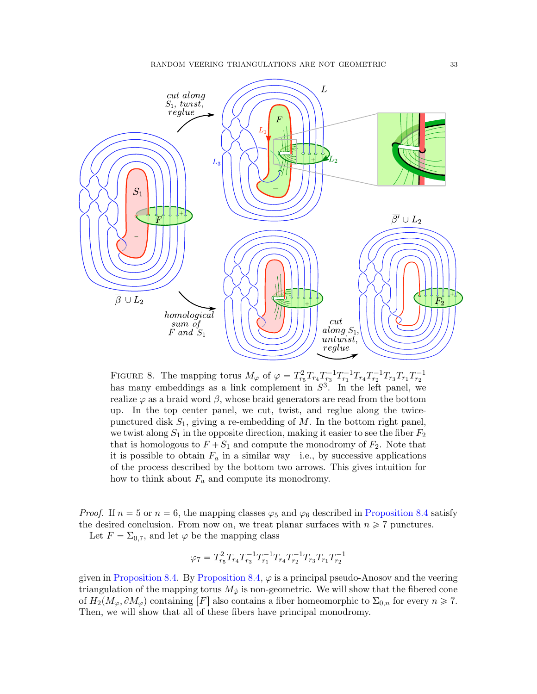<span id="page-32-0"></span>

FIGURE 8. The mapping torus  $M_{\varphi}$  of  $\varphi = T_{r_5}^2 T_{r_4} T_{r_3}^{-1} T_{r_1}^{-1} T_{r_4} T_{r_2}^{-1} T_{r_3} T_{r_1} T_{r_2}^{-1}$ has many embeddings as a link complement in  $S^3$ . In the left panel, we realize  $\varphi$  as a braid word  $\beta$ , whose braid generators are read from the bottom up. In the top center panel, we cut, twist, and reglue along the twicepunctured disk  $S_1$ , giving a re-embedding of M. In the bottom right panel, we twist along  $S_1$  in the opposite direction, making it easier to see the fiber  $F_2$ that is homologous to  $F + S_1$  and compute the monodromy of  $F_2$ . Note that it is possible to obtain  $F_a$  in a similar way—i.e., by successive applications of the process described by the bottom two arrows. This gives intuition for how to think about  $F_a$  and compute its monodromy.

*Proof.* If  $n = 5$  or  $n = 6$ , the mapping classes  $\varphi_5$  and  $\varphi_6$  described in [Proposition 8.4](#page-26-1) satisfy the desired conclusion. From now on, we treat planar surfaces with  $n \geq 7$  punctures.

Let  $F = \Sigma_{0.7}$ , and let  $\varphi$  be the mapping class

$$
\varphi_7 = T_{r_5}^2 T_{r_4} T_{r_3}^{-1} T_{r_1}^{-1} T_{r_4} T_{r_2}^{-1} T_{r_3} T_{r_1} T_{r_2}^{-1}
$$

given in [Proposition 8.4.](#page-26-1) By [Proposition 8.4,](#page-26-1)  $\varphi$  is a principal pseudo-Anosov and the veering triangulation of the mapping torus  $M_{\phi}$  is non-geometric. We will show that the fibered cone of  $H_2(M_\varphi, \partial M_\varphi)$  containing  $[F]$  also contains a fiber homeomorphic to  $\Sigma_{0,n}$  for every  $n \ge 7$ . Then, we will show that all of these fibers have principal monodromy.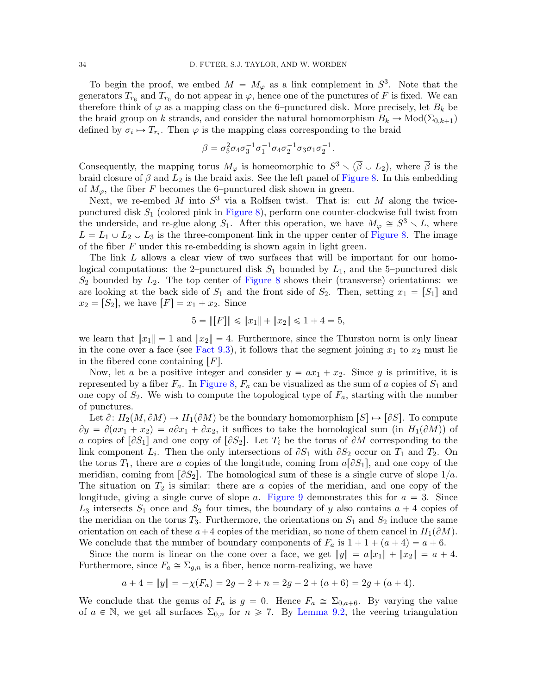To begin the proof, we embed  $M = M_{\varphi}$  as a link complement in  $S^3$ . Note that the generators  $T_{r_6}$  and  $T_{r_0}$  do not appear in  $\varphi$ , hence one of the punctures of F is fixed. We can therefore think of  $\varphi$  as a mapping class on the 6–punctured disk. More precisely, let  $B_k$  be the braid group on k strands, and consider the natural homomorphism  $B_k \to \text{Mod}(\Sigma_{0,k+1})$ defined by  $\sigma_i \mapsto T_{r_i}$ . Then  $\varphi$  is the mapping class corresponding to the braid

$$
\beta=\sigma_{5}^{2}\sigma_{4}\sigma_{3}^{-1}\sigma_{1}^{-1}\sigma_{4}\sigma_{2}^{-1}\sigma_{3}\sigma_{1}\sigma_{2}^{-1}
$$

.

Consequently, the mapping torus  $M_{\varphi}$  is homeomorphic to  $S^3 \setminus (\overline{\beta} \cup L_2)$ , where  $\overline{\beta}$  is the braid closure of  $\beta$  and  $L_2$  is the braid axis. See the left panel of [Figure 8.](#page-32-0) In this embedding of  $M_{\varphi}$ , the fiber F becomes the 6–punctured disk shown in green.

Next, we re-embed M into  $S^3$  via a Rolfsen twist. That is: cut M along the twicepunctured disk  $S_1$  (colored pink in [Figure 8\)](#page-32-0), perform one counter-clockwise full twist from the underside, and re-glue along  $S_1$ . After this operation, we have  $M_{\varphi} \cong S^3 \setminus L$ , where  $L = L_1 \cup L_2 \cup L_3$  is the three-component link in the upper center of [Figure 8.](#page-32-0) The image of the fiber  $F$  under this re-embedding is shown again in light green.

The link L allows a clear view of two surfaces that will be important for our homological computations: the 2-punctured disk  $S_1$  bounded by  $L_1$ , and the 5-punctured disk  $S_2$  bounded by  $L_2$ . The top center of [Figure 8](#page-32-0) shows their (transverse) orientations: we are looking at the back side of  $S_1$  and the front side of  $S_2$ . Then, setting  $x_1 = [S_1]$  and  $x_2 = [S_2]$ , we have  $[F] = x_1 + x_2$ . Since

$$
5 = \|[F]\| \le \|x_1\| + \|x_2\| \le 1 + 4 = 5,
$$

we learn that  $||x_1|| = 1$  and  $||x_2|| = 4$ . Furthermore, since the Thurston norm is only linear in the cone over a face (see [Fact 9.3\)](#page-28-1), it follows that the segment joining  $x_1$  to  $x_2$  must lie in the fibered cone containing  $[F]$ .

Now, let a be a positive integer and consider  $y = ax_1 + x_2$ . Since y is primitive, it is represented by a fiber  $F_a$ . In [Figure 8,](#page-32-0)  $F_a$  can be visualized as the sum of a copies of  $S_1$  and one copy of  $S_2$ . We wish to compute the topological type of  $F_a$ , starting with the number of punctures.

Let  $\partial: H_2(M, \partial M) \to H_1(\partial M)$  be the boundary homomorphism  $[S] \mapsto [\partial S]$ . To compute  $\partial y = \partial (ax_1 + x_2) = a\partial x_1 + \partial x_2$ , it suffices to take the homological sum (in  $H_1(\partial M)$ ) of a copies of  $\lceil \partial S_1 \rceil$  and one copy of  $\lceil \partial S_2 \rceil$ . Let  $T_i$  be the torus of  $\partial M$  corresponding to the link component  $L_i$ . Then the only intersections of  $\partial S_1$  with  $\partial S_2$  occur on  $T_1$  and  $T_2$ . On the torus  $T_1$ , there are a copies of the longitude, coming from  $a[\partial S_1]$ , and one copy of the meridian, coming from  $\lceil \partial S_2 \rceil$ . The homological sum of these is a single curve of slope  $1/a$ . The situation on  $T_2$  is similar: there are a copies of the meridian, and one copy of the longitude, giving a single curve of slope a. [Figure 9](#page-34-0) demonstrates this for  $a = 3$ . Since  $L_3$  intersects  $S_1$  once and  $S_2$  four times, the boundary of y also contains  $a + 4$  copies of the meridian on the torus  $T_3$ . Furthermore, the orientations on  $S_1$  and  $S_2$  induce the same orientation on each of these  $a+4$  copies of the meridian, so none of them cancel in  $H_1(\partial M)$ . We conclude that the number of boundary components of  $F_a$  is  $1 + 1 + (a + 4) = a + 6$ .

Since the norm is linear on the cone over a face, we get  $||y|| = a||x_1|| + ||x_2|| = a + 4$ . Furthermore, since  $F_a \cong \Sigma_{q,n}$  is a fiber, hence norm-realizing, we have

$$
a + 4 = ||y|| = -\chi(F_a) = 2g - 2 + n = 2g - 2 + (a + 6) = 2g + (a + 4).
$$

We conclude that the genus of  $F_a$  is  $g = 0$ . Hence  $F_a \cong \Sigma_{0,a+6}$ . By varying the value of  $a \in \mathbb{N}$ , we get all surfaces  $\Sigma_{0,n}$  for  $n \ge 7$ . By [Lemma 9.2,](#page-27-1) the veering triangulation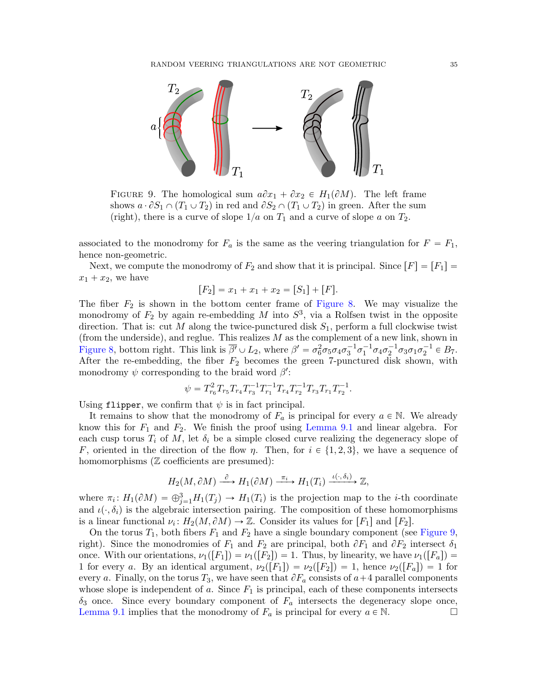<span id="page-34-0"></span>

FIGURE 9. The homological sum  $a\partial x_1 + \partial x_2 \in H_1(\partial M)$ . The left frame shows  $a \cdot \partial S_1 \cap (T_1 \cup T_2)$  in red and  $\partial S_2 \cap (T_1 \cup T_2)$  in green. After the sum (right), there is a curve of slope  $1/a$  on  $T_1$  and a curve of slope a on  $T_2$ .

associated to the monodromy for  $F_a$  is the same as the veering triangulation for  $F = F_1$ , hence non-geometric.

Next, we compute the monodromy of  $F_2$  and show that it is principal. Since  $[F] = [F_1] =$  $x_1 + x_2$ , we have

$$
[F_2] = x_1 + x_1 + x_2 = [S_1] + [F].
$$

The fiber  $F_2$  is shown in the bottom center frame of [Figure 8.](#page-32-0) We may visualize the monodromy of  $F_2$  by again re-embedding M into  $S^3$ , via a Rolfsen twist in the opposite direction. That is: cut M along the twice-punctured disk  $S_1$ , perform a full clockwise twist (from the underside), and reglue. This realizes  $M$  as the complement of a new link, shown in [Figure 8,](#page-32-0) bottom right. This link is  $\overline{\beta'} \cup L_2$ , where  $\beta' = \sigma_6^2 \sigma_5 \sigma_4 \sigma_3^{-1} \sigma_1^{-1} \sigma_4 \sigma_2^{-1} \sigma_3 \sigma_1 \sigma_2^{-1} \in B_7$ . After the re-embedding, the fiber  $F_2$  becomes the green 7-punctured disk shown, with monodromy  $\psi$  corresponding to the braid word  $\beta'$ :

$$
\psi = T_{r_6}^2 T_{r_5} T_{r_4} T_{r_3}^{-1} T_{r_1}^{-1} T_{r_4} T_{r_2}^{-1} T_{r_3} T_{r_1} T_{r_2}^{-1}.
$$

Using flipper, we confirm that  $\psi$  is in fact principal.

It remains to show that the monodromy of  $F_a$  is principal for every  $a \in \mathbb{N}$ . We already know this for  $F_1$  and  $F_2$ . We finish the proof using [Lemma 9.1](#page-27-0) and linear algebra. For each cusp torus  $T_i$  of M, let  $\delta_i$  be a simple closed curve realizing the degeneracy slope of F, oriented in the direction of the flow  $\eta$ . Then, for  $i \in \{1, 2, 3\}$ , we have a sequence of homomorphisms ( $\mathbb Z$  coefficients are presumed):

$$
H_2(M, \partial M) \xrightarrow{\partial} H_1(\partial M) \xrightarrow{\pi_i} H_1(T_i) \xrightarrow{\iota(\cdot, \delta_i)} \mathbb{Z},
$$

where  $\pi_i: H_1(\partial M) = \bigoplus_{j=1}^3 H_1(T_j) \to H_1(T_i)$  is the projection map to the *i*-th coordinate and  $\iota(\cdot, \delta_i)$  is the algebraic intersection pairing. The composition of these homomorphisms is a linear functional  $\nu_i: H_2(M, \partial M) \to \mathbb{Z}$ . Consider its values for  $[F_1]$  and  $[F_2]$ .

On the torus  $T_1$ , both fibers  $F_1$  and  $F_2$  have a single boundary component (see [Figure 9,](#page-34-0) right). Since the monodromies of  $F_1$  and  $F_2$  are principal, both  $\partial F_1$  and  $\partial F_2$  intersect  $\delta_1$ once. With our orientations,  $\nu_1([F_1]) = \nu_1([F_2]) = 1$ . Thus, by linearity, we have  $\nu_1([F_a]) =$ 1 for every a. By an identical argument,  $\nu_2([F_1]) = \nu_2([F_2]) = 1$ , hence  $\nu_2([F_a]) = 1$  for every a. Finally, on the torus  $T_3$ , we have seen that  $\partial F_a$  consists of  $a+4$  parallel components whose slope is independent of  $a$ . Since  $F_1$  is principal, each of these components intersects  $\delta_3$  once. Since every boundary component of  $F_a$  intersects the degeneracy slope once, [Lemma 9.1](#page-27-0) implies that the monodromy of  $F_a$  is principal for every  $a \in \mathbb{N}$ .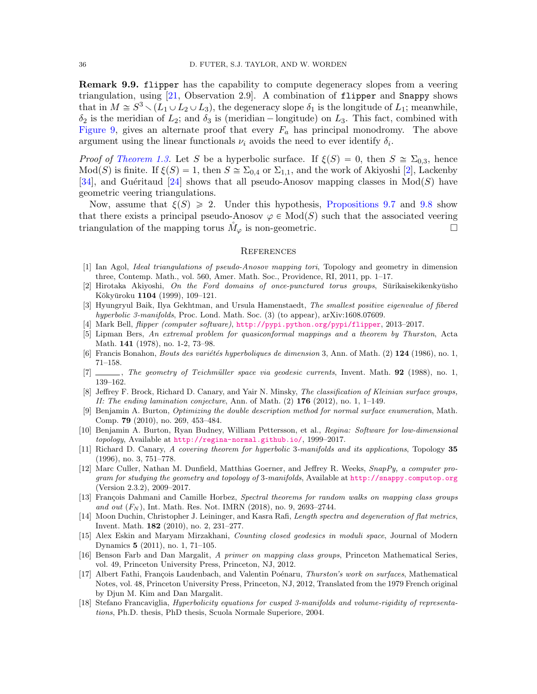**Remark 9.9.** flipper has the capability to compute degeneracy slopes from a veering triangulation, using [\[21,](#page-36-16) Observation 2.9]. A combination of flipper and Snappy shows that in  $M \cong S^3 \setminus (L_1 \cup L_2 \cup L_3)$ , the degeneracy slope  $\delta_1$  is the longitude of  $L_1$ ; meanwhile,  $\delta_2$  is the meridian of  $L_2$ ; and  $\delta_3$  is (meridian – longitude) on  $L_3$ . This fact, combined with [Figure 9,](#page-34-0) gives an alternate proof that every  $F_a$  has principal monodromy. The above argument using the linear functionals  $\nu_i$  avoids the need to ever identify  $\delta_i$ .

*Proof of [Theorem 1.3.](#page-2-1)* Let S be a hyperbolic surface. If  $\xi(S) = 0$ , then  $S \cong \Sigma_{0,3}$ , hence  $Mod(S)$  is finite. If  $\xi(S) = 1$ , then  $S \cong \Sigma_{0,4}$  or  $\Sigma_{1,1}$ , and the work of Akiyoshi [\[2\]](#page-35-3), Lackenby [\[34\]](#page-36-6), and Guéritaud [\[24\]](#page-36-7) shows that all pseudo-Anosov mapping classes in  $Mod(S)$  have geometric veering triangulations.

Now, assume that  $\xi(S) \geq 2$ . Under this hypothesis, [Propositions 9.7](#page-31-0) and [9.8](#page-31-1) show that there exists a principal pseudo-Anosov  $\varphi \in Mod(S)$  such that the associated veering triangulation of the mapping torus  $M_{\varphi}$  is non-geometric.

### **REFERENCES**

- <span id="page-35-0"></span>[1] Ian Agol, Ideal triangulations of pseudo-Anosov mapping tori, Topology and geometry in dimension three, Contemp. Math., vol. 560, Amer. Math. Soc., Providence, RI, 2011, pp. 1–17.
- <span id="page-35-3"></span> $[2]$  Hirotaka Akiyoshi, On the Ford domains of once-punctured torus groups, Sūrikaisekikenkyūsho Kōkyūroku 1104 (1999), 109-121.
- <span id="page-35-11"></span>[3] Hyungryul Baik, Ilya Gekhtman, and Ursula Hamenstaedt, The smallest positive eigenvalue of fibered hyperbolic 3-manifolds, Proc. Lond. Math. Soc. (3) (to appear), arXiv:1608.07609.
- <span id="page-35-1"></span>[4] Mark Bell, flipper (computer software), <http://pypi.python.org/pypi/flipper>, 2013–2017.
- <span id="page-35-10"></span>[5] Lipman Bers, An extremal problem for quasiconformal mappings and a theorem by Thurston, Acta Math. 141 (1978), no. 1-2, 73–98.
- <span id="page-35-14"></span>[6] Francis Bonahon, *Bouts des variétés hyperboliques de dimension* 3, Ann. of Math.  $(2)$  **124** (1986), no. 1, 71–158.
- <span id="page-35-7"></span>[7] , The geometry of Teichmüller space via geodesic currents, Invent. Math. 92 (1988), no. 1, 139–162.
- <span id="page-35-6"></span>[8] Jeffrey F. Brock, Richard D. Canary, and Yair N. Minsky, *The classification of Kleinian surface groups*, II: The ending lamination conjecture, Ann. of Math.  $(2)$  176  $(2012)$ , no. 1, 1–149.
- <span id="page-35-17"></span>[9] Benjamin A. Burton, Optimizing the double description method for normal surface enumeration, Math. Comp. 79 (2010), no. 269, 453–484.
- <span id="page-35-5"></span>[10] Benjamin A. Burton, Ryan Budney, William Pettersson, et al., Regina: Software for low-dimensional topology, Available at <http://regina-normal.github.io/>, 1999-2017.
- <span id="page-35-15"></span>[11] Richard D. Canary, A covering theorem for hyperbolic 3-manifolds and its applications, Topology 35 (1996), no. 3, 751–778.
- <span id="page-35-4"></span>[12] Marc Culler, Nathan M. Dunfield, Matthias Goerner, and Jeffrey R. Weeks, SnapPy, a computer program for studying the geometry and topology of 3-manifolds, Available at <http://snappy.computop.org> (Version 2.3.2), 2009–2017.
- <span id="page-35-12"></span>[13] François Dahmani and Camille Horbez, Spectral theorems for random walks on mapping class groups and out  $(F_N)$ , Int. Math. Res. Not. IMRN (2018), no. 9, 2693–2744.
- <span id="page-35-13"></span>[14] Moon Duchin, Christopher J. Leininger, and Kasra Rafi, Length spectra and degeneration of flat metrics, Invent. Math. 182 (2010), no. 2, 231–277.
- <span id="page-35-2"></span>[15] Alex Eskin and Maryam Mirzakhani, Counting closed geodesics in moduli space, Journal of Modern Dynamics 5 (2011), no. 1, 71–105.
- <span id="page-35-8"></span>[16] Benson Farb and Dan Margalit, A primer on mapping class groups, Princeton Mathematical Series, vol. 49, Princeton University Press, Princeton, NJ, 2012.
- <span id="page-35-9"></span>[17] Albert Fathi, François Laudenbach, and Valentin Poénaru, Thurston's work on surfaces, Mathematical Notes, vol. 48, Princeton University Press, Princeton, NJ, 2012, Translated from the 1979 French original by Djun M. Kim and Dan Margalit.
- <span id="page-35-16"></span>[18] Stefano Francaviglia, Hyperbolicity equations for cusped 3-manifolds and volume-rigidity of representations, Ph.D. thesis, PhD thesis, Scuola Normale Superiore, 2004.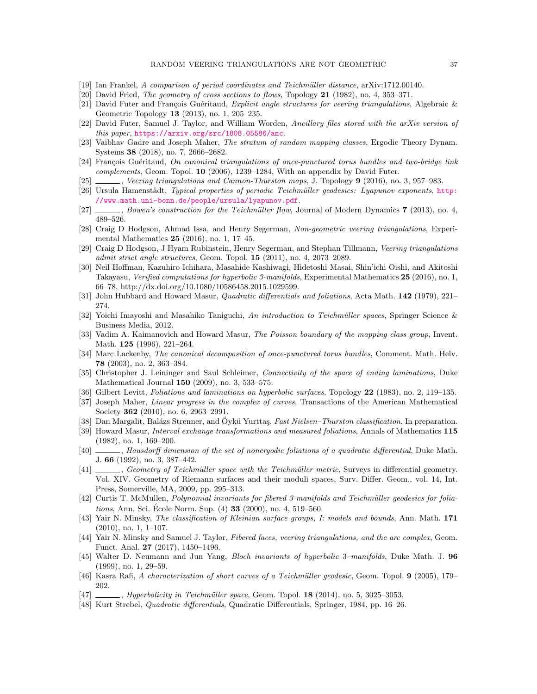- <span id="page-36-22"></span>[19] Ian Frankel, A comparison of period coordinates and Teichmüller distance, arXiv:1712.00140.
- <span id="page-36-28"></span>[20] David Fried, The geometry of cross sections to flows, Topology 21 (1982), no. 4, 353–371.
- <span id="page-36-16"></span>[21] David Futer and François Guéritaud, Explicit angle structures for veering triangulations, Algebraic & Geometric Topology 13 (2013), no. 1, 205–235.
- <span id="page-36-27"></span>[22] David Futer, Samuel J. Taylor, and William Worden, Ancillary files stored with the arXiv version of this paper, <https://arxiv.org/src/1808.05586/anc>.
- <span id="page-36-4"></span>[23] Vaibhav Gadre and Joseph Maher, The stratum of random mapping classes, Ergodic Theory Dynam. Systems 38 (2018), no. 7, 2666–2682.
- <span id="page-36-7"></span>[24] François Guéritaud, On canonical triangulations of once-punctured torus bundles and two-bridge link complements, Geom. Topol. 10 (2006), 1239–1284, With an appendix by David Futer.
- <span id="page-36-0"></span>[25] , Veering triangulations and Cannon-Thurston maps, J. Topology 9 (2016), no. 3, 957–983.
- <span id="page-36-24"></span>[26] Ursula Hamenstädt, Typical properties of periodic Teichmüller geodesics: Lyapunov exponents, [http:](http://www.math.uni-bonn.de/people/ursula/lyapunov.pdf) [//www.math.uni-bonn.de/people/ursula/lyapunov.pdf](http://www.math.uni-bonn.de/people/ursula/lyapunov.pdf).
- <span id="page-36-5"></span>[27] , Bowen's construction for the Teichmüller flow, Journal of Modern Dynamics 7 (2013), no. 4, 489–526.
- <span id="page-36-3"></span>[28] Craig D Hodgson, Ahmad Issa, and Henry Segerman, Non-geometric veering triangulations, Experimental Mathematics 25 (2016), no. 1, 17–45.
- <span id="page-36-15"></span>[29] Craig D Hodgson, J Hyam Rubinstein, Henry Segerman, and Stephan Tillmann, Veering triangulations admit strict angle structures, Geom. Topol. 15 (2011), no. 4, 2073–2089.
- <span id="page-36-8"></span>[30] Neil Hoffman, Kazuhiro Ichihara, Masahide Kashiwagi, Hidetoshi Masai, Shin'ichi Oishi, and Akitoshi Takayasu, Verified computations for hyperbolic 3-manifolds, Experimental Mathematics 25 (2016), no. 1, 66–78, http://dx.doi.org/10.1080/10586458.2015.1029599.
- <span id="page-36-14"></span>[31] John Hubbard and Howard Masur, Quadratic differentials and foliations, Acta Math. 142 (1979), 221– 274.
- <span id="page-36-12"></span>[32] Yoichi Imayoshi and Masahiko Taniguchi, An introduction to Teichmüller spaces, Springer Science & Business Media, 2012.
- <span id="page-36-18"></span>[33] Vadim A. Kaimanovich and Howard Masur, The Poisson boundary of the mapping class group, Invent. Math. 125 (1996), 221–264.
- <span id="page-36-6"></span>[34] Marc Lackenby, The canonical decomposition of once-punctured torus bundles, Comment. Math. Helv. 78 (2003), no. 2, 363–384.
- <span id="page-36-10"></span>[35] Christopher J. Leininger and Saul Schleimer, Connectivity of the space of ending laminations, Duke Mathematical Journal 150 (2009), no. 3, 533–575.
- <span id="page-36-13"></span>[36] Gilbert Levitt, Foliations and laminations on hyperbolic surfaces, Topology 22 (1983), no. 2, 119–135.
- <span id="page-36-23"></span>[37] Joseph Maher, Linear progress in the complex of curves, Transactions of the American Mathematical Society **362** (2010), no. 6, 2963-2991.
- <span id="page-36-2"></span>[38] Dan Margalit, Balázs Strenner, and Öykü Yurttaş, Fast Nielsen–Thurston classification, In preparation.
- <span id="page-36-25"></span>[39] Howard Masur, Interval exchange transformations and measured foliations, Annals of Mathematics 115 (1982), no. 1, 169–200.
- <span id="page-36-17"></span>[40] , Hausdorff dimension of the set of nonergodic foliations of a quadratic differential, Duke Math. J. 66 (1992), no. 3, 387–442.
- <span id="page-36-20"></span>[41] , Geometry of Teichmüller space with the Teichmüller metric, Surveys in differential geometry. Vol. XIV. Geometry of Riemann surfaces and their moduli spaces, Surv. Differ. Geom., vol. 14, Int. Press, Somerville, MA, 2009, pp. 295–313.
- <span id="page-36-29"></span>[42] Curtis T. McMullen, *Polynomial invariants for fibered 3-manifolds and Teichmüller geodesics for folia*tions, Ann. Sci. Ecole Norm. Sup.  $(4)$  33  $(2000)$ , no. 4, 519–560.
- <span id="page-36-9"></span>[43] Yair N. Minsky, The classification of Kleinian surface groups, I: models and bounds, Ann. Math. 171 (2010), no. 1, 1–107.
- <span id="page-36-1"></span>[44] Yair N. Minsky and Samuel J. Taylor, Fibered faces, veering triangulations, and the arc complex, Geom. Funct. Anal. 27 (2017), 1450–1496.
- <span id="page-36-26"></span>[45] Walter D. Neumann and Jun Yang, Bloch invariants of hyperbolic 3–manifolds, Duke Math. J. 96 (1999), no. 1, 29–59.
- <span id="page-36-21"></span>[46] Kasra Rafi, A characterization of short curves of a Teichmüller geodesic, Geom. Topol. 9 (2005), 179– 202.
- <span id="page-36-19"></span>[47] , Hyperbolicity in Teichmüller space, Geom. Topol. 18 (2014), no. 5, 3025–3053.
- <span id="page-36-11"></span>[48] Kurt Strebel, Quadratic differentials, Quadratic Differentials, Springer, 1984, pp. 16–26.